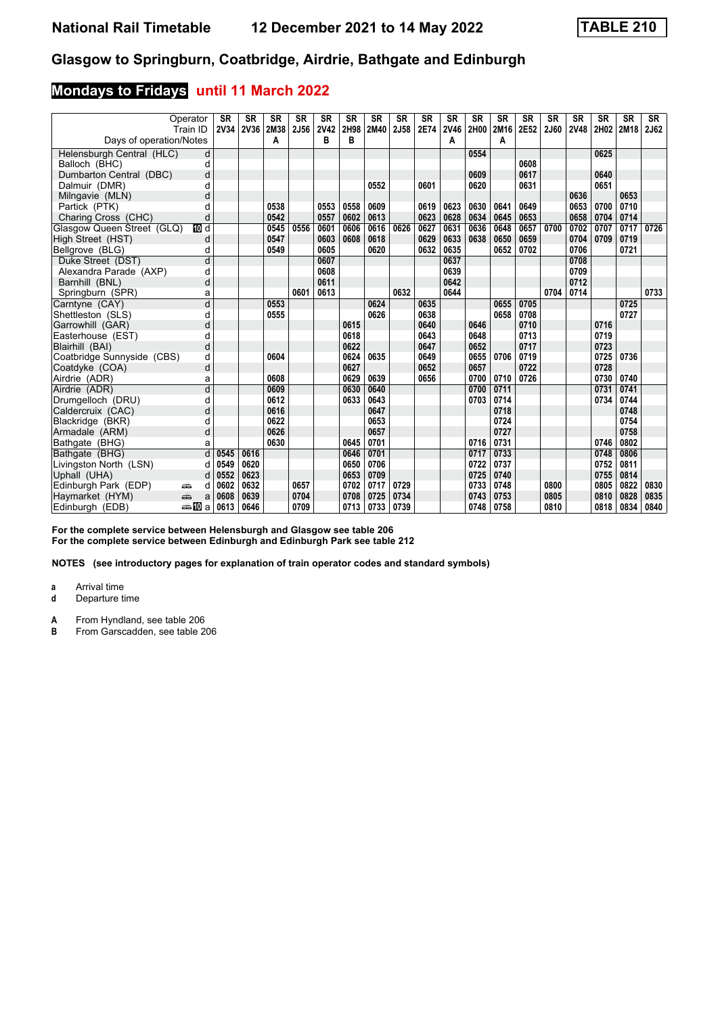## **Mondays to Fridays until 11 March 2022**

| Operator<br>Train ID                     | <b>SR</b><br><b>2V34</b> | <b>SR</b><br><b>2V36</b> | <b>SR</b><br>2M38 | <b>SR</b><br>2J56 | SR<br><b>2V42</b> | <b>SR</b><br>2H98 | <b>SR</b><br>2M40 | <b>SR</b><br>2J58 | <b>SR</b><br>2E74 | <b>SR</b><br><b>2V46</b> | <b>SR</b><br>2H00 | <b>SR</b><br>2M16 | <b>SR</b><br>2E52 | <b>SR</b><br>2J60 | <b>SR</b><br><b>2V48</b> | <b>SR</b><br>2H02 | <b>SR</b><br>2M18 | SR<br><b>2J62</b> |
|------------------------------------------|--------------------------|--------------------------|-------------------|-------------------|-------------------|-------------------|-------------------|-------------------|-------------------|--------------------------|-------------------|-------------------|-------------------|-------------------|--------------------------|-------------------|-------------------|-------------------|
| Days of operation/Notes                  |                          |                          | A                 |                   | в                 | в                 |                   |                   |                   | A                        |                   | A                 |                   |                   |                          |                   |                   |                   |
| Helensburgh Central (HLC)<br>d           |                          |                          |                   |                   |                   |                   |                   |                   |                   |                          | 0554              |                   |                   |                   |                          | 0625              |                   |                   |
| Balloch (BHC)<br>d                       |                          |                          |                   |                   |                   |                   |                   |                   |                   |                          |                   |                   | 0608              |                   |                          |                   |                   |                   |
| d<br>Dumbarton Central (DBC)             |                          |                          |                   |                   |                   |                   |                   |                   |                   |                          | 0609              |                   | 0617              |                   |                          | 0640              |                   |                   |
| Dalmuir (DMR)<br>d                       |                          |                          |                   |                   |                   |                   | 0552              |                   | 0601              |                          | 0620              |                   | 0631              |                   |                          | 0651              |                   |                   |
| d<br>Milngavie (MLN)                     |                          |                          |                   |                   |                   |                   |                   |                   |                   |                          |                   |                   |                   |                   | 0636                     |                   | 0653              |                   |
| Partick (PTK)<br>d                       |                          |                          | 0538              |                   | 0553              | 0558              | 0609              |                   | 0619              | 0623                     | 0630              | 0641              | 0649              |                   | 0653                     | 0700              | 0710              |                   |
| Charing Cross (CHC)<br>d                 |                          |                          | 0542              |                   | 0557              | 0602              | 0613              |                   | 0623              | 0628                     | 0634              | 0645              | 0653              |                   | 0658                     | 0704              | 0714              |                   |
| Glasgow Queen Street (GLQ)<br>10<br>d    |                          |                          | 0545              | 0556              | 0601              | 0606              | 0616              | 0626              | 0627              | 0631                     | 0636              | 0648              | 0657              | 0700              | 0702                     | 0707              | 0717              | 0726              |
| High Street (HST)<br>d                   |                          |                          | 0547              |                   | 0603              | 0608              | 0618              |                   | 0629              | 0633                     | 0638              | 0650              | 0659              |                   | 0704                     | 0709              | 0719              |                   |
| d<br>Bellgrove (BLG)                     |                          |                          | 0549              |                   | 0605              |                   | 0620              |                   | 0632              | 0635                     |                   | 0652              | 0702              |                   | 0706                     |                   | 0721              |                   |
| d<br>Duke Street (DST)                   |                          |                          |                   |                   | 0607              |                   |                   |                   |                   | 0637                     |                   |                   |                   |                   | 0708                     |                   |                   |                   |
| Alexandra Parade (AXP)<br>d              |                          |                          |                   |                   | 0608              |                   |                   |                   |                   | 0639                     |                   |                   |                   |                   | 0709                     |                   |                   |                   |
| d<br>Barnhill (BNL)                      |                          |                          |                   |                   | 0611              |                   |                   |                   |                   | 0642                     |                   |                   |                   |                   | 0712                     |                   |                   |                   |
| Springburn (SPR)<br>a                    |                          |                          |                   | 0601              | 0613              |                   |                   | 0632              |                   | 0644                     |                   |                   |                   | 0704              | 0714                     |                   |                   | 0733              |
| d<br>Carntyne (CAY)                      |                          |                          | 0553              |                   |                   |                   | 0624              |                   | 0635              |                          |                   | 0655              | 0705              |                   |                          |                   | 0725              |                   |
| Shettleston (SLS)<br>d                   |                          |                          | 0555              |                   |                   |                   | 0626              |                   | 0638              |                          |                   | 0658              | 0708              |                   |                          |                   | 0727              |                   |
| Garrowhill (GAR)<br>d                    |                          |                          |                   |                   |                   | 0615              |                   |                   | 0640              |                          | 0646              |                   | 0710              |                   |                          | 0716              |                   |                   |
| Easterhouse (EST)<br>d                   |                          |                          |                   |                   |                   | 0618              |                   |                   | 0643              |                          | 0648              |                   | 0713              |                   |                          | 0719              |                   |                   |
| Blairhill (BAI)<br>d                     |                          |                          |                   |                   |                   | 0622              |                   |                   | 0647              |                          | 0652              |                   | 0717              |                   |                          | 0723              |                   |                   |
| Coatbridge Sunnyside (CBS)<br>d          |                          |                          | 0604              |                   |                   | 0624              | 0635              |                   | 0649              |                          | 0655              | 0706              | 0719              |                   |                          | 0725              | 0736              |                   |
| d<br>Coatdyke (COA)                      |                          |                          |                   |                   |                   | 0627              |                   |                   | 0652              |                          | 0657              |                   | 0722              |                   |                          | 0728              |                   |                   |
| Airdrie (ADR)<br>a                       |                          |                          | 0608              |                   |                   | 0629              | 0639              |                   | 0656              |                          | 0700              | 0710              | 0726              |                   |                          | 0730              | 0740              |                   |
| d<br>Airdrie (ADR)                       |                          |                          | 0609              |                   |                   | 0630              | 0640              |                   |                   |                          | 0700              | 0711              |                   |                   |                          | 0731              | 0741              |                   |
| Drumgelloch (DRU)<br>d                   |                          |                          | 0612              |                   |                   | 0633              | 0643              |                   |                   |                          | 0703              | 0714              |                   |                   |                          | 0734              | 0744              |                   |
| Caldercruix (CAC)<br>d                   |                          |                          | 0616              |                   |                   |                   | 0647              |                   |                   |                          |                   | 0718              |                   |                   |                          |                   | 0748              |                   |
| Blackridge (BKR)<br>d                    |                          |                          | 0622              |                   |                   |                   | 0653              |                   |                   |                          |                   | 0724              |                   |                   |                          |                   | 0754              |                   |
| d<br>Armadale (ARM)                      |                          |                          | 0626              |                   |                   |                   | 0657              |                   |                   |                          |                   | 0727              |                   |                   |                          |                   | 0758              |                   |
| Bathgate (BHG)<br>a                      |                          |                          | 0630              |                   |                   | 0645              | 0701              |                   |                   |                          | 0716              | 0731              |                   |                   |                          | 0746              | 0802              |                   |
| d<br>Bathgate (BHG)                      | 0545                     | 0616                     |                   |                   |                   | 0646              | 0701              |                   |                   |                          | 0717              | 0733              |                   |                   |                          | 0748              | 0806              |                   |
| Livingston North (LSN)<br>d              | 0549                     | 0620                     |                   |                   |                   | 0650              | 0706              |                   |                   |                          | 0722              | 0737              |                   |                   |                          | 0752              | 0811              |                   |
| Uphall (UHA)<br>d                        | 0552                     | 0623                     |                   |                   |                   | 0653              | 0709              |                   |                   |                          | 0725              | 0740              |                   |                   |                          | 0755              | 0814              |                   |
| Edinburgh Park (EDP)<br>پیش<br>d         | 0602                     | 0632                     |                   | 0657              |                   | 0702              | 0717              | 0729              |                   |                          | 0733              | 0748              |                   | 0800              |                          | 0805              | 0822              | 0830              |
| پيش<br>Haymarket (HYM)<br>a              | 0608                     | 0639                     |                   | 0704              |                   | 0708              | 0725              | 0734              |                   |                          | 0743              | 0753              |                   | 0805              |                          | 0810              | 0828              | 0835              |
| Edinburgh (EDB)<br>densin <mark>a</mark> | 0613                     | 0646                     |                   | 0709              |                   | 0713              | 0733              | 0739              |                   |                          | 0748              | 0758              |                   | 0810              |                          | 0818              | 0834              | 0840              |

#### **For the complete service between Helensburgh and Glasgow see table 206** For the complete service between Edinburgh and Edinburgh Park see table 212

**NOTES (see introductory pages for explanation of train operator codes and standard symbols)**

**a** Arrival time<br>**d** Departure t

- **A** From Hyndland, see table 206<br>**B** From Garscadden, see table 20
- **B** From Garscadden, see table 206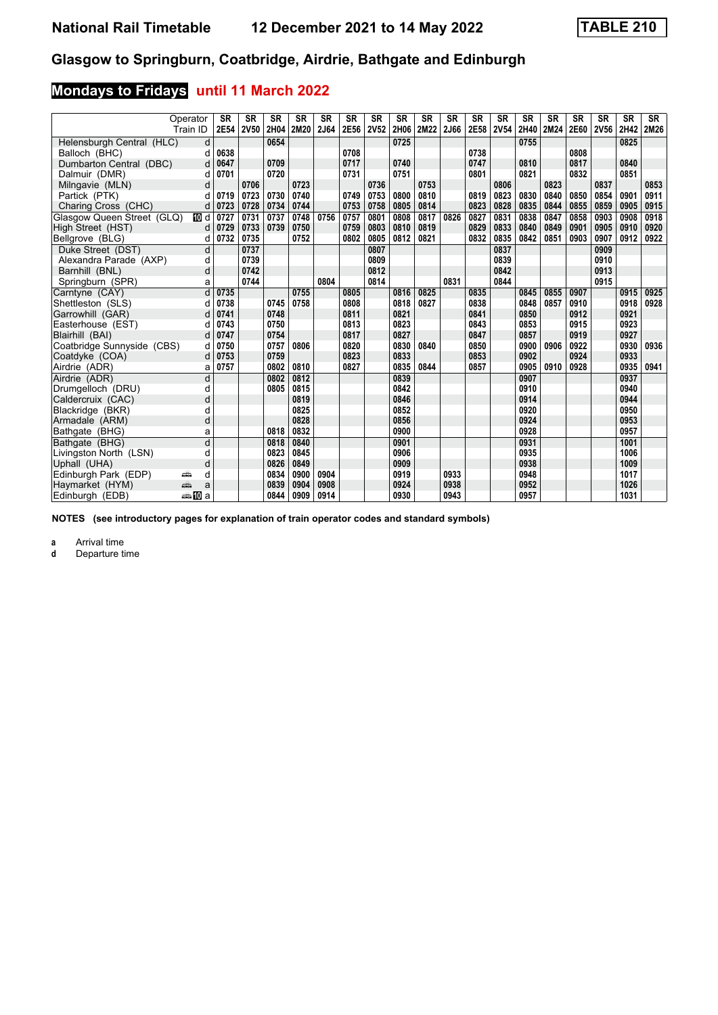## **Mondays to Fridays until 11 March 2022**

|                            | Operator<br>Train ID | <b>SR</b><br>2E54 | <b>SR</b><br><b>2V50</b> | <b>SR</b><br>2H04 | <b>SR</b><br>2M20 | <b>SR</b><br>2J64 | <b>SR</b><br>2E56 | <b>SR</b><br><b>2V52</b> | <b>SR</b><br>2H06 | <b>SR</b><br>2M22 | <b>SR</b><br>2J66 | <b>SR</b><br>2E58 | <b>SR</b><br><b>2V54</b> | <b>SR</b><br>2H40 | <b>SR</b><br>2M24 | <b>SR</b><br>2E60 | <b>SR</b><br><b>2V56</b> | <b>SR</b><br>2H42 | <b>SR</b><br>2M26 |
|----------------------------|----------------------|-------------------|--------------------------|-------------------|-------------------|-------------------|-------------------|--------------------------|-------------------|-------------------|-------------------|-------------------|--------------------------|-------------------|-------------------|-------------------|--------------------------|-------------------|-------------------|
| Helensburgh Central (HLC)  | d                    |                   |                          | 0654              |                   |                   |                   |                          | 0725              |                   |                   |                   |                          | 0755              |                   |                   |                          | 0825              |                   |
| Balloch (BHC)              | d                    | 0638              |                          |                   |                   |                   | 0708              |                          |                   |                   |                   | 0738              |                          |                   |                   | 0808              |                          |                   |                   |
| Dumbarton Central (DBC)    | d                    | 0647              |                          | 0709              |                   |                   | 0717              |                          | 0740              |                   |                   | 0747              |                          | 0810              |                   | 0817              |                          | 0840              |                   |
| Dalmuir (DMR)              | d                    | 0701              |                          | 0720              |                   |                   | 0731              |                          | 0751              |                   |                   | 0801              |                          | 0821              |                   | 0832              |                          | 0851              |                   |
| Milngavie (MLN)            | d                    |                   | 0706                     |                   | 0723              |                   |                   | 0736                     |                   | 0753              |                   |                   | 0806                     |                   | 0823              |                   | 0837                     |                   | 0853              |
| Partick (PTK)              | d                    | 0719              | 0723                     | 0730              | 0740              |                   | 0749              | 0753                     | 0800              | 0810              |                   | 0819              | 0823                     | 0830              | 0840              | 0850              | 0854                     | 0901              | 0911              |
| Charing Cross (CHC)        | d                    | 0723              | 0728                     | 0734              | 0744              |                   | 0753              | 0758                     | 0805              | 0814              |                   | 0823              | 0828                     | 0835              | 0844              | 0855              | 0859                     | 0905              | 0915              |
| Glasgow Queen Street (GLQ) | 10 d                 | 0727              | 0731                     | 0737              | 0748              | 0756              | 0757              | 0801                     | 0808              | 0817              | 0826              | 0827              | 0831                     | 0838              | 0847              | 0858              | 0903                     | 0908              | 0918              |
| High Street (HST)          | d                    | 0729              | 0733                     | 0739              | 0750              |                   | 0759              | 0803                     | 0810              | 0819              |                   | 0829              | 0833                     | 0840              | 0849              | 0901              | 0905                     | 0910              | 0920              |
| Bellgrove (BLG)            | d                    | 0732              | 0735                     |                   | 0752              |                   | 0802              | 0805                     | 0812              | 0821              |                   | 0832              | 0835                     | 0842              | 0851              | 0903              | 0907                     | 0912              | 0922              |
| Duke Street (DST)          | d                    |                   | 0737                     |                   |                   |                   |                   | 0807                     |                   |                   |                   |                   | 0837                     |                   |                   |                   | 0909                     |                   |                   |
| Alexandra Parade (AXP)     | d                    |                   | 0739                     |                   |                   |                   |                   | 0809                     |                   |                   |                   |                   | 0839                     |                   |                   |                   | 0910                     |                   |                   |
| Barnhill (BNL)             | d                    |                   | 0742                     |                   |                   |                   |                   | 0812                     |                   |                   |                   |                   | 0842                     |                   |                   |                   | 0913                     |                   |                   |
| Springburn (SPR)           | a                    |                   | 0744                     |                   |                   | 0804              |                   | 0814                     |                   |                   | 0831              |                   | 0844                     |                   |                   |                   | 0915                     |                   |                   |
| Carntyne (CAY)             | d                    | 0735              |                          |                   | 0755              |                   | 0805              |                          | 0816              | 0825              |                   | 0835              |                          | 0845              | 0855              | 0907              |                          | 0915              | 0925              |
| Shettleston (SLS)          | d                    | 0738              |                          | 0745              | 0758              |                   | 0808              |                          | 0818              | 0827              |                   | 0838              |                          | 0848              | 0857              | 0910              |                          | 0918              | 0928              |
| Garrowhill (GAR)           |                      | 0741              |                          | 0748              |                   |                   | 0811              |                          | 0821              |                   |                   | 0841              |                          | 0850              |                   | 0912              |                          | 0921              |                   |
| Easterhouse (EST)          | d                    | 0743              |                          | 0750              |                   |                   | 0813              |                          | 0823              |                   |                   | 0843              |                          | 0853              |                   | 0915              |                          | 0923              |                   |
| Blairhill (BAI)            |                      | 0747              |                          | 0754              |                   |                   | 0817              |                          | 0827              |                   |                   | 0847              |                          | 0857              |                   | 0919              |                          | 0927              |                   |
| Coatbridge Sunnyside (CBS) | d                    | 0750              |                          | 0757              | 0806              |                   | 0820              |                          | 0830              | 0840              |                   | 0850              |                          | 0900              | 0906              | 0922              |                          | 0930              | 0936              |
| Coatdyke (COA)             | d                    | 0753              |                          | 0759              |                   |                   | 0823              |                          | 0833              |                   |                   | 0853              |                          | 0902              |                   | 0924              |                          | 0933              |                   |
| Airdrie (ADR)              | a                    | 0757              |                          | 0802              | 0810              |                   | 0827              |                          | 0835              | 0844              |                   | 0857              |                          | 0905              | 0910              | 0928              |                          | 0935              | 0941              |
| Airdrie (ADR)              | d                    |                   |                          | 0802              | 0812              |                   |                   |                          | 0839              |                   |                   |                   |                          | 0907              |                   |                   |                          | 0937              |                   |
| Drumgelloch (DRU)          | d                    |                   |                          | 0805              | 0815              |                   |                   |                          | 0842              |                   |                   |                   |                          | 0910              |                   |                   |                          | 0940              |                   |
| Caldercruix (CAC)          | d                    |                   |                          |                   | 0819              |                   |                   |                          | 0846              |                   |                   |                   |                          | 0914              |                   |                   |                          | 0944              |                   |
| Blackridge (BKR)           | d                    |                   |                          |                   | 0825              |                   |                   |                          | 0852              |                   |                   |                   |                          | 0920              |                   |                   |                          | 0950              |                   |
| Armadale (ARM)             | d                    |                   |                          |                   | 0828              |                   |                   |                          | 0856              |                   |                   |                   |                          | 0924              |                   |                   |                          | 0953              |                   |
| Bathgate (BHG)             | a                    |                   |                          | 0818              | 0832              |                   |                   |                          | 0900              |                   |                   |                   |                          | 0928              |                   |                   |                          | 0957              |                   |
| Bathgate (BHG)             | d                    |                   |                          | 0818              | 0840              |                   |                   |                          | 0901              |                   |                   |                   |                          | 0931              |                   |                   |                          | 1001              |                   |
| Livingston North (LSN)     | d                    |                   |                          | 0823              | 0845              |                   |                   |                          | 0906              |                   |                   |                   |                          | 0935              |                   |                   |                          | 1006              |                   |
| Uphall (UHA)               | d                    |                   |                          | 0826              | 0849              |                   |                   |                          | 0909              |                   |                   |                   |                          | 0938              |                   |                   |                          | 1009              |                   |
| Edinburgh Park (EDP)       | d<br>پیش             |                   |                          | 0834              | 0900              | 0904              |                   |                          | 0919              |                   | 0933              |                   |                          | 0948              |                   |                   |                          | 1017              |                   |
| Haymarket (HYM)            | air<br>a             |                   |                          | 0839              | 0904              | 0908              |                   |                          | 0924              |                   | 0938              |                   |                          | 0952              |                   |                   |                          | 1026              |                   |
| Edinburgh (EDB)            | a‱Ma                 |                   |                          | 0844              | 0909              | 0914              |                   |                          | 0930              |                   | 0943              |                   |                          | 0957              |                   |                   |                          | 1031              |                   |

**NOTES (see introductory pages for explanation of train operator codes and standard symbols)**

**a** Arrival time<br>**d** Departure ti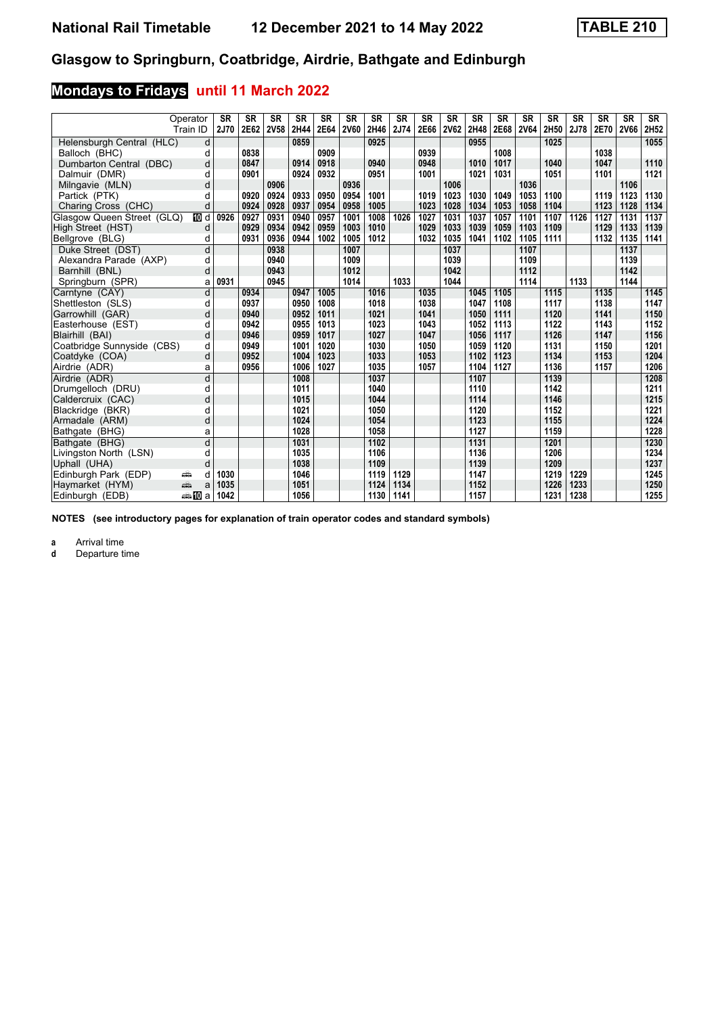## **Mondays to Fridays until 11 March 2022**

| Operator                            | <b>SR</b> | <b>SR</b> | <b>SR</b> | <b>SR</b> | <b>SR</b><br>2E64 | <b>SR</b><br><b>2V60</b> | <b>SR</b><br>2H46 | <b>SR</b> | <b>SR</b><br>2E66 | <b>SR</b>   | <b>SR</b> | <b>SR</b><br>2E68 | <b>SR</b><br><b>2V64</b> | <b>SR</b> | <b>SR</b> | <b>SR</b><br>2E70 | <b>SR</b><br><b>2V66</b> | <b>SR</b>        |
|-------------------------------------|-----------|-----------|-----------|-----------|-------------------|--------------------------|-------------------|-----------|-------------------|-------------|-----------|-------------------|--------------------------|-----------|-----------|-------------------|--------------------------|------------------|
| Train ID                            | 2J70      | 2E62      | 2V58      | 2H44      |                   |                          |                   | 2J74      |                   | <b>2V62</b> | 2H48      |                   |                          | 2H50      | 2J78      |                   |                          | 2H <sub>52</sub> |
| Helensburgh Central (HLC)<br>d      |           |           |           | 0859      |                   |                          | 0925              |           |                   |             | 0955      |                   |                          | 1025      |           |                   |                          | 1055             |
| d<br>Balloch (BHC)                  |           | 0838      |           |           | 0909              |                          |                   |           | 0939              |             |           | 1008              |                          |           |           | 1038              |                          |                  |
| d<br>Dumbarton Central (DBC)        |           | 0847      |           | 0914      | 0918              |                          | 0940              |           | 0948              |             | 1010      | 1017              |                          | 1040      |           | 1047              |                          | 1110             |
| d<br>Dalmuir (DMR)                  |           | 0901      |           | 0924      | 0932              |                          | 0951              |           | 1001              |             | 1021      | 1031              |                          | 1051      |           | 1101              |                          | 1121             |
| d<br>Milngavie (MLN)                |           |           | 0906      |           |                   | 0936                     |                   |           |                   | 1006        |           |                   | 1036                     |           |           |                   | 1106                     |                  |
| Partick (PTK)<br>d                  |           | 0920      | 0924      | 0933      | 0950              | 0954                     | 1001              |           | 1019              | 1023        | 1030      | 1049              | 1053                     | 1100      |           | 1119              | 1123                     | 1130             |
| Charing Cross (CHC)<br>d            |           | 0924      | 0928      | 0937      | 0954              | 0958                     | 1005              |           | 1023              | 1028        | 1034      | 1053              | 1058                     | 1104      |           | 1123              | 1128                     | 1134             |
| Glasgow Queen Street (GLQ)<br>100 d | 0926      | 0927      | 0931      | 0940      | 0957              | 1001                     | 1008              | 1026      | 1027              | 1031        | 1037      | 1057              | 1101                     | 1107      | 1126      | 1127              | 1131                     | 1137             |
| High Street (HST)<br>d              |           | 0929      | 0934      | 0942      | 0959              | 1003                     | 1010              |           | 1029              | 1033        | 1039      | 1059              | 1103                     | 1109      |           | 1129              | 1133                     | 1139             |
| Bellgrove (BLG)<br>d                |           | 0931      | 0936      | 0944      | 1002              | 1005                     | 1012              |           | 1032              | 1035        | 1041      | 1102              | 1105                     | 1111      |           | 1132              | 1135                     | 1141             |
| d<br>Duke Street (DST)              |           |           | 0938      |           |                   | 1007                     |                   |           |                   | 1037        |           |                   | 1107                     |           |           |                   | 1137                     |                  |
| Alexandra Parade (AXP)<br>d         |           |           | 0940      |           |                   | 1009                     |                   |           |                   | 1039        |           |                   | 1109                     |           |           |                   | 1139                     |                  |
| d<br>Barnhill (BNL)                 |           |           | 0943      |           |                   | 1012                     |                   |           |                   | 1042        |           |                   | 1112                     |           |           |                   | 1142                     |                  |
| Springburn (SPR)<br>a               | 0931      |           | 0945      |           |                   | 1014                     |                   | 1033      |                   | 1044        |           |                   | 1114                     |           | 1133      |                   | 1144                     |                  |
| d<br>Carntyne (CAY)                 |           | 0934      |           | 0947      | 1005              |                          | 1016              |           | 1035              |             | 1045      | 1105              |                          | 1115      |           | 1135              |                          | 1145             |
| Shettleston (SLS)<br>d              |           | 0937      |           | 0950      | 1008              |                          | 1018              |           | 1038              |             | 1047      | 1108              |                          | 1117      |           | 1138              |                          | 1147             |
| Garrowhill (GAR)<br>d               |           | 0940      |           | 0952      | 1011              |                          | 1021              |           | 1041              |             | 1050      | 1111              |                          | 1120      |           | 1141              |                          | 1150             |
| Easterhouse (EST)<br>d              |           | 0942      |           | 0955      | 1013              |                          | 1023              |           | 1043              |             | 1052      | 1113              |                          | 1122      |           | 1143              |                          | 1152             |
| d<br>Blairhill (BAI)                |           | 0946      |           | 0959      | 1017              |                          | 1027              |           | 1047              |             | 1056      | 1117              |                          | 1126      |           | 1147              |                          | 1156             |
| Coatbridge Sunnyside (CBS)<br>d     |           | 0949      |           | 1001      | 1020              |                          | 1030              |           | 1050              |             | 1059      | 1120              |                          | 1131      |           | 1150              |                          | 1201             |
| d<br>Coatdyke (COA)                 |           | 0952      |           | 1004      | 1023              |                          | 1033              |           | 1053              |             | 1102      | 1123              |                          | 1134      |           | 1153              |                          | 1204             |
| Airdrie (ADR)<br>а                  |           | 0956      |           | 1006      | 1027              |                          | 1035              |           | 1057              |             | 1104      | 1127              |                          | 1136      |           | 1157              |                          | 1206             |
| d<br>Airdrie (ADR)                  |           |           |           | 1008      |                   |                          | 1037              |           |                   |             | 1107      |                   |                          | 1139      |           |                   |                          | 1208             |
| Drumgelloch (DRU)<br>d              |           |           |           | 1011      |                   |                          | 1040              |           |                   |             | 1110      |                   |                          | 1142      |           |                   |                          | 1211             |
| d<br>Caldercruix (CAC)              |           |           |           | 1015      |                   |                          | 1044              |           |                   |             | 1114      |                   |                          | 1146      |           |                   |                          | 1215             |
| Blackridge (BKR)<br>d               |           |           |           | 1021      |                   |                          | 1050              |           |                   |             | 1120      |                   |                          | 1152      |           |                   |                          | 1221             |
| d<br>Armadale (ARM)                 |           |           |           | 1024      |                   |                          | 1054              |           |                   |             | 1123      |                   |                          | 1155      |           |                   |                          | 1224             |
| Bathgate (BHG)<br>a                 |           |           |           | 1028      |                   |                          | 1058              |           |                   |             | 1127      |                   |                          | 1159      |           |                   |                          | 1228             |
| d<br>Bathgate (BHG)                 |           |           |           | 1031      |                   |                          | 1102              |           |                   |             | 1131      |                   |                          | 1201      |           |                   |                          | 1230             |
| Livingston North (LSN)<br>d         |           |           |           | 1035      |                   |                          | 1106              |           |                   |             | 1136      |                   |                          | 1206      |           |                   |                          | 1234             |
| Uphall (UHA)<br>d                   |           |           |           | 1038      |                   |                          | 1109              |           |                   |             | 1139      |                   |                          | 1209      |           |                   |                          | 1237             |
| Edinburgh Park (EDP)<br>پیش<br>d    | 1030      |           |           | 1046      |                   |                          | 1119              | 1129      |                   |             | 1147      |                   |                          | 1219      | 1229      |                   |                          | 1245             |
| Haymarket (HYM)<br>پته<br>a         | 1035      |           |           | 1051      |                   |                          | 1124              | 1134      |                   |             | 1152      |                   |                          | 1226      | 1233      |                   |                          | 1250             |
| Edinburgh (EDB)<br>danan ma         | 1042      |           |           | 1056      |                   |                          | 1130              | 1141      |                   |             | 1157      |                   |                          | 1231      | 1238      |                   |                          | 1255             |

**NOTES (see introductory pages for explanation of train operator codes and standard symbols)**

**a** Arrival time<br>**d** Departure ti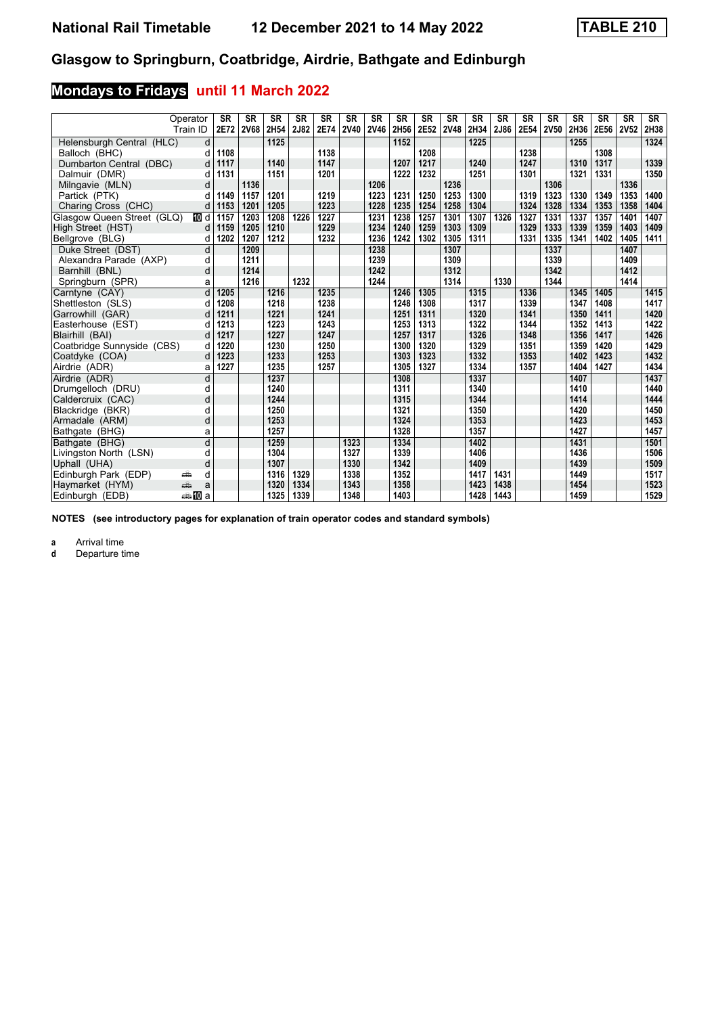## **Mondays to Fridays until 11 March 2022**

|                            | Operator<br>Train ID | <b>SR</b><br>2E72 | <b>SR</b><br><b>2V68</b> | <b>SR</b><br>2H54 | <b>SR</b><br>2J82 | <b>SR</b><br>2E74 | <b>SR</b><br><b>2V40</b> | <b>SR</b><br><b>2V46</b> | <b>SR</b><br>2H56 | <b>SR</b><br>2E52 | <b>SR</b><br><b>2V48</b> | <b>SR</b><br>2H34 | <b>SR</b><br>2J86 | <b>SR</b><br>2E54 | <b>SR</b><br><b>2V50</b> | <b>SR</b><br>2H36 | <b>SR</b><br>2E56 | <b>SR</b><br><b>2V52</b> | <b>SR</b><br>2H38 |
|----------------------------|----------------------|-------------------|--------------------------|-------------------|-------------------|-------------------|--------------------------|--------------------------|-------------------|-------------------|--------------------------|-------------------|-------------------|-------------------|--------------------------|-------------------|-------------------|--------------------------|-------------------|
| Helensburgh Central (HLC)  | d                    |                   |                          | 1125              |                   |                   |                          |                          | 1152              |                   |                          | 1225              |                   |                   |                          | 1255              |                   |                          | 1324              |
| Balloch (BHC)              | d                    | 1108              |                          |                   |                   | 1138              |                          |                          |                   | 1208              |                          |                   |                   | 1238              |                          |                   | 1308              |                          |                   |
| Dumbarton Central (DBC)    | d                    | 1117              |                          | 1140              |                   | 1147              |                          |                          | 1207              | 1217              |                          | 1240              |                   | 1247              |                          | 1310              | 1317              |                          | 1339              |
| Dalmuir (DMR)              | d                    | 1131              |                          | 1151              |                   | 1201              |                          |                          | 1222              | 1232              |                          | 1251              |                   | 1301              |                          | 1321              | 1331              |                          | 1350              |
| Milngavie (MLN)            | d                    |                   | 1136                     |                   |                   |                   |                          | 1206                     |                   |                   | 1236                     |                   |                   |                   | 1306                     |                   |                   | 1336                     |                   |
| Partick (PTK)              | d                    | 1149              | 1157                     | 1201              |                   | 1219              |                          | 1223                     | 1231              | 1250              | 1253                     | 1300              |                   | 1319              | 1323                     | 1330              | 1349              | 1353                     | 1400              |
| Charing Cross (CHC)        | d                    | 1153              | 1201                     | 1205              |                   | 1223              |                          | 1228                     | 1235              | 1254              | 1258                     | 1304              |                   | 1324              | 1328                     | 1334              | 1353              | 1358                     | 1404              |
| Glasgow Queen Street (GLQ) | 10 d                 | 1157              | 1203                     | 1208              | 1226              | 1227              |                          | 1231                     | 1238              | 1257              | 1301                     | 1307              | 1326              | 1327              | 1331                     | 1337              | 1357              | 1401                     | 1407              |
| High Street (HST)          | d                    | 1159              | 1205                     | 1210              |                   | 1229              |                          | 1234                     | 1240              | 1259              | 1303                     | 1309              |                   | 1329              | 1333                     | 1339              | 1359              | 1403                     | 1409              |
| Bellgrove (BLG)            | d                    | 1202              | 1207                     | 1212              |                   | 1232              |                          | 1236                     | 1242              | 1302              | 1305                     | 1311              |                   | 1331              | 1335                     | 1341              | 1402              | 1405                     | 1411              |
| Duke Street (DST)          | d                    |                   | 1209                     |                   |                   |                   |                          | 1238                     |                   |                   | 1307                     |                   |                   |                   | 1337                     |                   |                   | 1407                     |                   |
| Alexandra Parade (AXP)     | d                    |                   | 1211                     |                   |                   |                   |                          | 1239                     |                   |                   | 1309                     |                   |                   |                   | 1339                     |                   |                   | 1409                     |                   |
| Barnhill (BNL)             | d                    |                   | 1214                     |                   |                   |                   |                          | 1242                     |                   |                   | 1312                     |                   |                   |                   | 1342                     |                   |                   | 1412                     |                   |
| Springburn (SPR)           | a                    |                   | 1216                     |                   | 1232              |                   |                          | 1244                     |                   |                   | 1314                     |                   | 1330              |                   | 1344                     |                   |                   | 1414                     |                   |
| Carntyne (CAY)             | d                    | 1205              |                          | 1216              |                   | 1235              |                          |                          | 1246              | 1305              |                          | 1315              |                   | 1336              |                          | 1345              | 1405              |                          | 1415              |
| Shettleston (SLS)          | d                    | 1208              |                          | 1218              |                   | 1238              |                          |                          | 1248              | 1308              |                          | 1317              |                   | 1339              |                          | 1347              | 1408              |                          | 1417              |
| Garrowhill (GAR)           |                      | 1211              |                          | 1221              |                   | 1241              |                          |                          | 1251              | 1311              |                          | 1320              |                   | 1341              |                          | 1350              | 1411              |                          | 1420              |
| Easterhouse (EST)          | d                    | 1213              |                          | 1223              |                   | 1243              |                          |                          | 1253              | 1313              |                          | 1322              |                   | 1344              |                          | 1352              | 1413              |                          | 1422              |
| Blairhill (BAI)            | d                    | 1217              |                          | 1227              |                   | 1247              |                          |                          | 1257              | 1317              |                          | 1326              |                   | 1348              |                          | 1356              | 1417              |                          | 1426              |
| Coatbridge Sunnyside (CBS) | d                    | 1220              |                          | 1230              |                   | 1250              |                          |                          | 1300              | 1320              |                          | 1329              |                   | 1351              |                          | 1359              | 1420              |                          | 1429              |
| Coatdyke (COA)             | d                    | 1223              |                          | 1233              |                   | 1253              |                          |                          | 1303              | 1323              |                          | 1332              |                   | 1353              |                          | 1402              | 1423              |                          | 1432              |
| Airdrie (ADR)              | a                    | 1227              |                          | 1235              |                   | 1257              |                          |                          | 1305              | 1327              |                          | 1334              |                   | 1357              |                          | 1404              | 1427              |                          | 1434              |
| Airdrie (ADR)              | d                    |                   |                          | 1237              |                   |                   |                          |                          | 1308              |                   |                          | 1337              |                   |                   |                          | 1407              |                   |                          | 1437              |
| Drumgelloch (DRU)          | d                    |                   |                          | 1240              |                   |                   |                          |                          | 1311              |                   |                          | 1340              |                   |                   |                          | 1410              |                   |                          | 1440              |
| Caldercruix (CAC)          | d                    |                   |                          | 1244              |                   |                   |                          |                          | 1315              |                   |                          | 1344              |                   |                   |                          | 1414              |                   |                          | 1444              |
| Blackridge (BKR)           | d                    |                   |                          | 1250              |                   |                   |                          |                          | 1321              |                   |                          | 1350              |                   |                   |                          | 1420              |                   |                          | 1450              |
| Armadale (ARM)             | d                    |                   |                          | 1253              |                   |                   |                          |                          | 1324              |                   |                          | 1353              |                   |                   |                          | 1423              |                   |                          | 1453              |
| Bathgate (BHG)             | a                    |                   |                          | 1257              |                   |                   |                          |                          | 1328              |                   |                          | 1357              |                   |                   |                          | 1427              |                   |                          | 1457              |
| Bathgate (BHG)             | d                    |                   |                          | 1259              |                   |                   | 1323                     |                          | 1334              |                   |                          | 1402              |                   |                   |                          | 1431              |                   |                          | 1501              |
| Livingston North (LSN)     | d                    |                   |                          | 1304              |                   |                   | 1327                     |                          | 1339              |                   |                          | 1406              |                   |                   |                          | 1436              |                   |                          | 1506              |
| Uphall (UHA)               | d                    |                   |                          | 1307              |                   |                   | 1330                     |                          | 1342              |                   |                          | 1409              |                   |                   |                          | 1439              |                   |                          | 1509              |
| Edinburgh Park (EDP)       | d<br>پیشته           |                   |                          | 1316              | 1329              |                   | 1338                     |                          | 1352              |                   |                          | 1417              | 1431              |                   |                          | 1449              |                   |                          | 1517              |
| Haymarket (HYM)            | ain<br>a             |                   |                          | 1320              | 1334              |                   | 1343                     |                          | 1358              |                   |                          | 1423              | 1438              |                   |                          | 1454              |                   |                          | 1523              |
| Edinburgh (EDB)            | ⇔≞MDa                |                   |                          | 1325              | 1339              |                   | 1348                     |                          | 1403              |                   |                          | 1428              | 1443              |                   |                          | 1459              |                   |                          | 1529              |

**NOTES (see introductory pages for explanation of train operator codes and standard symbols)**

**a** Arrival time<br>**d** Departure ti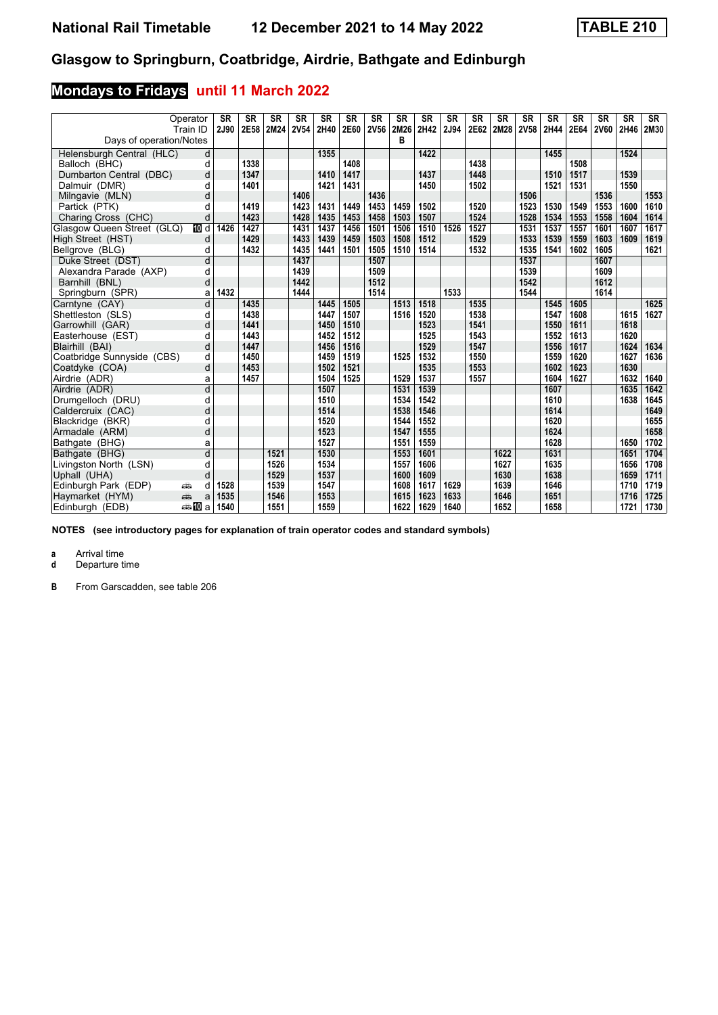## **Mondays to Fridays until 11 March 2022**

| Operator<br>Train ID                     | <b>SR</b><br><b>2J90</b> | <b>SR</b><br>2E58 | <b>SR</b><br>2M24 | <b>SR</b><br><b>2V54</b> | <b>SR</b><br>2H40 | <b>SR</b><br>2E60 | <b>SR</b><br><b>2V56</b> | <b>SR</b><br>2M26 | <b>SR</b><br>2H42 | <b>SR</b><br>2J94 | <b>SR</b><br>2E62 | <b>SR</b><br>2M28 | <b>SR</b><br><b>2V58</b> | <b>SR</b><br>2H44 | <b>SR</b><br>2E64 | <b>SR</b><br><b>2V60</b> | <b>SR</b><br>2H46 | <b>SR</b><br>2M30 |
|------------------------------------------|--------------------------|-------------------|-------------------|--------------------------|-------------------|-------------------|--------------------------|-------------------|-------------------|-------------------|-------------------|-------------------|--------------------------|-------------------|-------------------|--------------------------|-------------------|-------------------|
| Days of operation/Notes                  |                          |                   |                   |                          |                   |                   |                          | в                 |                   |                   |                   |                   |                          |                   |                   |                          |                   |                   |
| Helensburgh Central (HLC)<br>d           |                          |                   |                   |                          | 1355              |                   |                          |                   | 1422              |                   |                   |                   |                          | 1455              |                   |                          | 1524              |                   |
| Balloch (BHC)<br>d                       |                          | 1338              |                   |                          |                   | 1408              |                          |                   |                   |                   | 1438              |                   |                          |                   | 1508              |                          |                   |                   |
| d<br>Dumbarton Central (DBC)             |                          | 1347              |                   |                          | 1410              | 1417              |                          |                   | 1437              |                   | 1448              |                   |                          | 1510              | 1517              |                          | 1539              |                   |
| Dalmuir (DMR)<br>d                       |                          | 1401              |                   |                          | 1421              | 1431              |                          |                   | 1450              |                   | 1502              |                   |                          | 1521              | 1531              |                          | 1550              |                   |
| d<br>Milngavie (MLN)                     |                          |                   |                   | 1406                     |                   |                   | 1436                     |                   |                   |                   |                   |                   | 1506                     |                   |                   | 1536                     |                   | 1553              |
| Partick (PTK)<br>d                       |                          | 1419              |                   | 1423                     | 1431              | 1449              | 1453                     | 1459              | 1502              |                   | 1520              |                   | 1523                     | 1530              | 1549              | 1553                     | 1600              | 1610              |
| Charing Cross (CHC)<br>d                 |                          | 1423              |                   | 1428                     | 1435              | 1453              | 1458                     | 1503              | 1507              |                   | 1524              |                   | 1528                     | 1534              | 1553              | 1558                     | 1604              | 1614              |
| Glasgow Queen Street (GLQ)<br>10 d       | 1426                     | 1427              |                   | 1431                     | 1437              | 1456              | 1501                     | 1506              | 1510              | 1526              | 1527              |                   | 1531                     | 1537              | 1557              | 1601                     | 1607              | 1617              |
| High Street (HST)<br>d                   |                          | 1429              |                   | 1433                     | 1439              | 1459              | 1503                     | 1508              | 1512              |                   | 1529              |                   | 1533                     | 1539              | 1559              | 1603                     | 1609              | 1619              |
| d<br>Bellgrove (BLG)                     |                          | 1432              |                   | 1435                     | 1441              | 1501              | 1505                     | 1510              | 1514              |                   | 1532              |                   | 1535                     | 1541              | 1602              | 1605                     |                   | 1621              |
| d<br>Duke Street (DST)                   |                          |                   |                   | 1437                     |                   |                   | 1507                     |                   |                   |                   |                   |                   | 1537                     |                   |                   | 1607                     |                   |                   |
| Alexandra Parade (AXP)<br>d              |                          |                   |                   | 1439                     |                   |                   | 1509                     |                   |                   |                   |                   |                   | 1539                     |                   |                   | 1609                     |                   |                   |
| d<br>Barnhill (BNL)                      |                          |                   |                   | 1442                     |                   |                   | 1512                     |                   |                   |                   |                   |                   | 1542                     |                   |                   | 1612                     |                   |                   |
| Springburn (SPR)<br>a                    | 1432                     |                   |                   | 1444                     |                   |                   | 1514                     |                   |                   | 1533              |                   |                   | 1544                     |                   |                   | 1614                     |                   |                   |
| d<br>Carntyne (CAY)                      |                          | 1435              |                   |                          | 1445              | 1505              |                          | 1513              | 1518              |                   | 1535              |                   |                          | 1545              | 1605              |                          |                   | 1625              |
| Shettleston (SLS)<br>d                   |                          | 1438              |                   |                          | 1447              | 1507              |                          | 1516              | 1520              |                   | 1538              |                   |                          | 1547              | 1608              |                          | 1615              | 1627              |
| Garrowhill (GAR)<br>d                    |                          | 1441              |                   |                          | 1450              | 1510              |                          |                   | 1523              |                   | 1541              |                   |                          | 1550              | 1611              |                          | 1618              |                   |
| Easterhouse (EST)<br>d                   |                          | 1443              |                   |                          | 1452              | 1512              |                          |                   | 1525              |                   | 1543              |                   |                          | 1552              | 1613              |                          | 1620              |                   |
| Blairhill (BAI)<br>d                     |                          | 1447              |                   |                          | 1456              | 1516              |                          |                   | 1529              |                   | 1547              |                   |                          | 1556              | 1617              |                          | 1624              | 1634              |
| Coatbridge Sunnyside (CBS)<br>d          |                          | 1450              |                   |                          | 1459              | 1519              |                          | 1525              | 1532              |                   | 1550              |                   |                          | 1559              | 1620              |                          | 1627              | 1636              |
| d<br>Coatdyke (COA)                      |                          | 1453              |                   |                          | 1502              | 1521              |                          |                   | 1535              |                   | 1553              |                   |                          | 1602              | 1623              |                          | 1630              |                   |
| Airdrie (ADR)<br>a                       |                          | 1457              |                   |                          | 1504              | 1525              |                          | 1529              | 1537              |                   | 1557              |                   |                          | 1604              | 1627              |                          | 1632              | 1640              |
| d<br>Airdrie (ADR)                       |                          |                   |                   |                          | 1507              |                   |                          | 1531              | 1539              |                   |                   |                   |                          | 1607              |                   |                          | 1635              | 1642              |
| Drumgelloch (DRU)<br>d                   |                          |                   |                   |                          | 1510              |                   |                          | 1534              | 1542              |                   |                   |                   |                          | 1610              |                   |                          | 1638              | 1645              |
| Caldercruix (CAC)<br>d                   |                          |                   |                   |                          | 1514              |                   |                          | 1538              | 1546              |                   |                   |                   |                          | 1614              |                   |                          |                   | 1649              |
| Blackridge (BKR)<br>d                    |                          |                   |                   |                          | 1520              |                   |                          | 1544              | 1552              |                   |                   |                   |                          | 1620              |                   |                          |                   | 1655              |
| d<br>Armadale (ARM)                      |                          |                   |                   |                          | 1523              |                   |                          | 1547              | 1555              |                   |                   |                   |                          | 1624              |                   |                          |                   | 1658              |
| Bathgate (BHG)<br>a                      |                          |                   |                   |                          | 1527              |                   |                          | 1551              | 1559              |                   |                   |                   |                          | 1628              |                   |                          | 1650              | 1702              |
| d<br>Bathgate (BHG)                      |                          |                   | 1521              |                          | 1530              |                   |                          | 1553              | 1601              |                   |                   | 1622              |                          | 1631              |                   |                          | 1651              | 1704              |
| Livingston North (LSN)<br>d              |                          |                   | 1526              |                          | 1534              |                   |                          | 1557              | 1606              |                   |                   | 1627              |                          | 1635              |                   |                          | 1656              | 1708              |
| Uphall (UHA)<br>d                        |                          |                   | 1529              |                          | 1537              |                   |                          | 1600              | 1609              |                   |                   | 1630              |                          | 1638              |                   |                          | 1659              | 1711              |
| Edinburgh Park (EDP)<br>پیش<br>d         | 1528                     |                   | 1539              |                          | 1547              |                   |                          | 1608              | 1617              | 1629              |                   | 1639              |                          | 1646              |                   |                          | 1710              | 1719              |
| 驫<br>Havmarket (HYM)<br>a                | 1535                     |                   | 1546              |                          | 1553              |                   |                          | 1615              | 1623              | 1633              |                   | 1646              |                          | 1651              |                   |                          | 1716              | 1725              |
| Edinburgh (EDB)<br>densin <mark>a</mark> | 1540                     |                   | 1551              |                          | 1559              |                   |                          | 1622              | 1629              | 1640              |                   | 1652              |                          | 1658              |                   |                          | 1721              | 1730              |

**NOTES (see introductory pages for explanation of train operator codes and standard symbols)**

**a** Arrival time<br>**d** Departure t

**d** Departure time

 $\overline{\mathbf{B}}$ From Garscadden, see table 206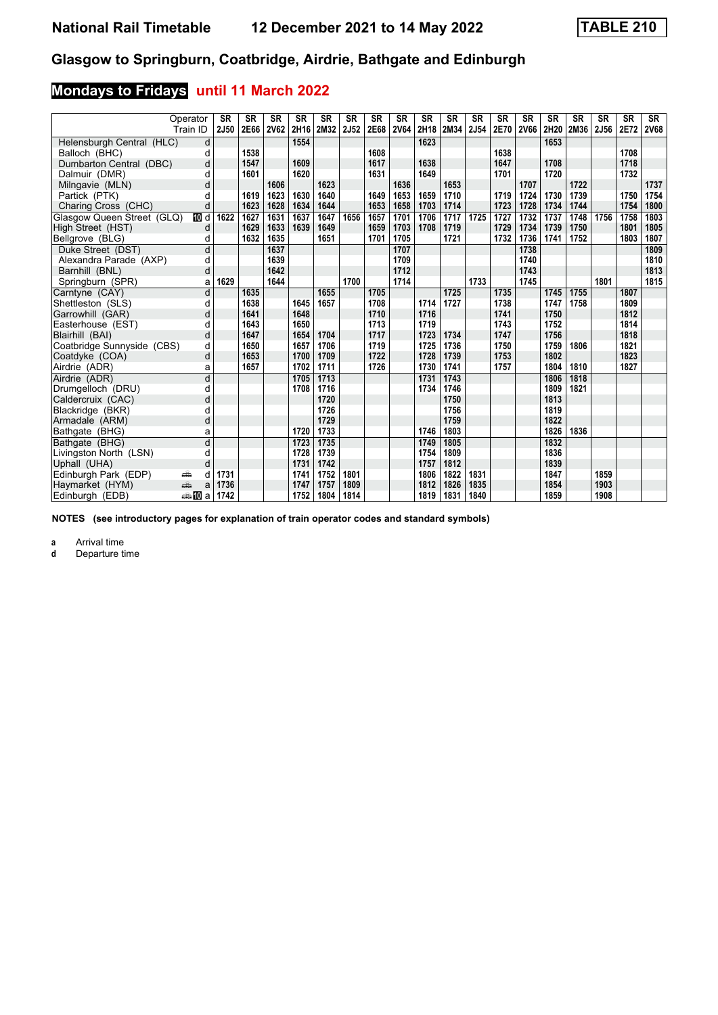## **Mondays to Fridays until 11 March 2022**

|                            | Operator<br>Train ID | <b>SR</b><br>2J50 | <b>SR</b><br>2E66 | <b>SR</b><br><b>2V62</b> | <b>SR</b><br>2H16 | <b>SR</b><br>2M32 | <b>SR</b><br><b>2J52</b> | <b>SR</b><br>2E68 | <b>SR</b><br><b>2V64</b> | <b>SR</b><br>2H18 | <b>SR</b><br>2M34 | <b>SR</b><br><b>2J54</b> | <b>SR</b><br>2E70 | <b>SR</b><br><b>2V66</b> | <b>SR</b><br>2H20 | <b>SR</b><br>2M36 | <b>SR</b><br><b>2J56</b> | <b>SR</b><br>2E72 | SR<br><b>2V68</b> |
|----------------------------|----------------------|-------------------|-------------------|--------------------------|-------------------|-------------------|--------------------------|-------------------|--------------------------|-------------------|-------------------|--------------------------|-------------------|--------------------------|-------------------|-------------------|--------------------------|-------------------|-------------------|
| Helensburgh Central (HLC)  | d                    |                   |                   |                          | 1554              |                   |                          |                   |                          | 1623              |                   |                          |                   |                          | 1653              |                   |                          |                   |                   |
| Balloch (BHC)              | d                    |                   | 1538              |                          |                   |                   |                          | 1608              |                          |                   |                   |                          | 1638              |                          |                   |                   |                          | 1708              |                   |
| Dumbarton Central (DBC)    | d                    |                   | 1547              |                          | 1609              |                   |                          | 1617              |                          | 1638              |                   |                          | 1647              |                          | 1708              |                   |                          | 1718              |                   |
| Dalmuir (DMR)              | d                    |                   | 1601              |                          | 1620              |                   |                          | 1631              |                          | 1649              |                   |                          | 1701              |                          | 1720              |                   |                          | 1732              |                   |
| Milngavie (MLN)            | d                    |                   |                   | 1606                     |                   | 1623              |                          |                   | 1636                     |                   | 1653              |                          |                   | 1707                     |                   | 1722              |                          |                   | 1737              |
| Partick (PTK)              | d                    |                   | 1619              | 1623                     | 1630              | 1640              |                          | 1649              | 1653                     | 1659              | 1710              |                          | 1719              | 1724                     | 1730              | 1739              |                          | 1750              | 1754              |
| Charing Cross (CHC)        | d                    |                   | 1623              | 1628                     | 1634              | 1644              |                          | 1653              | 1658                     | 1703              | 1714              |                          | 1723              | 1728                     | 1734              | 1744              |                          | 1754              | 1800              |
| Glasgow Queen Street (GLQ) | IIII d               | 1622              | 1627              | 1631                     | 1637              | 1647              | 1656                     | 1657              | 1701                     | 1706              | 1717              | 1725                     | 1727              | 1732                     | 1737              | 1748              | 1756                     | 1758              | 1803              |
| High Street (HST)          | d                    |                   | 1629              | 1633                     | 1639              | 1649              |                          | 1659              | 1703                     | 1708              | 1719              |                          | 1729              | 1734                     | 1739              | 1750              |                          | 1801              | 1805              |
| Bellgrove (BLG)            | d                    |                   | 1632              | 1635                     |                   | 1651              |                          | 1701              | 1705                     |                   | 1721              |                          | 1732              | 1736                     | 1741              | 1752              |                          | 1803              | 1807              |
| Duke Street (DST)          | d                    |                   |                   | 1637                     |                   |                   |                          |                   | 1707                     |                   |                   |                          |                   | 1738                     |                   |                   |                          |                   | 1809              |
| Alexandra Parade (AXP)     | d                    |                   |                   | 1639                     |                   |                   |                          |                   | 1709                     |                   |                   |                          |                   | 1740                     |                   |                   |                          |                   | 1810              |
| Barnhill (BNL)             | d                    |                   |                   | 1642                     |                   |                   |                          |                   | 1712                     |                   |                   |                          |                   | 1743                     |                   |                   |                          |                   | 1813              |
| Springburn (SPR)           | a                    | 1629              |                   | 1644                     |                   |                   | 1700                     |                   | 1714                     |                   |                   | 1733                     |                   | 1745                     |                   |                   | 1801                     |                   | 1815              |
| Carntyne (CAY)             | d                    |                   | 1635              |                          |                   | 1655              |                          | 1705              |                          |                   | 1725              |                          | 1735              |                          | 1745              | 1755              |                          | 1807              |                   |
| Shettleston (SLS)          | d                    |                   | 1638              |                          | 1645              | 1657              |                          | 1708              |                          | 1714              | 1727              |                          | 1738              |                          | 1747              | 1758              |                          | 1809              |                   |
| Garrowhill (GAR)           | d                    |                   | 1641              |                          | 1648              |                   |                          | 1710              |                          | 1716              |                   |                          | 1741              |                          | 1750              |                   |                          | 1812              |                   |
| Easterhouse (EST)          | d                    |                   | 1643              |                          | 1650              |                   |                          | 1713              |                          | 1719              |                   |                          | 1743              |                          | 1752              |                   |                          | 1814              |                   |
| Blairhill (BAI)            | d                    |                   | 1647              |                          | 1654              | 1704              |                          | 1717              |                          | 1723              | 1734              |                          | 1747              |                          | 1756              |                   |                          | 1818              |                   |
| Coatbridge Sunnyside (CBS) | d                    |                   | 1650              |                          | 1657              | 1706              |                          | 1719              |                          | 1725              | 1736              |                          | 1750              |                          | 1759              | 1806              |                          | 1821              |                   |
| Coatdyke (COA)             | d                    |                   | 1653              |                          | 1700              | 1709              |                          | 1722              |                          | 1728              | 1739              |                          | 1753              |                          | 1802              |                   |                          | 1823              |                   |
| Airdrie (ADR)              | a                    |                   | 1657              |                          | 1702              | 1711              |                          | 1726              |                          | 1730              | 1741              |                          | 1757              |                          | 1804              | 1810              |                          | 1827              |                   |
| Airdrie (ADR)              | d                    |                   |                   |                          | 1705              | 1713              |                          |                   |                          | 1731              | 1743              |                          |                   |                          | 1806              | 1818              |                          |                   |                   |
| Drumgelloch (DRU)          | d                    |                   |                   |                          | 1708              | 1716              |                          |                   |                          | 1734              | 1746              |                          |                   |                          | 1809              | 1821              |                          |                   |                   |
| Caldercruix (CAC)          | d                    |                   |                   |                          |                   | 1720              |                          |                   |                          |                   | 1750              |                          |                   |                          | 1813              |                   |                          |                   |                   |
| Blackridge (BKR)           | d                    |                   |                   |                          |                   | 1726              |                          |                   |                          |                   | 1756              |                          |                   |                          | 1819              |                   |                          |                   |                   |
| Armadale (ARM)             | d                    |                   |                   |                          |                   | 1729              |                          |                   |                          |                   | 1759              |                          |                   |                          | 1822              |                   |                          |                   |                   |
| Bathgate (BHG)             | а                    |                   |                   |                          | 1720              | 1733              |                          |                   |                          | 1746              | 1803              |                          |                   |                          | 1826              | 1836              |                          |                   |                   |
| Bathgate (BHG)             | d                    |                   |                   |                          | 1723              | 1735              |                          |                   |                          | 1749              | 1805              |                          |                   |                          | 1832              |                   |                          |                   |                   |
| Livingston North (LSN)     | d                    |                   |                   |                          | 1728              | 1739              |                          |                   |                          | 1754              | 1809              |                          |                   |                          | 1836              |                   |                          |                   |                   |
| Uphall (UHA)               | d                    |                   |                   |                          | 1731              | 1742              |                          |                   |                          | 1757              | 1812              |                          |                   |                          | 1839              |                   |                          |                   |                   |
| Edinburgh Park (EDP)       | پیش<br>d             | 1731              |                   |                          | 1741              | 1752              | 1801                     |                   |                          | 1806              | 1822              | 1831                     |                   |                          | 1847              |                   | 1859                     |                   |                   |
| Haymarket (HYM)            | يتنيه<br>a           | 1736              |                   |                          | 1747              | 1757              | 1809                     |                   |                          | 1812              | 1826              | 1835                     |                   |                          | 1854              |                   | 1903                     |                   |                   |
| Edinburgh (EDB)            | dan <b>in</b> a      | 1742              |                   |                          | 1752              | 1804              | 1814                     |                   |                          | 1819              | 1831              | 1840                     |                   |                          | 1859              |                   | 1908                     |                   |                   |

**NOTES (see introductory pages for explanation of train operator codes and standard symbols)**

**a** Arrival time<br>**d** Departure ti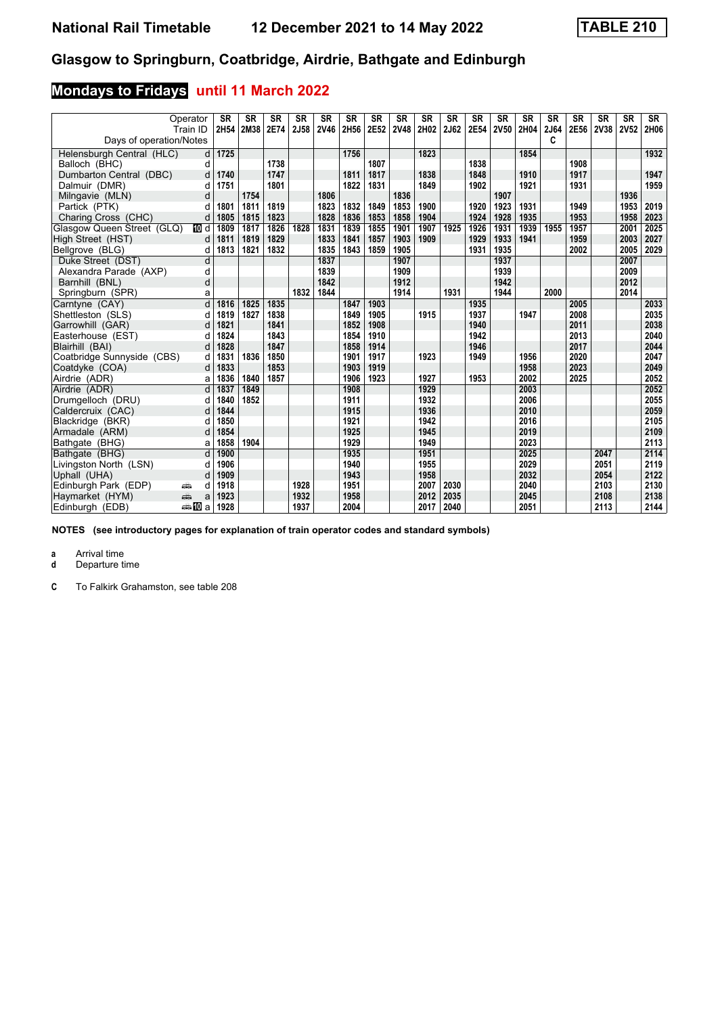## **Mondays to Fridays until 11 March 2022**

| Operator<br>Train ID               | <b>SR</b><br>2H54 | <b>SR</b><br>2M38 | <b>SR</b><br>2E74 | <b>SR</b><br>2J58 | <b>SR</b><br><b>2V46</b> | <b>SR</b><br>2H56 | <b>SR</b><br>2E52 | <b>SR</b><br><b>2V48</b> | <b>SR</b><br>2H02 | <b>SR</b><br>2J62 | <b>SR</b><br>2E54 | <b>SR</b><br><b>2V50</b> | <b>SR</b><br>2H04 | <b>SR</b><br>2J64 | SR<br>2E56 | <b>SR</b><br>2V38 | <b>SR</b><br><b>2V52</b> | <b>SR</b><br>2H06 |
|------------------------------------|-------------------|-------------------|-------------------|-------------------|--------------------------|-------------------|-------------------|--------------------------|-------------------|-------------------|-------------------|--------------------------|-------------------|-------------------|------------|-------------------|--------------------------|-------------------|
| Days of operation/Notes            |                   |                   |                   |                   |                          |                   |                   |                          |                   |                   |                   |                          |                   | C                 |            |                   |                          |                   |
| Helensburgh Central (HLC)<br>d     | 1725              |                   |                   |                   |                          | 1756              |                   |                          | 1823              |                   |                   |                          | 1854              |                   |            |                   |                          | 1932              |
| Balloch (BHC)<br>d                 |                   |                   | 1738              |                   |                          |                   | 1807              |                          |                   |                   | 1838              |                          |                   |                   | 1908       |                   |                          |                   |
| d<br>Dumbarton Central (DBC)       | 1740              |                   | 1747              |                   |                          | 1811              | 1817              |                          | 1838              |                   | 1848              |                          | 1910              |                   | 1917       |                   |                          | 1947              |
| Dalmuir (DMR)<br>d                 | 1751              |                   | 1801              |                   |                          | 1822              | 1831              |                          | 1849              |                   | 1902              |                          | 1921              |                   | 1931       |                   |                          | 1959              |
| d<br>Milngavie (MLN)               |                   | 1754              |                   |                   | 1806                     |                   |                   | 1836                     |                   |                   |                   | 1907                     |                   |                   |            |                   | 1936                     |                   |
| Partick (PTK)<br>d                 | 1801              | 1811              | 1819              |                   | 1823                     | 1832              | 1849              | 1853                     | 1900              |                   | 1920              | 1923                     | 1931              |                   | 1949       |                   | 1953                     | 2019              |
| Charing Cross (CHC)<br>d           | 1805              | 1815              | 1823              |                   | 1828                     | 1836              | 1853              | 1858                     | 1904              |                   | 1924              | 1928                     | 1935              |                   | 1953       |                   | 1958                     | 2023              |
| Glasgow Queen Street (GLQ)<br>10 d | 1809              | 1817              | 1826              | 1828              | 1831                     | 1839              | 1855              | 1901                     | 1907              | 1925              | 1926              | 1931                     | 1939              | 1955              | 1957       |                   | 2001                     | 2025              |
| High Street (HST)<br>d             | 1811              | 1819              | 1829              |                   | 1833                     | 1841              | 1857              | 1903                     | 1909              |                   | 1929              | 1933                     | 1941              |                   | 1959       |                   | 2003                     | 2027              |
| Bellgrove (BLG)<br>d               | 1813              | 1821              | 1832              |                   | 1835                     | 1843              | 1859              | 1905                     |                   |                   | 1931              | 1935                     |                   |                   | 2002       |                   | 2005                     | 2029              |
| d<br>Duke Street (DST)             |                   |                   |                   |                   | 1837                     |                   |                   | 1907                     |                   |                   |                   | 1937                     |                   |                   |            |                   | 2007                     |                   |
| Alexandra Parade (AXP)<br>d        |                   |                   |                   |                   | 1839                     |                   |                   | 1909                     |                   |                   |                   | 1939                     |                   |                   |            |                   | 2009                     |                   |
| d<br>Barnhill (BNL)                |                   |                   |                   |                   | 1842                     |                   |                   | 1912                     |                   |                   |                   | 1942                     |                   |                   |            |                   | 2012                     |                   |
| Springburn (SPR)<br>a              |                   |                   |                   | 1832              | 1844                     |                   |                   | 1914                     |                   | 1931              |                   | 1944                     |                   | 2000              |            |                   | 2014                     |                   |
| d<br>Carntyne (CAY)                | 1816              | 1825              | 1835              |                   |                          | 1847              | 1903              |                          |                   |                   | 1935              |                          |                   |                   | 2005       |                   |                          | 2033              |
| Shettleston (SLS)<br>d             | 1819              | 1827              | 1838              |                   |                          | 1849              | 1905              |                          | 1915              |                   | 1937              |                          | 1947              |                   | 2008       |                   |                          | 2035              |
| Garrowhill (GAR)<br>d              | 1821              |                   | 1841              |                   |                          | 1852              | 1908              |                          |                   |                   | 1940              |                          |                   |                   | 2011       |                   |                          | 2038              |
| Easterhouse (EST)<br>d             | 1824              |                   | 1843              |                   |                          | 1854              | 1910              |                          |                   |                   | 1942              |                          |                   |                   | 2013       |                   |                          | 2040              |
| Blairhill (BAI)<br>d               | 1828              |                   | 1847              |                   |                          | 1858              | 1914              |                          |                   |                   | 1946              |                          |                   |                   | 2017       |                   |                          | 2044              |
| Coatbridge Sunnyside (CBS)<br>d    | 1831              | 1836              | 1850              |                   |                          | 1901              | 1917              |                          | 1923              |                   | 1949              |                          | 1956              |                   | 2020       |                   |                          | 2047              |
| Coatdyke (COA)<br>d                | 1833              |                   | 1853              |                   |                          | 1903              | 1919              |                          |                   |                   |                   |                          | 1958              |                   | 2023       |                   |                          | 2049              |
| Airdrie (ADR)<br>a                 | 1836              | 1840              | 1857              |                   |                          | 1906              | 1923              |                          | 1927              |                   | 1953              |                          | 2002              |                   | 2025       |                   |                          | 2052              |
| d<br>Airdrie (ADR)                 | 1837              | 1849              |                   |                   |                          | 1908              |                   |                          | 1929              |                   |                   |                          | 2003              |                   |            |                   |                          | 2052              |
| Drumgelloch (DRU)<br>d             | 1840              | 1852              |                   |                   |                          | 1911              |                   |                          | 1932              |                   |                   |                          | 2006              |                   |            |                   |                          | 2055              |
| Caldercruix (CAC)<br>d             | 1844              |                   |                   |                   |                          | 1915              |                   |                          | 1936              |                   |                   |                          | 2010              |                   |            |                   |                          | 2059              |
| Blackridge (BKR)<br>d              | 1850              |                   |                   |                   |                          | 1921              |                   |                          | 1942              |                   |                   |                          | 2016              |                   |            |                   |                          | 2105              |
| Armadale (ARM)<br>d                | 1854              |                   |                   |                   |                          | 1925              |                   |                          | 1945              |                   |                   |                          | 2019              |                   |            |                   |                          | 2109              |
| Bathgate (BHG)<br>a                | 1858              | 1904              |                   |                   |                          | 1929              |                   |                          | 1949              |                   |                   |                          | 2023              |                   |            |                   |                          | 2113              |
| d<br>Bathgate (BHG)                | 1900              |                   |                   |                   |                          | 1935              |                   |                          | 1951              |                   |                   |                          | 2025              |                   |            | 2047              |                          | 2114              |
| Livingston North (LSN)<br>d        | 1906              |                   |                   |                   |                          | 1940              |                   |                          | 1955              |                   |                   |                          | 2029              |                   |            | 2051              |                          | 2119              |
| Uphall (UHA)<br>d                  | 1909              |                   |                   |                   |                          | 1943              |                   |                          | 1958              |                   |                   |                          | 2032              |                   |            | 2054              |                          | 2122              |
| Edinburgh Park (EDP)<br>d<br>پیش   | 1918              |                   |                   | 1928              |                          | 1951              |                   |                          | 2007              | 2030              |                   |                          | 2040              |                   |            | 2103              |                          | 2130              |
| ain<br>Haymarket (HYM)<br>a        | 1923              |                   |                   | 1932              |                          | 1958              |                   |                          | 2012              | 2035              |                   |                          | 2045              |                   |            | 2108              |                          | 2138              |
| Edinburgh (EDB)<br>anna mDa        | 1928              |                   |                   | 1937              |                          | 2004              |                   |                          | 2017              | 2040              |                   |                          | 2051              |                   |            | 2113              |                          | 2144              |

**NOTES (see introductory pages for explanation of train operator codes and standard symbols)**

**a** Arrival time<br>**d** Departure t

**d** Departure time

**` ` C** To Falkirk Grahamston, see table 208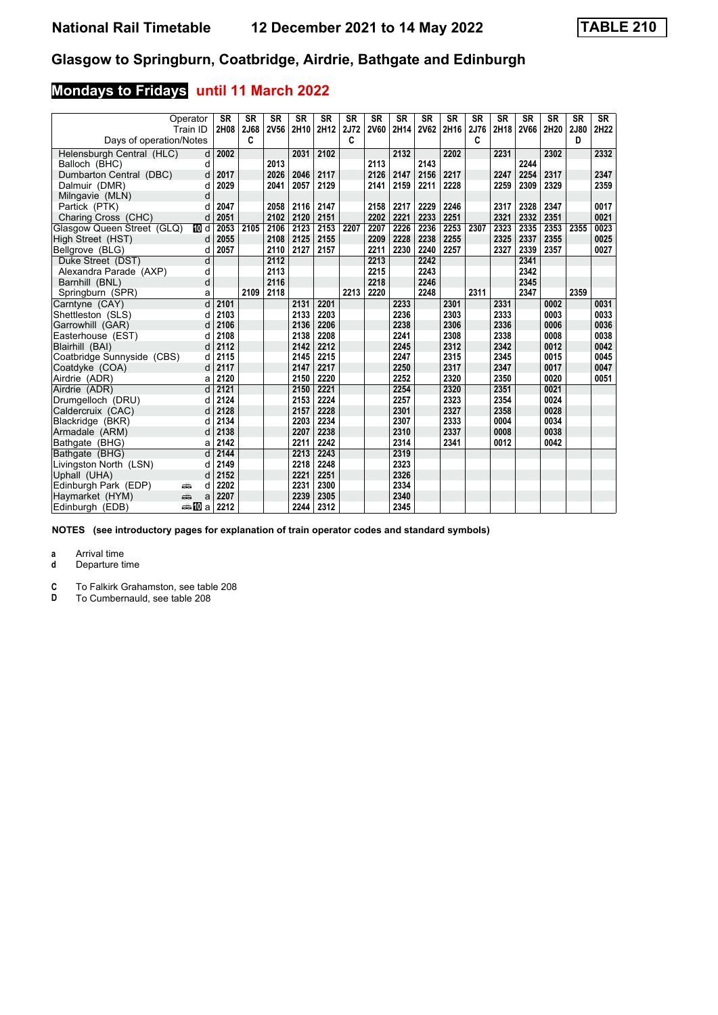## **Mondays to Fridays until 11 March 2022**

| Operator<br>Days of operation/Notes                                                                                                                                                                                                               | Train ID | <b>SR</b><br>2H08 | <b>SR</b><br>2J68<br>C | <b>SR</b><br><b>2V56</b> | <b>SR</b><br>2H10 | <b>SR</b><br>2H12 | <b>SR</b><br>2J72<br>C | <b>SR</b><br><b>2V60</b> | <b>SR</b><br>2H14 | <b>SR</b><br><b>2V62</b> | <b>SR</b><br>2H16 | <b>SR</b><br>2J76<br>C | <b>SR</b><br>2H18 | <b>SR</b><br><b>2V66</b> | <b>SR</b><br>2H20 | <b>SR</b><br>2J80<br>D | <b>SR</b><br>2H22 |
|---------------------------------------------------------------------------------------------------------------------------------------------------------------------------------------------------------------------------------------------------|----------|-------------------|------------------------|--------------------------|-------------------|-------------------|------------------------|--------------------------|-------------------|--------------------------|-------------------|------------------------|-------------------|--------------------------|-------------------|------------------------|-------------------|
|                                                                                                                                                                                                                                                   |          |                   |                        |                          |                   |                   |                        |                          |                   |                          |                   |                        |                   |                          |                   |                        |                   |
| Helensburgh Central (HLC)                                                                                                                                                                                                                         | d        | 2002              |                        |                          | 2031              | 2102              |                        |                          | 2132              |                          | 2202              |                        | 2231              |                          | 2302              |                        | 2332              |
| Balloch (BHC)                                                                                                                                                                                                                                     | d        |                   |                        | 2013                     |                   |                   |                        | 2113                     |                   | 2143                     |                   |                        |                   | 2244                     |                   |                        |                   |
| Dumbarton Central (DBC)                                                                                                                                                                                                                           | d        | 2017              |                        | 2026                     | 2046              | 2117              |                        | 2126                     | 2147              | 2156                     | 2217              |                        | 2247              | 2254                     | 2317              |                        | 2347              |
| Dalmuir (DMR)                                                                                                                                                                                                                                     | d        | 2029              |                        | 2041                     | 2057              | 2129              |                        | 2141                     | 2159              | 2211                     | 2228              |                        | 2259              | 2309                     | 2329              |                        | 2359              |
| Milngavie (MLN)                                                                                                                                                                                                                                   | d        |                   |                        |                          |                   |                   |                        |                          |                   |                          |                   |                        |                   |                          |                   |                        |                   |
| Partick (PTK)                                                                                                                                                                                                                                     | d        | 2047              |                        | 2058                     | 2116              | 2147              |                        | 2158                     | 2217              | 2229                     | 2246              |                        | 2317              | 2328                     | 2347              |                        | 0017              |
| Charing Cross (CHC)                                                                                                                                                                                                                               | d        | 2051              |                        | 2102                     | 2120              | 2151              |                        | 2202                     | 2221              | 2233                     | 2251              |                        | 2321              | 2332                     | 2351              |                        | 0021              |
| Glasgow Queen Street (GLQ)                                                                                                                                                                                                                        | [10] d   | 2053              | 2105                   | 2106                     | 2123              | 2153              | 2207                   | 2207                     | 2226              | 2236                     | 2253              | 2307                   | 2323              | 2335                     | 2353              | 2355                   | 0023              |
| High Street (HST)                                                                                                                                                                                                                                 | d        | 2055              |                        | 2108                     | 2125              | 2155              |                        | 2209                     | 2228              | 2238                     | 2255              |                        | 2325              | 2337                     | 2355              |                        | 0025              |
| Bellgrove (BLG)                                                                                                                                                                                                                                   | d        | 2057              |                        | 2110                     | 2127              | 2157              |                        | 2211                     | 2230              | 2240                     | 2257              |                        | 2327              | 2339                     | 2357              |                        | 0027              |
| Duke Street (DST)                                                                                                                                                                                                                                 | d        |                   |                        | 2112                     |                   |                   |                        | 2213                     |                   | 2242                     |                   |                        |                   | 2341                     |                   |                        |                   |
| Alexandra Parade (AXP)                                                                                                                                                                                                                            | d        |                   |                        | 2113                     |                   |                   |                        | 2215                     |                   | 2243                     |                   |                        |                   | 2342                     |                   |                        |                   |
| Barnhill (BNL)                                                                                                                                                                                                                                    | d        |                   |                        | 2116                     |                   |                   |                        | 2218                     |                   | 2246                     |                   |                        |                   | 2345                     |                   |                        |                   |
| Springburn (SPR)                                                                                                                                                                                                                                  | a        |                   | 2109                   | 2118                     |                   |                   | 2213                   | 2220                     |                   | 2248                     |                   | 2311                   |                   | 2347                     |                   | 2359                   |                   |
| Carntyne (CAY)                                                                                                                                                                                                                                    | d        | 2101              |                        |                          | 2131              | 2201              |                        |                          | 2233              |                          | 2301              |                        | 2331              |                          | 0002              |                        | 0031              |
| Shettleston (SLS)                                                                                                                                                                                                                                 | d        | 2103              |                        |                          | 2133              | 2203              |                        |                          | 2236              |                          | 2303              |                        | 2333              |                          | 0003              |                        | 0033              |
| Garrowhill (GAR)                                                                                                                                                                                                                                  | d        | 2106              |                        |                          | 2136              | 2206              |                        |                          | 2238              |                          | 2306              |                        | 2336              |                          | 0006              |                        | 0036              |
| Easterhouse (EST)                                                                                                                                                                                                                                 | d        | 2108              |                        |                          | 2138              | 2208              |                        |                          | 2241              |                          | 2308              |                        | 2338              |                          | 0008              |                        | 0038              |
| Blairhill (BAI)                                                                                                                                                                                                                                   | d        | 2112              |                        |                          | 2142              | 2212              |                        |                          | 2245              |                          | 2312              |                        | 2342              |                          | 0012              |                        | 0042              |
| Coatbridge Sunnyside (CBS)                                                                                                                                                                                                                        | d        | 2115              |                        |                          | 2145              | 2215              |                        |                          | 2247              |                          | 2315              |                        | 2345              |                          | 0015              |                        | 0045              |
| Coatdyke (COA)                                                                                                                                                                                                                                    | d        | 2117              |                        |                          | 2147              | 2217              |                        |                          | 2250              |                          | 2317              |                        | 2347              |                          | 0017              |                        | 0047              |
| Airdrie (ADR)                                                                                                                                                                                                                                     | а        | 2120              |                        |                          | 2150              | 2220              |                        |                          | 2252              |                          | 2320              |                        | 2350              |                          | 0020              |                        | 0051              |
| Airdrie (ADR)                                                                                                                                                                                                                                     | d        | 2121              |                        |                          | 2150              | 2221              |                        |                          | 2254              |                          | 2320              |                        | 2351              |                          | 0021              |                        |                   |
| Drumgelloch (DRU)                                                                                                                                                                                                                                 | d        | 2124              |                        |                          | 2153              | 2224              |                        |                          | 2257              |                          | 2323              |                        | 2354              |                          | 0024              |                        |                   |
| Caldercruix (CAC)                                                                                                                                                                                                                                 | d        | 2128              |                        |                          | 2157              | 2228              |                        |                          | 2301              |                          | 2327              |                        | 2358              |                          | 0028              |                        |                   |
| Blackridge (BKR)                                                                                                                                                                                                                                  | d        | 2134              |                        |                          | 2203              | 2234              |                        |                          | 2307              |                          | 2333              |                        | 0004              |                          | 0034              |                        |                   |
| Armadale (ARM)                                                                                                                                                                                                                                    | d        | 2138              |                        |                          | 2207              | 2238              |                        |                          | 2310              |                          | 2337              |                        | 0008              |                          | 0038              |                        |                   |
| Bathgate (BHG)                                                                                                                                                                                                                                    | a        | 2142              |                        |                          | 2211              | 2242              |                        |                          | 2314              |                          | 2341              |                        | 0012              |                          | 0042              |                        |                   |
| Bathgate (BHG)                                                                                                                                                                                                                                    | d        | 2144              |                        |                          | 2213              | 2243              |                        |                          | 2319              |                          |                   |                        |                   |                          |                   |                        |                   |
| Livingston North (LSN)                                                                                                                                                                                                                            | d        | 2149              |                        |                          | 2218              | 2248              |                        |                          | 2323              |                          |                   |                        |                   |                          |                   |                        |                   |
| Uphall (UHA)                                                                                                                                                                                                                                      | d        | 2152              |                        |                          | 2221              | 2251              |                        |                          | 2326              |                          |                   |                        |                   |                          |                   |                        |                   |
| Edinburgh Park (EDP)<br>پتيم                                                                                                                                                                                                                      | d        | 2202              |                        |                          | 2231              | 2300              |                        |                          | 2334              |                          |                   |                        |                   |                          |                   |                        |                   |
| and the second second second second second second second second second second second second second second second second second second second second second second second second second second second second second second seco<br>Haymarket (HYM) | a        | 2207              |                        |                          | 2239              | 2305              |                        |                          | 2340              |                          |                   |                        |                   |                          |                   |                        |                   |
| Edinburgh (EDB)                                                                                                                                                                                                                                   | a≞MDa    | 2212              |                        |                          | 2244              | 2312              |                        |                          | 2345              |                          |                   |                        |                   |                          |                   |                        |                   |

**NOTES (see introductory pages for explanation of train operator codes and standard symbols)**

**a** Arrival time<br>**d** Departure t **d** Departure time

**C** To Falkirk Grahamston, see table 208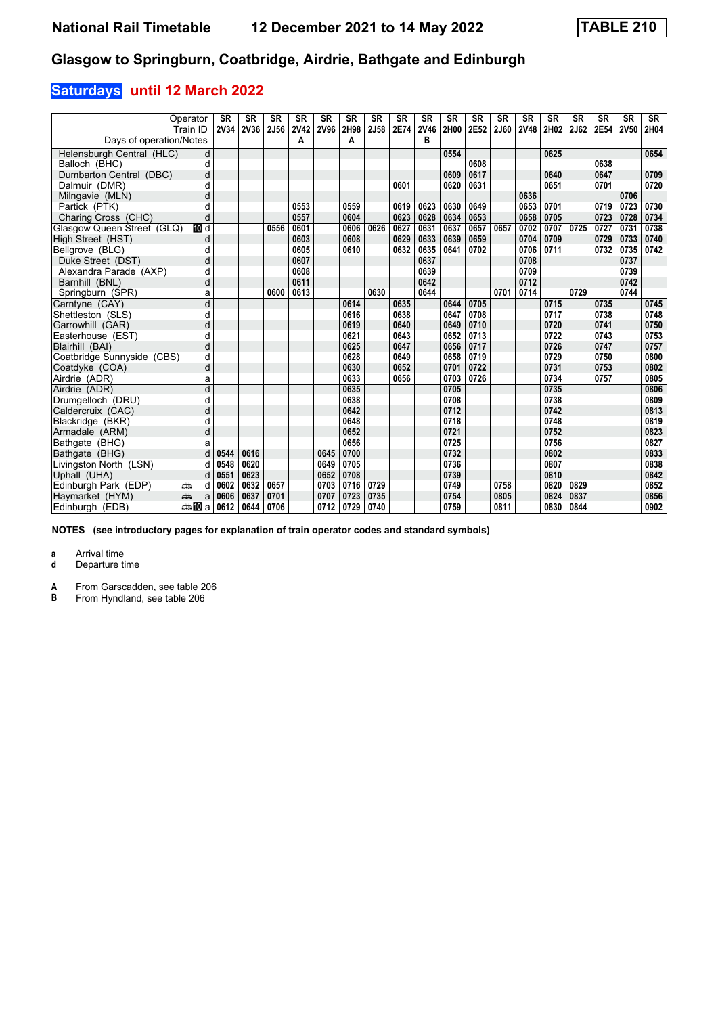### **Saturdays until 12 March 2022**

| Operator<br>Train ID                         | <b>SR</b><br><b>2V34</b> | <b>SR</b><br><b>2V36</b> | <b>SR</b><br>2J56 | <b>SR</b><br><b>2V42</b> | <b>SR</b><br><b>2V96</b> | <b>SR</b><br>2H98 | <b>SR</b><br>2J58 | <b>SR</b><br>2E74 | <b>SR</b><br><b>2V46</b> | <b>SR</b><br>2H00 | <b>SR</b><br>2E52 | <b>SR</b><br>2J60 | <b>SR</b><br><b>2V48</b> | <b>SR</b><br>2H02 | <b>SR</b><br><b>2J62</b> | <b>SR</b><br>2E54 | <b>SR</b><br><b>2V50</b> | <b>SR</b><br>2H04 |
|----------------------------------------------|--------------------------|--------------------------|-------------------|--------------------------|--------------------------|-------------------|-------------------|-------------------|--------------------------|-------------------|-------------------|-------------------|--------------------------|-------------------|--------------------------|-------------------|--------------------------|-------------------|
| Days of operation/Notes                      |                          |                          |                   | Α                        |                          | A                 |                   |                   | в                        |                   |                   |                   |                          |                   |                          |                   |                          |                   |
| Helensburgh Central (HLC)<br>d               |                          |                          |                   |                          |                          |                   |                   |                   |                          | 0554              |                   |                   |                          | 0625              |                          |                   |                          | 0654              |
| Balloch (BHC)<br>d                           |                          |                          |                   |                          |                          |                   |                   |                   |                          |                   | 0608              |                   |                          |                   |                          | 0638              |                          |                   |
| d<br>Dumbarton Central (DBC)                 |                          |                          |                   |                          |                          |                   |                   |                   |                          | 0609              | 0617              |                   |                          | 0640              |                          | 0647              |                          | 0709              |
| Dalmuir (DMR)<br>d                           |                          |                          |                   |                          |                          |                   |                   | 0601              |                          | 0620              | 0631              |                   |                          | 0651              |                          | 0701              |                          | 0720              |
| d<br>Milngavie (MLN)                         |                          |                          |                   |                          |                          |                   |                   |                   |                          |                   |                   |                   | 0636                     |                   |                          |                   | 0706                     |                   |
| Partick (PTK)<br>d                           |                          |                          |                   | 0553                     |                          | 0559              |                   | 0619              | 0623                     | 0630              | 0649              |                   | 0653                     | 0701              |                          | 0719              | 0723                     | 0730              |
| Charing Cross (CHC)<br>d                     |                          |                          |                   | 0557                     |                          | 0604              |                   | 0623              | 0628                     | 0634              | 0653              |                   | 0658                     | 0705              |                          | 0723              | 0728                     | 0734              |
| Glasgow Queen Street (GLQ)<br>10 d           |                          |                          | 0556              | 0601                     |                          | 0606              | 0626              | 0627              | 0631                     | 0637              | 0657              | 0657              | 0702                     | 0707              | 0725                     | 0727              | 0731                     | 0738              |
| High Street (HST)<br>d                       |                          |                          |                   | 0603                     |                          | 0608              |                   | 0629              | 0633                     | 0639              | 0659              |                   | 0704                     | 0709              |                          | 0729              | 0733                     | 0740              |
| d<br>Bellgrove (BLG)                         |                          |                          |                   | 0605                     |                          | 0610              |                   | 0632              | 0635                     | 0641              | 0702              |                   | 0706                     | 0711              |                          | 0732              | 0735                     | 0742              |
| d<br>Duke Street (DST)                       |                          |                          |                   | 0607                     |                          |                   |                   |                   | 0637                     |                   |                   |                   | 0708                     |                   |                          |                   | 0737                     |                   |
| Alexandra Parade (AXP)<br>d                  |                          |                          |                   | 0608                     |                          |                   |                   |                   | 0639                     |                   |                   |                   | 0709                     |                   |                          |                   | 0739                     |                   |
| d<br>Barnhill (BNL)                          |                          |                          |                   | 0611                     |                          |                   |                   |                   | 0642                     |                   |                   |                   | 0712                     |                   |                          |                   | 0742                     |                   |
| Springburn (SPR)<br>a                        |                          |                          | 0600              | 0613                     |                          |                   | 0630              |                   | 0644                     |                   |                   | 0701              | 0714                     |                   | 0729                     |                   | 0744                     |                   |
| d<br>Carntyne (CAY)                          |                          |                          |                   |                          |                          | 0614              |                   | 0635              |                          | 0644              | 0705              |                   |                          | 0715              |                          | 0735              |                          | 0745              |
| Shettleston (SLS)<br>d                       |                          |                          |                   |                          |                          | 0616              |                   | 0638              |                          | 0647              | 0708              |                   |                          | 0717              |                          | 0738              |                          | 0748              |
| Garrowhill (GAR)<br>d                        |                          |                          |                   |                          |                          | 0619              |                   | 0640              |                          | 0649              | 0710              |                   |                          | 0720              |                          | 0741              |                          | 0750              |
| Easterhouse (EST)<br>d                       |                          |                          |                   |                          |                          | 0621              |                   | 0643              |                          | 0652              | 0713              |                   |                          | 0722              |                          | 0743              |                          | 0753              |
| d<br>Blairhill (BAI)                         |                          |                          |                   |                          |                          | 0625              |                   | 0647              |                          | 0656              | 0717              |                   |                          | 0726              |                          | 0747              |                          | 0757              |
| Coatbridge Sunnyside (CBS)<br>d              |                          |                          |                   |                          |                          | 0628              |                   | 0649              |                          | 0658              | 0719              |                   |                          | 0729              |                          | 0750              |                          | 0800              |
| d<br>Coatdyke (COA)                          |                          |                          |                   |                          |                          | 0630              |                   | 0652              |                          | 0701              | 0722              |                   |                          | 0731              |                          | 0753              |                          | 0802              |
| Airdrie (ADR)<br>a                           |                          |                          |                   |                          |                          | 0633              |                   | 0656              |                          | 0703              | 0726              |                   |                          | 0734              |                          | 0757              |                          | 0805              |
| d<br>Airdrie (ADR)                           |                          |                          |                   |                          |                          | 0635              |                   |                   |                          | 0705              |                   |                   |                          | 0735              |                          |                   |                          | 0806              |
| Drumgelloch (DRU)<br>d                       |                          |                          |                   |                          |                          | 0638              |                   |                   |                          | 0708              |                   |                   |                          | 0738              |                          |                   |                          | 0809              |
| Caldercruix (CAC)<br>d                       |                          |                          |                   |                          |                          | 0642              |                   |                   |                          | 0712              |                   |                   |                          | 0742              |                          |                   |                          | 0813              |
| Blackridge (BKR)<br>d                        |                          |                          |                   |                          |                          | 0648              |                   |                   |                          | 0718              |                   |                   |                          | 0748              |                          |                   |                          | 0819              |
| d<br>Armadale (ARM)                          |                          |                          |                   |                          |                          | 0652              |                   |                   |                          | 0721              |                   |                   |                          | 0752              |                          |                   |                          | 0823              |
| Bathgate (BHG)<br>a                          |                          |                          |                   |                          |                          | 0656              |                   |                   |                          | 0725              |                   |                   |                          | 0756              |                          |                   |                          | 0827              |
| d<br>Bathgate (BHG)                          | 0544                     | 0616                     |                   |                          | 0645                     | 0700              |                   |                   |                          | 0732              |                   |                   |                          | 0802              |                          |                   |                          | 0833              |
| Livingston North (LSN)<br>d                  | 0548                     | 0620                     |                   |                          | 0649                     | 0705              |                   |                   |                          | 0736              |                   |                   |                          | 0807              |                          |                   |                          | 0838              |
| Uphall (UHA)<br>d                            | 0551                     | 0623                     |                   |                          | 0652                     | 0708              |                   |                   |                          | 0739              |                   |                   |                          | 0810              |                          |                   |                          | 0842              |
| Edinburgh Park (EDP)<br>پیش<br>d             | 0602                     | 0632                     | 0657              |                          | 0703                     | 0716              | 0729              |                   |                          | 0749              |                   | 0758              |                          | 0820              | 0829                     |                   |                          | 0852              |
| $\frac{1}{\sqrt{2}}$<br>Haymarket (HYM)<br>a | 0606                     | 0637                     | 0701              |                          | 0707                     | 0723              | 0735              |                   |                          | 0754              |                   | 0805              |                          | 0824              | 0837                     |                   |                          | 0856              |
| Edinburgh (EDB)<br>a‱ ¶Dia                   | 0612                     | 0644                     | 0706              |                          | 0712                     | 0729              | 0740              |                   |                          | 0759              |                   | 0811              |                          | 0830              | 0844                     |                   |                          | 0902              |

**NOTES (see introductory pages for explanation of train operator codes and standard symbols)**

**a** Arrival time<br>**d** Departure t

**d** Departure time

**A** From Garscadden, see table 206<br>**B** From Hyndland, see table 206

From Hyndland, see table 206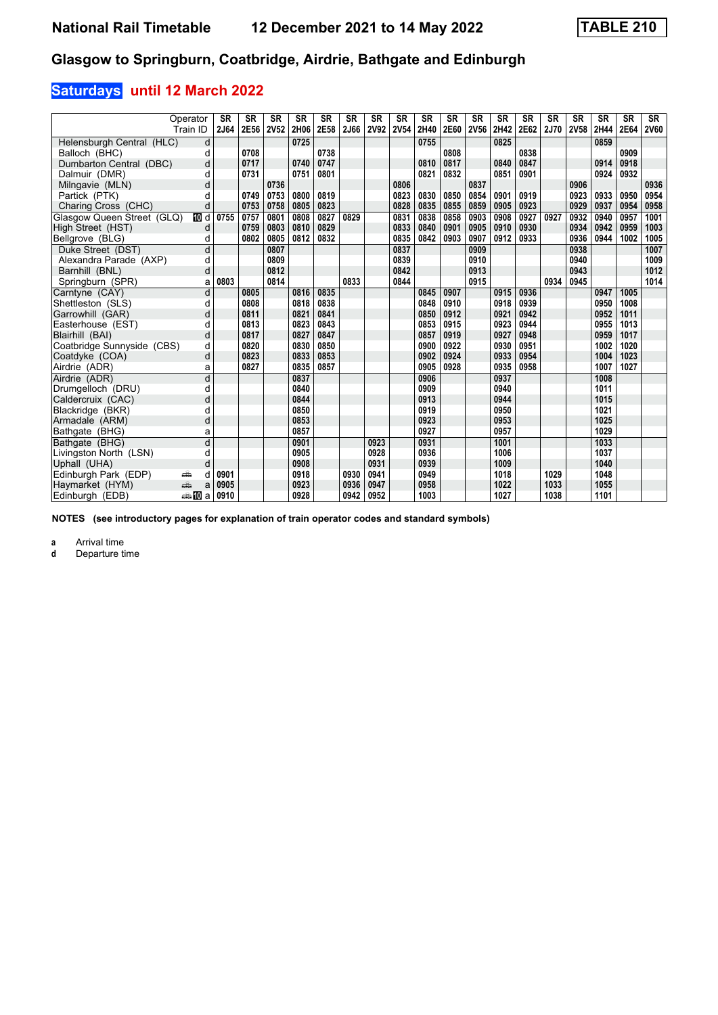## **Saturdays until 12 March 2022**

|                            | Operator<br>Train ID | <b>SR</b><br>2J64 | <b>SR</b><br>2E56 | <b>SR</b><br><b>2V52</b> | <b>SR</b><br>2H06 | <b>SR</b><br>2E58 | <b>SR</b><br>2J66 | <b>SR</b><br><b>2V92</b> | <b>SR</b><br><b>2V54</b> | <b>SR</b><br>2H40 | <b>SR</b><br>2E60 | <b>SR</b><br><b>2V56</b> | <b>SR</b><br>2H42 | <b>SR</b><br>2E62 | <b>SR</b><br>2J70 | <b>SR</b><br>2V58 | <b>SR</b><br>2H44 | <b>SR</b><br>2E64 | SR<br><b>2V60</b> |
|----------------------------|----------------------|-------------------|-------------------|--------------------------|-------------------|-------------------|-------------------|--------------------------|--------------------------|-------------------|-------------------|--------------------------|-------------------|-------------------|-------------------|-------------------|-------------------|-------------------|-------------------|
| Helensburgh Central (HLC)  | d                    |                   |                   |                          | 0725              |                   |                   |                          |                          | 0755              |                   |                          | 0825              |                   |                   |                   | 0859              |                   |                   |
| Balloch (BHC)              | d                    |                   | 0708              |                          |                   | 0738              |                   |                          |                          |                   | 0808              |                          |                   | 0838              |                   |                   |                   | 0909              |                   |
| Dumbarton Central (DBC)    | d                    |                   | 0717              |                          | 0740              | 0747              |                   |                          |                          | 0810              | 0817              |                          | 0840              | 0847              |                   |                   | 0914              | 0918              |                   |
| Dalmuir (DMR)              | d                    |                   | 0731              |                          | 0751              | 0801              |                   |                          |                          | 0821              | 0832              |                          | 0851              | 0901              |                   |                   | 0924              | 0932              |                   |
| Milngavie (MLN)            | d                    |                   |                   | 0736                     |                   |                   |                   |                          | 0806                     |                   |                   | 0837                     |                   |                   |                   | 0906              |                   |                   | 0936              |
| Partick (PTK)              | d                    |                   | 0749              | 0753                     | 0800              | 0819              |                   |                          | 0823                     | 0830              | 0850              | 0854                     | 0901              | 0919              |                   | 0923              | 0933              | 0950              | 0954              |
| Charing Cross (CHC)        | d                    |                   | 0753              | 0758                     | 0805              | 0823              |                   |                          | 0828                     | 0835              | 0855              | 0859                     | 0905              | 0923              |                   | 0929              | 0937              | 0954              | 0958              |
| Glasgow Queen Street (GLQ) | 100 d                | 0755              | 0757              | 0801                     | 0808              | 0827              | 0829              |                          | 0831                     | 0838              | 0858              | 0903                     | 0908              | 0927              | 0927              | 0932              | 0940              | 0957              | 1001              |
| High Street (HST)          | d                    |                   | 0759              | 0803                     | 0810              | 0829              |                   |                          | 0833                     | 0840              | 0901              | 0905                     | 0910              | 0930              |                   | 0934              | 0942              | 0959              | 1003              |
| Bellgrove (BLG)            | d                    |                   | 0802              | 0805                     | 0812              | 0832              |                   |                          | 0835                     | 0842              | 0903              | 0907                     | 0912              | 0933              |                   | 0936              | 0944              | 1002              | 1005              |
| Duke Street (DST)          | d                    |                   |                   | 0807                     |                   |                   |                   |                          | 0837                     |                   |                   | 0909                     |                   |                   |                   | 0938              |                   |                   | 1007              |
| Alexandra Parade (AXP)     | d                    |                   |                   | 0809                     |                   |                   |                   |                          | 0839                     |                   |                   | 0910                     |                   |                   |                   | 0940              |                   |                   | 1009              |
| Barnhill (BNL)             | d                    |                   |                   | 0812                     |                   |                   |                   |                          | 0842                     |                   |                   | 0913                     |                   |                   |                   | 0943              |                   |                   | 1012              |
| Springburn (SPR)           | a                    | 0803              |                   | 0814                     |                   |                   | 0833              |                          | 0844                     |                   |                   | 0915                     |                   |                   | 0934              | 0945              |                   |                   | 1014              |
| Carntyne (CAY)             | d                    |                   | 0805              |                          | 0816              | 0835              |                   |                          |                          | 0845              | 0907              |                          | 0915              | 0936              |                   |                   | 0947              | 1005              |                   |
| Shettleston (SLS)          | d                    |                   | 0808              |                          | 0818              | 0838              |                   |                          |                          | 0848              | 0910              |                          | 0918              | 0939              |                   |                   | 0950              | 1008              |                   |
| Garrowhill (GAR)           | d                    |                   | 0811              |                          | 0821              | 0841              |                   |                          |                          | 0850              | 0912              |                          | 0921              | 0942              |                   |                   | 0952              | 1011              |                   |
| Easterhouse (EST)          | d                    |                   | 0813              |                          | 0823              | 0843              |                   |                          |                          | 0853              | 0915              |                          | 0923              | 0944              |                   |                   | 0955              | 1013              |                   |
| Blairhill (BAI)            | d                    |                   | 0817              |                          | 0827              | 0847              |                   |                          |                          | 0857              | 0919              |                          | 0927              | 0948              |                   |                   | 0959              | 1017              |                   |
| Coatbridge Sunnyside (CBS) | d                    |                   | 0820              |                          | 0830              | 0850              |                   |                          |                          | 0900              | 0922              |                          | 0930              | 0951              |                   |                   | 1002              | 1020              |                   |
| Coatdyke (COA)             | d                    |                   | 0823              |                          | 0833              | 0853              |                   |                          |                          | 0902              | 0924              |                          | 0933              | 0954              |                   |                   | 1004              | 1023              |                   |
| Airdrie (ADR)              | a                    |                   | 0827              |                          | 0835              | 0857              |                   |                          |                          | 0905              | 0928              |                          | 0935              | 0958              |                   |                   | 1007              | 1027              |                   |
| Airdrie (ADR)              | d                    |                   |                   |                          | 0837              |                   |                   |                          |                          | 0906              |                   |                          | 0937              |                   |                   |                   | 1008              |                   |                   |
| Drumgelloch (DRU)          | d                    |                   |                   |                          | 0840              |                   |                   |                          |                          | 0909              |                   |                          | 0940              |                   |                   |                   | 1011              |                   |                   |
| Caldercruix (CAC)          | d                    |                   |                   |                          | 0844              |                   |                   |                          |                          | 0913              |                   |                          | 0944              |                   |                   |                   | 1015              |                   |                   |
| Blackridge (BKR)           | d                    |                   |                   |                          | 0850              |                   |                   |                          |                          | 0919              |                   |                          | 0950              |                   |                   |                   | 1021              |                   |                   |
| Armadale (ARM)             | d                    |                   |                   |                          | 0853              |                   |                   |                          |                          | 0923              |                   |                          | 0953              |                   |                   |                   | 1025              |                   |                   |
| Bathgate (BHG)             | a                    |                   |                   |                          | 0857              |                   |                   |                          |                          | 0927              |                   |                          | 0957              |                   |                   |                   | 1029              |                   |                   |
| Bathgate (BHG)             | d                    |                   |                   |                          | 0901              |                   |                   | 0923                     |                          | 0931              |                   |                          | 1001              |                   |                   |                   | 1033              |                   |                   |
| Livingston North (LSN)     | d                    |                   |                   |                          | 0905              |                   |                   | 0928                     |                          | 0936              |                   |                          | 1006              |                   |                   |                   | 1037              |                   |                   |
| Uphall (UHA)               | d                    |                   |                   |                          | 0908              |                   |                   | 0931                     |                          | 0939              |                   |                          | 1009              |                   |                   |                   | 1040              |                   |                   |
| Edinburgh Park (EDP)       | d<br>پیش             | 0901              |                   |                          | 0918              |                   | 0930              | 0941                     |                          | 0949              |                   |                          | 1018              |                   | 1029              |                   | 1048              |                   |                   |
| Haymarket (HYM)            | پېښ<br>a             | 0905              |                   |                          | 0923              |                   | 0936              | 0947                     |                          | 0958              |                   |                          | 1022              |                   | 1033              |                   | 1055              |                   |                   |
| Edinburgh (EDB)            | an‱Ma                | 0910              |                   |                          | 0928              |                   | 0942              | 0952                     |                          | 1003              |                   |                          | 1027              |                   | 1038              |                   | 1101              |                   |                   |

**NOTES (see introductory pages for explanation of train operator codes and standard symbols)**

**a** Arrival time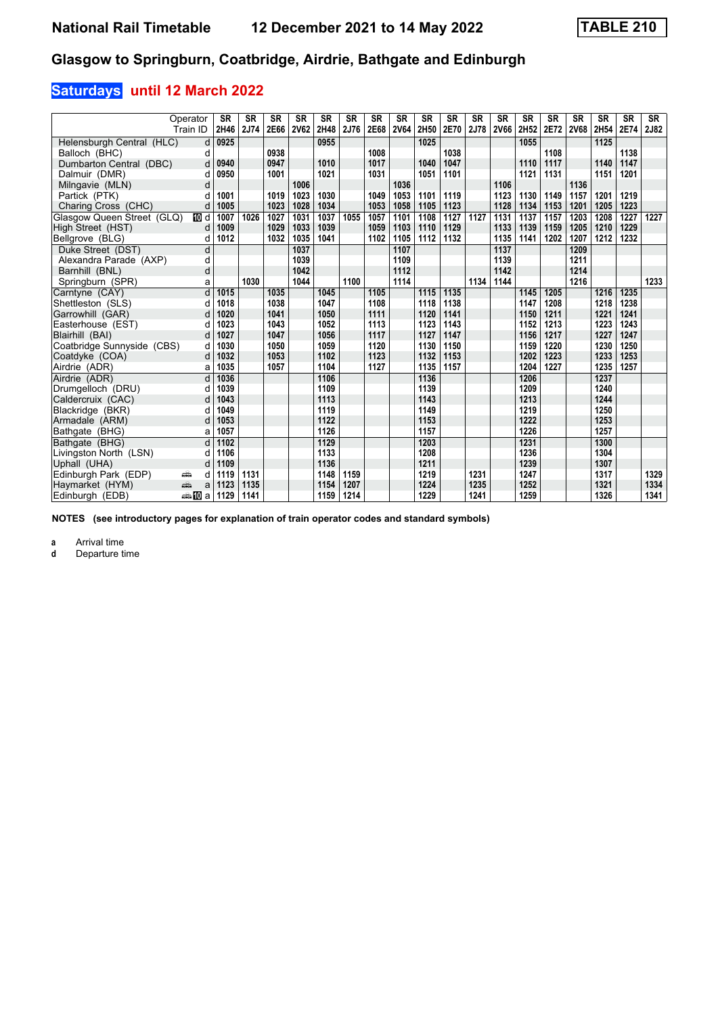## **Saturdays until 12 March 2022**

|                            | Operator<br>Train ID          | <b>SR</b><br>2H46 | <b>SR</b><br>2J74 | <b>SR</b><br>2E66 | <b>SR</b><br><b>2V62</b> | <b>SR</b><br>2H48 | <b>SR</b><br>2J76 | <b>SR</b><br>2E68 | <b>SR</b><br><b>2V64</b> | <b>SR</b><br>2H50 | <b>SR</b><br>2E70 | <b>SR</b><br>2J78 | <b>SR</b><br><b>2V66</b> | <b>SR</b><br>2H52 | <b>SR</b><br>2E72 | <b>SR</b><br><b>2V68</b> | <b>SR</b><br>2H54 | <b>SR</b><br>2E74 | <b>SR</b><br><b>2J82</b> |
|----------------------------|-------------------------------|-------------------|-------------------|-------------------|--------------------------|-------------------|-------------------|-------------------|--------------------------|-------------------|-------------------|-------------------|--------------------------|-------------------|-------------------|--------------------------|-------------------|-------------------|--------------------------|
| Helensburgh Central (HLC)  | d                             | 0925              |                   |                   |                          | 0955              |                   |                   |                          | 1025              |                   |                   |                          | 1055              |                   |                          | 1125              |                   |                          |
| Balloch (BHC)              | d                             |                   |                   | 0938              |                          |                   |                   | 1008              |                          |                   | 1038              |                   |                          |                   | 1108              |                          |                   | 1138              |                          |
| Dumbarton Central (DBC)    | d                             | 0940              |                   | 0947              |                          | 1010              |                   | 1017              |                          | 1040              | 1047              |                   |                          | 1110              | 1117              |                          | 1140              | 1147              |                          |
| Dalmuir (DMR)              | d                             | 0950              |                   | 1001              |                          | 1021              |                   | 1031              |                          | 1051              | 1101              |                   |                          | 1121              | 1131              |                          | 1151              | 1201              |                          |
| Milngavie (MLN)            | d                             |                   |                   |                   | 1006                     |                   |                   |                   | 1036                     |                   |                   |                   | 1106                     |                   |                   | 1136                     |                   |                   |                          |
| Partick (PTK)              | d                             | 1001              |                   | 1019              | 1023                     | 1030              |                   | 1049              | 1053                     | 1101              | 1119              |                   | 1123                     | 1130              | 1149              | 1157                     | 1201              | 1219              |                          |
| Charing Cross (CHC)        |                               | 1005              |                   | 1023              | 1028                     | 1034              |                   | 1053              | 1058                     | 1105              | 1123              |                   | 1128                     | 1134              | 1153              | 1201                     | 1205              | 1223              |                          |
| Glasgow Queen Street (GLQ) | 100 d                         | 1007              | 1026              | 1027              | 1031                     | 1037              | 1055              | 1057              | 1101                     | 1108              | 1127              | 1127              | 1131                     | 1137              | 1157              | 1203                     | 1208              | 1227              | 1227                     |
| High Street (HST)          | d                             | 1009              |                   | 1029              | 1033                     | 1039              |                   | 1059              | 1103                     | 1110              | 1129              |                   | 1133                     | 1139              | 1159              | 1205                     | 1210              | 1229              |                          |
| Bellgrove (BLG)            | d                             | 1012              |                   | 1032              | 1035                     | 1041              |                   | 1102              | 1105                     | 1112              | 1132              |                   | 1135                     | 1141              | 1202              | 1207                     | 1212              | 1232              |                          |
| Duke Street (DST)          | d                             |                   |                   |                   | 1037                     |                   |                   |                   | 1107                     |                   |                   |                   | 1137                     |                   |                   | 1209                     |                   |                   |                          |
| Alexandra Parade (AXP)     | d                             |                   |                   |                   | 1039                     |                   |                   |                   | 1109                     |                   |                   |                   | 1139                     |                   |                   | 1211                     |                   |                   |                          |
| Barnhill (BNL)             | d                             |                   |                   |                   | 1042                     |                   |                   |                   | 1112                     |                   |                   |                   | 1142                     |                   |                   | 1214                     |                   |                   |                          |
| Springburn (SPR)           | a                             |                   | 1030              |                   | 1044                     |                   | 1100              |                   | 1114                     |                   |                   | 1134              | 1144                     |                   |                   | 1216                     |                   |                   | 1233                     |
| Carntyne (CAY)             | d                             | 1015              |                   | 1035              |                          | 1045              |                   | 1105              |                          | 1115              | 1135              |                   |                          | 1145              | 1205              |                          | 1216              | 1235              |                          |
| Shettleston (SLS)          | d                             | 1018              |                   | 1038              |                          | 1047              |                   | 1108              |                          | 1118              | 1138              |                   |                          | 1147              | 1208              |                          | 1218              | 1238              |                          |
| Garrowhill (GAR)           | d                             | 1020              |                   | 1041              |                          | 1050              |                   | 1111              |                          | 1120              | 1141              |                   |                          | 1150              | 1211              |                          | 1221              | 1241              |                          |
| Easterhouse (EST)          | d                             | 1023              |                   | 1043              |                          | 1052              |                   | 1113              |                          | 1123              | 1143              |                   |                          | 1152              | 1213              |                          | 1223              | 1243              |                          |
| Blairhill (BAI)            | d                             | 1027              |                   | 1047              |                          | 1056              |                   | 1117              |                          | 1127              | 1147              |                   |                          | 1156              | 1217              |                          | 1227              | 1247              |                          |
| Coatbridge Sunnyside (CBS) | d                             | 1030              |                   | 1050              |                          | 1059              |                   | 1120              |                          | 1130              | 1150              |                   |                          | 1159              | 1220              |                          | 1230              | 1250              |                          |
| Coatdyke (COA)             | d                             | 1032              |                   | 1053              |                          | 1102              |                   | 1123              |                          | 1132              | 1153              |                   |                          | 1202              | 1223              |                          | 1233              | 1253              |                          |
| Airdrie (ADR)              | a                             | 1035              |                   | 1057              |                          | 1104              |                   | 1127              |                          | 1135              | 1157              |                   |                          | 1204              | 1227              |                          | 1235              | 1257              |                          |
| Airdrie (ADR)              | d                             | 1036              |                   |                   |                          | 1106              |                   |                   |                          | 1136              |                   |                   |                          | 1206              |                   |                          | 1237              |                   |                          |
| Drumgelloch (DRU)          | d                             | 1039              |                   |                   |                          | 1109              |                   |                   |                          | 1139              |                   |                   |                          | 1209              |                   |                          | 1240              |                   |                          |
| Caldercruix (CAC)          | d                             | 1043              |                   |                   |                          | 1113              |                   |                   |                          | 1143              |                   |                   |                          | 1213              |                   |                          | 1244              |                   |                          |
| Blackridge (BKR)           | d                             | 1049              |                   |                   |                          | 1119              |                   |                   |                          | 1149              |                   |                   |                          | 1219              |                   |                          | 1250              |                   |                          |
| Armadale (ARM)             | d                             | 1053              |                   |                   |                          | 1122              |                   |                   |                          | 1153              |                   |                   |                          | 1222              |                   |                          | 1253              |                   |                          |
| Bathgate (BHG)             | a                             | 1057              |                   |                   |                          | 1126              |                   |                   |                          | 1157              |                   |                   |                          | 1226              |                   |                          | 1257              |                   |                          |
| Bathgate (BHG)             | d                             | 1102              |                   |                   |                          | 1129              |                   |                   |                          | 1203              |                   |                   |                          | 1231              |                   |                          | 1300              |                   |                          |
| Livingston North (LSN)     | d                             | 1106              |                   |                   |                          | 1133              |                   |                   |                          | 1208              |                   |                   |                          | 1236              |                   |                          | 1304              |                   |                          |
| Uphall (UHA)               | d                             | 1109              |                   |                   |                          | 1136              |                   |                   |                          | 1211              |                   |                   |                          | 1239              |                   |                          | 1307              |                   |                          |
| Edinburgh Park (EDP)       | d<br>پیش                      | 1119              | 1131              |                   |                          | 1148              | 1159              |                   |                          | 1219              |                   | 1231              |                          | 1247              |                   |                          | 1317              |                   | 1329                     |
| Haymarket (HYM)            | پيش<br>a                      | 1123              | 1135              |                   |                          | 1154              | 1207              |                   |                          | 1224              |                   | 1235              |                          | 1252              |                   |                          | 1321              |                   | 1334                     |
| Edinburgh (EDB)            | anna <mark>a</mark> nn ann an | 1129              | 1141              |                   |                          | 1159              | 1214              |                   |                          | 1229              |                   | 1241              |                          | 1259              |                   |                          | 1326              |                   | 1341                     |

**NOTES (see introductory pages for explanation of train operator codes and standard symbols)**

**a** Arrival time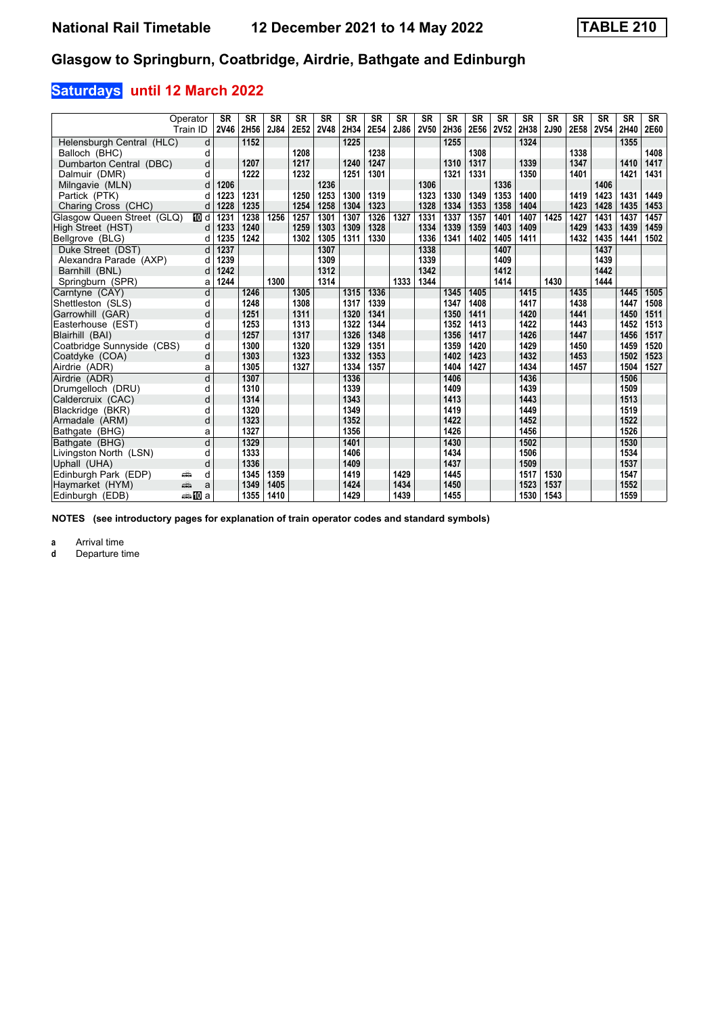## **Saturdays until 12 March 2022**

| Operator                      | Train ID | <b>SR</b><br><b>2V46</b> | <b>SR</b><br>2H56 | <b>SR</b><br>2J84 | <b>SR</b><br>2E52 | <b>SR</b><br><b>2V48</b> | <b>SR</b><br>2H34 | <b>SR</b><br>2E54 | <b>SR</b><br>2J86 | <b>SR</b><br>2V50 | <b>SR</b><br>2H36 | <b>SR</b><br>2E56 | <b>SR</b><br>2V52 | <b>SR</b><br>2H38 | <b>SR</b><br>2J90 | <b>SR</b><br>2E58 | <b>SR</b><br><b>2V54</b> | <b>SR</b><br>2H40 | <b>SR</b><br>2E60 |
|-------------------------------|----------|--------------------------|-------------------|-------------------|-------------------|--------------------------|-------------------|-------------------|-------------------|-------------------|-------------------|-------------------|-------------------|-------------------|-------------------|-------------------|--------------------------|-------------------|-------------------|
| Helensburgh Central (HLC)     | d        |                          | 1152              |                   |                   |                          | 1225              |                   |                   |                   | 1255              |                   |                   | 1324              |                   |                   |                          | 1355              |                   |
| Balloch (BHC)                 | d        |                          |                   |                   | 1208              |                          |                   | 1238              |                   |                   |                   | 1308              |                   |                   |                   | 1338              |                          |                   | 1408              |
| Dumbarton Central (DBC)       | d        |                          | 1207              |                   | 1217              |                          | 1240              | 1247              |                   |                   | 1310              | 1317              |                   | 1339              |                   | 1347              |                          | 1410              | 1417              |
| Dalmuir (DMR)                 | d        |                          | 1222              |                   | 1232              |                          | 1251              | 1301              |                   |                   | 1321              | 1331              |                   | 1350              |                   | 1401              |                          | 1421              | 1431              |
| Milngavie (MLN)               | d        | 1206                     |                   |                   |                   | 1236                     |                   |                   |                   | 1306              |                   |                   | 1336              |                   |                   |                   | 1406                     |                   |                   |
| Partick (PTK)                 | d        | 1223                     | 1231              |                   | 1250              | 1253                     | 1300              | 1319              |                   | 1323              | 1330              | 1349              | 1353              | 1400              |                   | 1419              | 1423                     | 1431              | 1449              |
| Charing Cross (CHC)           | d        | 1228                     | 1235              |                   | 1254              | 1258                     | 1304              | 1323              |                   | 1328              | 1334              | 1353              | 1358              | 1404              |                   | 1423              | 1428                     | 1435              | 1453              |
| Glasgow Queen Street (GLQ)    | 100 d    | 1231                     | 1238              | 1256              | 1257              | 1301                     | 1307              | 1326              | 1327              | 1331              | 1337              | 1357              | 1401              | 1407              | 1425              | 1427              | 1431                     | 1437              | 1457              |
| High Street (HST)             | d        | 1233                     | 1240              |                   | 1259              | 1303                     | 1309              | 1328              |                   | 1334              | 1339              | 1359              | 1403              | 1409              |                   | 1429              | 1433                     | 1439              | 1459              |
| Bellgrove (BLG)               | d        | 1235                     | 1242              |                   | 1302              | 1305                     | 1311              | 1330              |                   | 1336              | 1341              | 1402              | 1405              | 1411              |                   | 1432              | 1435                     | 1441              | 1502              |
| Duke Street (DST)             | d        | 1237                     |                   |                   |                   | 1307                     |                   |                   |                   | 1338              |                   |                   | 1407              |                   |                   |                   | 1437                     |                   |                   |
| Alexandra Parade (AXP)        | d        | 1239                     |                   |                   |                   | 1309                     |                   |                   |                   | 1339              |                   |                   | 1409              |                   |                   |                   | 1439                     |                   |                   |
| Barnhill (BNL)                | d        | 1242                     |                   |                   |                   | 1312                     |                   |                   |                   | 1342              |                   |                   | 1412              |                   |                   |                   | 1442                     |                   |                   |
| Springburn (SPR)              | a        | 1244                     |                   | 1300              |                   | 1314                     |                   |                   | 1333              | 1344              |                   |                   | 1414              |                   | 1430              |                   | 1444                     |                   |                   |
| Carntyne (CAY)                | d        |                          | 1246              |                   | 1305              |                          | 1315              | 1336              |                   |                   | 1345              | 1405              |                   | 1415              |                   | 1435              |                          | 1445              | 1505              |
| Shettleston (SLS)             | d        |                          | 1248              |                   | 1308              |                          | 1317              | 1339              |                   |                   | 1347              | 1408              |                   | 1417              |                   | 1438              |                          | 1447              | 1508              |
| Garrowhill (GAR)              | d        |                          | 1251              |                   | 1311              |                          | 1320              | 1341              |                   |                   | 1350              | 1411              |                   | 1420              |                   | 1441              |                          | 1450              | 1511              |
| Easterhouse (EST)             | d        |                          | 1253              |                   | 1313              |                          | 1322              | 1344              |                   |                   | 1352              | 1413              |                   | 1422              |                   | 1443              |                          | 1452              | 1513              |
| Blairhill (BAI)               | d        |                          | 1257              |                   | 1317              |                          | 1326              | 1348              |                   |                   | 1356              | 1417              |                   | 1426              |                   | 1447              |                          | 1456              | 1517              |
| Coatbridge Sunnyside (CBS)    | d        |                          | 1300              |                   | 1320              |                          | 1329              | 1351              |                   |                   | 1359              | 1420              |                   | 1429              |                   | 1450              |                          | 1459              | 1520              |
| Coatdyke (COA)                | d        |                          | 1303              |                   | 1323              |                          | 1332              | 1353              |                   |                   | 1402              | 1423              |                   | 1432              |                   | 1453              |                          | 1502              | 1523              |
| Airdrie (ADR)                 | a        |                          | 1305              |                   | 1327              |                          | 1334              | 1357              |                   |                   | 1404              | 1427              |                   | 1434              |                   | 1457              |                          | 1504              | 1527              |
| Airdrie (ADR)                 | d        |                          | 1307              |                   |                   |                          | 1336              |                   |                   |                   | 1406              |                   |                   | 1436              |                   |                   |                          | 1506              |                   |
| Drumgelloch (DRU)             | d        |                          | 1310              |                   |                   |                          | 1339              |                   |                   |                   | 1409              |                   |                   | 1439              |                   |                   |                          | 1509              |                   |
| Caldercruix (CAC)             | d        |                          | 1314              |                   |                   |                          | 1343              |                   |                   |                   | 1413              |                   |                   | 1443              |                   |                   |                          | 1513              |                   |
| Blackridge (BKR)              | d        |                          | 1320              |                   |                   |                          | 1349              |                   |                   |                   | 1419              |                   |                   | 1449              |                   |                   |                          | 1519              |                   |
| Armadale (ARM)                | d        |                          | 1323              |                   |                   |                          | 1352              |                   |                   |                   | 1422              |                   |                   | 1452              |                   |                   |                          | 1522              |                   |
| Bathgate (BHG)                | a        |                          | 1327              |                   |                   |                          | 1356              |                   |                   |                   | 1426              |                   |                   | 1456              |                   |                   |                          | 1526              |                   |
| Bathgate (BHG)                | d        |                          | 1329              |                   |                   |                          | 1401              |                   |                   |                   | 1430              |                   |                   | 1502              |                   |                   |                          | 1530              |                   |
| Livingston North (LSN)        | d        |                          | 1333              |                   |                   |                          | 1406              |                   |                   |                   | 1434              |                   |                   | 1506              |                   |                   |                          | 1534              |                   |
| Uphall (UHA)                  | d        |                          | 1336              |                   |                   |                          | 1409              |                   |                   |                   | 1437              |                   |                   | 1509              |                   |                   |                          | 1537              |                   |
| Edinburgh Park (EDP)<br>پېښتو | d        |                          | 1345              | 1359              |                   |                          | 1419              |                   | 1429              |                   | 1445              |                   |                   | 1517              | 1530              |                   |                          | 1547              |                   |
| پيش<br>Haymarket (HYM)        | a        |                          | 1349              | 1405              |                   |                          | 1424              |                   | 1434              |                   | 1450              |                   |                   | 1523              | 1537              |                   |                          | 1552              |                   |
| Edinburgh (EDB)               | a‱Ma     |                          | 1355              | 1410              |                   |                          | 1429              |                   | 1439              |                   | 1455              |                   |                   | 1530              | 1543              |                   |                          | 1559              |                   |

**NOTES (see introductory pages for explanation of train operator codes and standard symbols)**

**a** Arrival time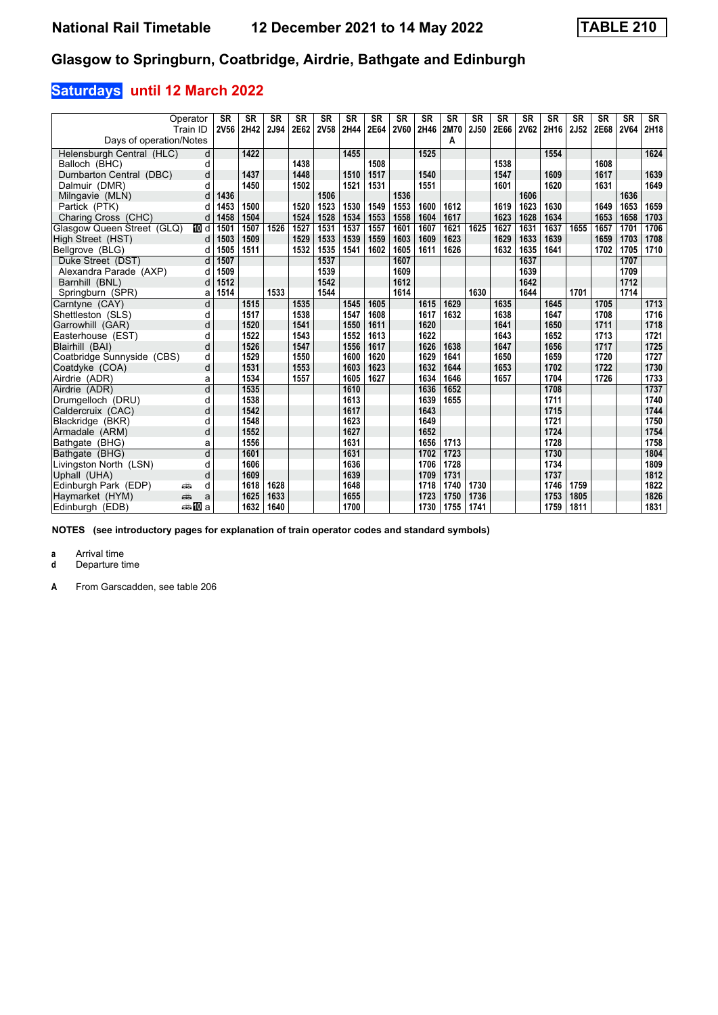# **Saturdays until 12 March 2022**

| Operator<br>Train ID                | <b>SR</b><br><b>2V56</b> | <b>SR</b><br>2H42 | <b>SR</b><br>2J94 | <b>SR</b><br>2E62 | <b>SR</b><br><b>2V58</b> | <b>SR</b><br>2H44 | <b>SR</b><br>2E64 | <b>SR</b><br><b>2V60</b> | <b>SR</b><br>2H46 | <b>SR</b><br>2M70 | <b>SR</b><br>2J50 | <b>SR</b><br>2E66 | <b>SR</b><br><b>2V62</b> | <b>SR</b><br>2H16 | <b>SR</b><br><b>2J52</b> | <b>SR</b><br>2E68 | <b>SR</b><br><b>2V64</b> | <b>SR</b><br>2H18 |
|-------------------------------------|--------------------------|-------------------|-------------------|-------------------|--------------------------|-------------------|-------------------|--------------------------|-------------------|-------------------|-------------------|-------------------|--------------------------|-------------------|--------------------------|-------------------|--------------------------|-------------------|
| Days of operation/Notes             |                          |                   |                   |                   |                          |                   |                   |                          |                   | A                 |                   |                   |                          |                   |                          |                   |                          |                   |
| Helensburgh Central (HLC)           | d                        | 1422              |                   |                   |                          | 1455              |                   |                          | 1525              |                   |                   |                   |                          | 1554              |                          |                   |                          | 1624              |
| Balloch (BHC)<br>d                  |                          |                   |                   | 1438              |                          |                   | 1508              |                          |                   |                   |                   | 1538              |                          |                   |                          | 1608              |                          |                   |
| Dumbarton Central (DBC)             | d                        | 1437              |                   | 1448              |                          | 1510              | 1517              |                          | 1540              |                   |                   | 1547              |                          | 1609              |                          | 1617              |                          | 1639              |
| Dalmuir (DMR)                       | d                        | 1450              |                   | 1502              |                          | 1521              | 1531              |                          | 1551              |                   |                   | 1601              |                          | 1620              |                          | 1631              |                          | 1649              |
| Milngavie (MLN)                     | d<br>1436                |                   |                   |                   | 1506                     |                   |                   | 1536                     |                   |                   |                   |                   | 1606                     |                   |                          |                   | 1636                     |                   |
| Partick (PTK)<br>d                  | 1453                     | 1500              |                   | 1520              | 1523                     | 1530              | 1549              | 1553                     | 1600              | 1612              |                   | 1619              | 1623                     | 1630              |                          | 1649              | 1653                     | 1659              |
| Charing Cross (CHC)<br>d            | 1458                     | 1504              |                   | 1524              | 1528                     | 1534              | 1553              | 1558                     | 1604              | 1617              |                   | 1623              | 1628                     | 1634              |                          | 1653              | 1658                     | 1703              |
| Glasgow Queen Street (GLQ)<br>100 d | 1501                     | 1507              | 1526              | 1527              | 1531                     | 1537              | 1557              | 1601                     | 1607              | 1621              | 1625              | 1627              | 1631                     | 1637              | 1655                     | 1657              | 1701                     | 1706              |
| High Street (HST)                   | 1503<br>d                | 1509              |                   | 1529              | 1533                     | 1539              | 1559              | 1603                     | 1609              | 1623              |                   | 1629              | 1633                     | 1639              |                          | 1659              | 1703                     | 1708              |
| Bellgrove (BLG)<br>d                | 1505                     | 1511              |                   | 1532              | 1535                     | 1541              | 1602              | 1605                     | 1611              | 1626              |                   | 1632              | 1635                     | 1641              |                          | 1702              | 1705                     | 1710              |
| Duke Street (DST)                   | d<br>1507                |                   |                   |                   | 1537                     |                   |                   | 1607                     |                   |                   |                   |                   | 1637                     |                   |                          |                   | 1707                     |                   |
| Alexandra Parade (AXP)<br>d         | 1509                     |                   |                   |                   | 1539                     |                   |                   | 1609                     |                   |                   |                   |                   | 1639                     |                   |                          |                   | 1709                     |                   |
| Barnhill (BNL)                      | 1512<br>d                |                   |                   |                   | 1542                     |                   |                   | 1612                     |                   |                   |                   |                   | 1642                     |                   |                          |                   | 1712                     |                   |
| Springburn (SPR)                    | 1514<br>a                |                   | 1533              |                   | 1544                     |                   |                   | 1614                     |                   |                   | 1630              |                   | 1644                     |                   | 1701                     |                   | 1714                     |                   |
| Carntyne (CAY)                      | d                        | 1515              |                   | 1535              |                          | 1545              | 1605              |                          | 1615              | 1629              |                   | 1635              |                          | 1645              |                          | 1705              |                          | 1713              |
| Shettleston (SLS)<br>d              |                          | 1517              |                   | 1538              |                          | 1547              | 1608              |                          | 1617              | 1632              |                   | 1638              |                          | 1647              |                          | 1708              |                          | 1716              |
| Garrowhill (GAR)                    | d                        | 1520              |                   | 1541              |                          | 1550              | 1611              |                          | 1620              |                   |                   | 1641              |                          | 1650              |                          | 1711              |                          | 1718              |
| Easterhouse (EST)                   | d                        | 1522              |                   | 1543              |                          | 1552              | 1613              |                          | 1622              |                   |                   | 1643              |                          | 1652              |                          | 1713              |                          | 1721              |
| d<br>Blairhill (BAI)                |                          | 1526              |                   | 1547              |                          | 1556              | 1617              |                          | 1626              | 1638              |                   | 1647              |                          | 1656              |                          | 1717              |                          | 1725              |
| Coatbridge Sunnyside (CBS)<br>d     |                          | 1529              |                   | 1550              |                          | 1600              | 1620              |                          | 1629              | 1641              |                   | 1650              |                          | 1659              |                          | 1720              |                          | 1727              |
| d<br>Coatdyke (COA)                 |                          | 1531              |                   | 1553              |                          | 1603              | 1623              |                          | 1632              | 1644              |                   | 1653              |                          | 1702              |                          | 1722              |                          | 1730              |
| Airdrie (ADR)                       | a                        | 1534              |                   | 1557              |                          | 1605              | 1627              |                          | 1634              | 1646              |                   | 1657              |                          | 1704              |                          | 1726              |                          | 1733              |
| d<br>Airdrie (ADR)                  |                          | 1535              |                   |                   |                          | 1610              |                   |                          | 1636              | 1652              |                   |                   |                          | 1708              |                          |                   |                          | 1737              |
| Drumgelloch (DRU)                   | d                        | 1538              |                   |                   |                          | 1613              |                   |                          | 1639              | 1655              |                   |                   |                          | 1711              |                          |                   |                          | 1740              |
| Caldercruix (CAC)                   | d                        | 1542              |                   |                   |                          | 1617              |                   |                          | 1643              |                   |                   |                   |                          | 1715              |                          |                   |                          | 1744              |
| Blackridge (BKR)<br>d               |                          | 1548              |                   |                   |                          | 1623              |                   |                          | 1649              |                   |                   |                   |                          | 1721              |                          |                   |                          | 1750              |
| Armadale (ARM)                      | d                        | 1552              |                   |                   |                          | 1627              |                   |                          | 1652              |                   |                   |                   |                          | 1724              |                          |                   |                          | 1754              |
| Bathgate (BHG)                      | a                        | 1556              |                   |                   |                          | 1631              |                   |                          | 1656              | 1713              |                   |                   |                          | 1728              |                          |                   |                          | 1758              |
| Bathgate (BHG)                      | d                        | 1601              |                   |                   |                          | 1631              |                   |                          | 1702              | 1723              |                   |                   |                          | 1730              |                          |                   |                          | 1804              |
| Livingston North (LSN)              | d                        | 1606              |                   |                   |                          | 1636              |                   |                          | 1706              | 1728              |                   |                   |                          | 1734              |                          |                   |                          | 1809              |
| Uphall (UHA)<br>d                   |                          | 1609              |                   |                   |                          | 1639              |                   |                          | 1709              | 1731              |                   |                   |                          | 1737              |                          |                   |                          | 1812              |
| Edinburgh Park (EDP)<br>d<br>يتتبه  |                          | 1618              | 1628              |                   |                          | 1648              |                   |                          | 1718              | 1740              | 1730              |                   |                          | 1746              | 1759                     |                   |                          | 1822              |
| پېښ<br>Havmarket (HYM)              | a                        | 1625              | 1633              |                   |                          | 1655              |                   |                          | 1723              | 1750              | 1736              |                   |                          | 1753              | 1805                     |                   |                          | 1826              |
| Edinburgh (EDB)<br>danan ⊡a         |                          | 1632              | 1640              |                   |                          | 1700              |                   |                          | 1730              | 1755              | 1741              |                   |                          | 1759              | 1811                     |                   |                          | 1831              |

**NOTES (see introductory pages for explanation of train operator codes and standard symbols)**

**a** Arrival time<br>**d** Departure t

**d** Departure time

**A** From Garscadden, see table 20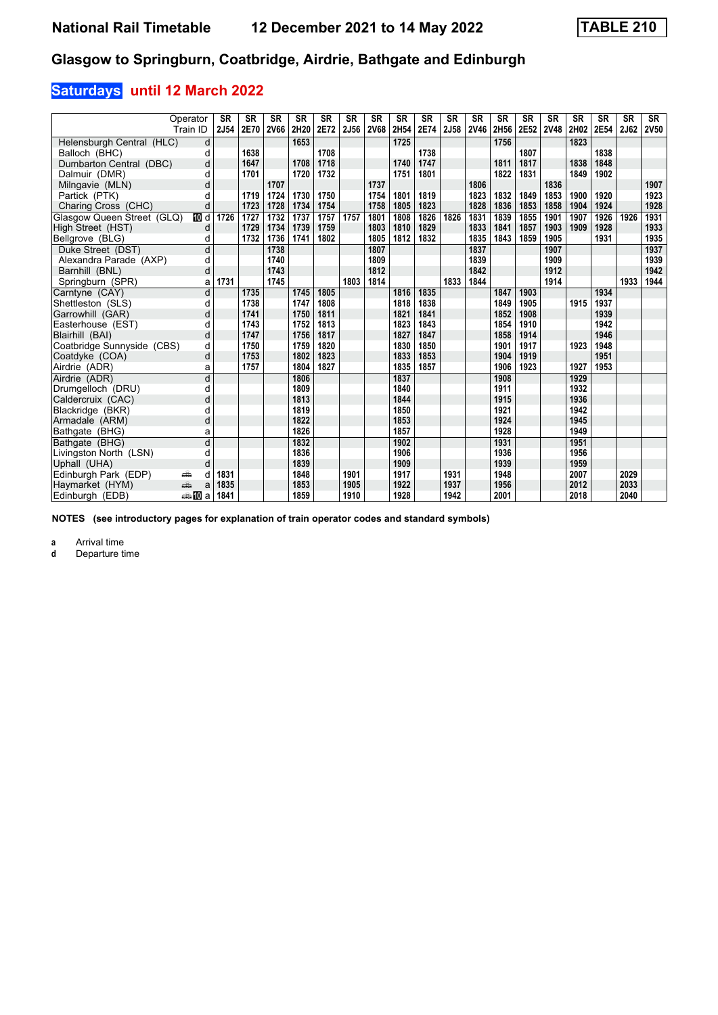## **Saturdays until 12 March 2022**

|                            | Operator<br>Train ID | <b>SR</b><br>2J54 | <b>SR</b><br>2E70 | <b>SR</b><br><b>2V66</b> | <b>SR</b><br>2H20 | <b>SR</b><br>2E72 | <b>SR</b><br><b>2J56</b> | <b>SR</b><br><b>2V68</b> | <b>SR</b><br>2H54 | <b>SR</b><br>2E74 | <b>SR</b><br>2J58 | <b>SR</b><br><b>2V46</b> | <b>SR</b><br>2H56 | <b>SR</b><br>2E52 | <b>SR</b><br><b>2V48</b> | <b>SR</b><br>2H02 | <b>SR</b><br>2E54 | <b>SR</b><br>2J62 | SR<br><b>2V50</b> |
|----------------------------|----------------------|-------------------|-------------------|--------------------------|-------------------|-------------------|--------------------------|--------------------------|-------------------|-------------------|-------------------|--------------------------|-------------------|-------------------|--------------------------|-------------------|-------------------|-------------------|-------------------|
| Helensburgh Central (HLC)  | d                    |                   |                   |                          | 1653              |                   |                          |                          | 1725              |                   |                   |                          | 1756              |                   |                          | 1823              |                   |                   |                   |
| Balloch (BHC)              | d                    |                   | 1638              |                          |                   | 1708              |                          |                          |                   | 1738              |                   |                          |                   | 1807              |                          |                   | 1838              |                   |                   |
| Dumbarton Central (DBC)    | d                    |                   | 1647              |                          | 1708              | 1718              |                          |                          | 1740              | 1747              |                   |                          | 1811              | 1817              |                          | 1838              | 1848              |                   |                   |
| Dalmuir (DMR)              | d                    |                   | 1701              |                          | 1720              | 1732              |                          |                          | 1751              | 1801              |                   |                          | 1822              | 1831              |                          | 1849              | 1902              |                   |                   |
| Milngavie (MLN)            | d                    |                   |                   | 1707                     |                   |                   |                          | 1737                     |                   |                   |                   | 1806                     |                   |                   | 1836                     |                   |                   |                   | 1907              |
| Partick (PTK)              | d                    |                   | 1719              | 1724                     | 1730              | 1750              |                          | 1754                     | 1801              | 1819              |                   | 1823                     | 1832              | 1849              | 1853                     | 1900              | 1920              |                   | 1923              |
| Charing Cross (CHC)        | d                    |                   | 1723              | 1728                     | 1734              | 1754              |                          | 1758                     | 1805              | 1823              |                   | 1828                     | 1836              | 1853              | 1858                     | 1904              | 1924              |                   | 1928              |
| Glasgow Queen Street (GLQ) | III d                | 1726              | 1727              | 1732                     | 1737              | 1757              | 1757                     | 1801                     | 1808              | 1826              | 1826              | 1831                     | 1839              | 1855              | 1901                     | 1907              | 1926              | 1926              | 1931              |
| High Street (HST)          | d                    |                   | 1729              | 1734                     | 1739              | 1759              |                          | 1803                     | 1810              | 1829              |                   | 1833                     | 1841              | 1857              | 1903                     | 1909              | 1928              |                   | 1933              |
| Bellgrove (BLG)            | d                    |                   | 1732              | 1736                     | 1741              | 1802              |                          | 1805                     | 1812              | 1832              |                   | 1835                     | 1843              | 1859              | 1905                     |                   | 1931              |                   | 1935              |
| Duke Street (DST)          | d                    |                   |                   | 1738                     |                   |                   |                          | 1807                     |                   |                   |                   | 1837                     |                   |                   | 1907                     |                   |                   |                   | 1937              |
| Alexandra Parade (AXP)     | d                    |                   |                   | 1740                     |                   |                   |                          | 1809                     |                   |                   |                   | 1839                     |                   |                   | 1909                     |                   |                   |                   | 1939              |
| Barnhill (BNL)             | d                    |                   |                   | 1743                     |                   |                   |                          | 1812                     |                   |                   |                   | 1842                     |                   |                   | 1912                     |                   |                   |                   | 1942              |
| Springburn (SPR)           | a                    | 1731              |                   | 1745                     |                   |                   | 1803                     | 1814                     |                   |                   | 1833              | 1844                     |                   |                   | 1914                     |                   |                   | 1933              | 1944              |
| Carntyne (CAY)             | d                    |                   | 1735              |                          | 1745              | 1805              |                          |                          | 1816              | 1835              |                   |                          | 1847              | 1903              |                          |                   | 1934              |                   |                   |
| Shettleston (SLS)          | d                    |                   | 1738              |                          | 1747              | 1808              |                          |                          | 1818              | 1838              |                   |                          | 1849              | 1905              |                          | 1915              | 1937              |                   |                   |
| Garrowhill (GAR)           | d                    |                   | 1741              |                          | 1750              | 1811              |                          |                          | 1821              | 1841              |                   |                          | 1852              | 1908              |                          |                   | 1939              |                   |                   |
| Easterhouse (EST)          | d                    |                   | 1743              |                          | 1752              | 1813              |                          |                          | 1823              | 1843              |                   |                          | 1854              | 1910              |                          |                   | 1942              |                   |                   |
| Blairhill (BAI)            | d                    |                   | 1747              |                          | 1756              | 1817              |                          |                          | 1827              | 1847              |                   |                          | 1858              | 1914              |                          |                   | 1946              |                   |                   |
| Coatbridge Sunnyside (CBS) | d                    |                   | 1750              |                          | 1759              | 1820              |                          |                          | 1830              | 1850              |                   |                          | 1901              | 1917              |                          | 1923              | 1948              |                   |                   |
| Coatdyke (COA)             | d                    |                   | 1753              |                          | 1802              | 1823              |                          |                          | 1833              | 1853              |                   |                          | 1904              | 1919              |                          |                   | 1951              |                   |                   |
| Airdrie (ADR)              | a                    |                   | 1757              |                          | 1804              | 1827              |                          |                          | 1835              | 1857              |                   |                          | 1906              | 1923              |                          | 1927              | 1953              |                   |                   |
| Airdrie (ADR)              | d                    |                   |                   |                          | 1806              |                   |                          |                          | 1837              |                   |                   |                          | 1908              |                   |                          | 1929              |                   |                   |                   |
| Drumgelloch (DRU)          | d                    |                   |                   |                          | 1809              |                   |                          |                          | 1840              |                   |                   |                          | 1911              |                   |                          | 1932              |                   |                   |                   |
| Caldercruix (CAC)          | d                    |                   |                   |                          | 1813              |                   |                          |                          | 1844              |                   |                   |                          | 1915              |                   |                          | 1936              |                   |                   |                   |
| Blackridge (BKR)           | d                    |                   |                   |                          | 1819              |                   |                          |                          | 1850              |                   |                   |                          | 1921              |                   |                          | 1942              |                   |                   |                   |
| Armadale (ARM)             | d                    |                   |                   |                          | 1822              |                   |                          |                          | 1853              |                   |                   |                          | 1924              |                   |                          | 1945              |                   |                   |                   |
| Bathgate (BHG)             | a                    |                   |                   |                          | 1826              |                   |                          |                          | 1857              |                   |                   |                          | 1928              |                   |                          | 1949              |                   |                   |                   |
| Bathgate (BHG)             | d                    |                   |                   |                          | 1832              |                   |                          |                          | 1902              |                   |                   |                          | 1931              |                   |                          | 1951              |                   |                   |                   |
| Livingston North (LSN)     | d                    |                   |                   |                          | 1836              |                   |                          |                          | 1906              |                   |                   |                          | 1936              |                   |                          | 1956              |                   |                   |                   |
| Uphall (UHA)               | d                    |                   |                   |                          | 1839              |                   |                          |                          | 1909              |                   |                   |                          | 1939              |                   |                          | 1959              |                   |                   |                   |
| Edinburgh Park (EDP)       | d<br>پیش             | 1831              |                   |                          | 1848              |                   | 1901                     |                          | 1917              |                   | 1931              |                          | 1948              |                   |                          | 2007              |                   | 2029              |                   |
| Haymarket (HYM)            | پېښ<br>a             | 1835              |                   |                          | 1853              |                   | 1905                     |                          | 1922              |                   | 1937              |                          | 1956              |                   |                          | 2012              |                   | 2033              |                   |
| Edinburgh (EDB)            | a‱Ma                 | 1841              |                   |                          | 1859              |                   | 1910                     |                          | 1928              |                   | 1942              |                          | 2001              |                   |                          | 2018              |                   | 2040              |                   |

**NOTES (see introductory pages for explanation of train operator codes and standard symbols)**

**a** Arrival time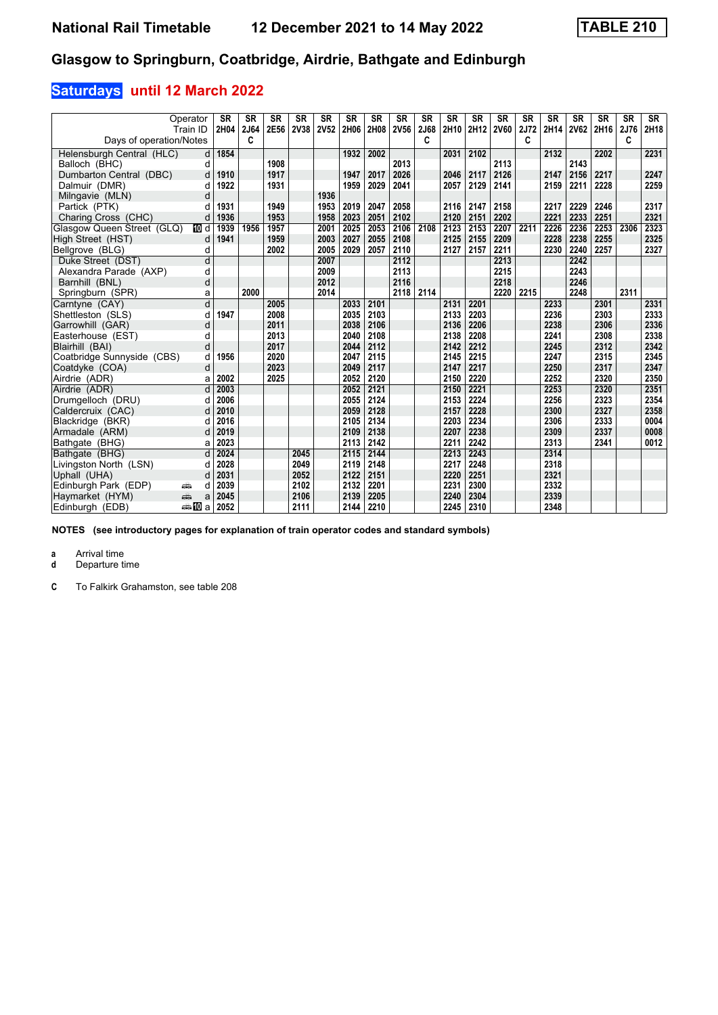# **Saturdays until 12 March 2022**

| Operator<br>Train ID                                                                                                                                                                                                                                   | <b>SR</b><br>2H04 | <b>SR</b><br>2J64 | <b>SR</b><br>2E56 | <b>SR</b><br><b>2V38</b> | <b>SR</b><br><b>2V52</b> | <b>SR</b><br>2H06 | <b>SR</b><br>2H08 | <b>SR</b><br>2V56 | <b>SR</b><br>2J68 | <b>SR</b><br>2H10 | <b>SR</b><br>2H12 | <b>SR</b><br><b>2V60</b> | <b>SR</b><br>2J72 | <b>SR</b><br>2H14 | <b>SR</b><br><b>2V62</b> | <b>SR</b><br>2H16 | <b>SR</b><br>2J76 | <b>SR</b><br>2H18 |
|--------------------------------------------------------------------------------------------------------------------------------------------------------------------------------------------------------------------------------------------------------|-------------------|-------------------|-------------------|--------------------------|--------------------------|-------------------|-------------------|-------------------|-------------------|-------------------|-------------------|--------------------------|-------------------|-------------------|--------------------------|-------------------|-------------------|-------------------|
| Days of operation/Notes                                                                                                                                                                                                                                |                   | C                 |                   |                          |                          |                   |                   |                   | C                 |                   |                   |                          | C                 |                   |                          |                   | C                 |                   |
| Helensburgh Central (HLC)<br>d                                                                                                                                                                                                                         | 1854              |                   |                   |                          |                          | 1932              | 2002              |                   |                   | 2031              | 2102              |                          |                   | 2132              |                          | 2202              |                   | 2231              |
| Balloch (BHC)<br>d                                                                                                                                                                                                                                     |                   |                   | 1908              |                          |                          |                   |                   | 2013              |                   |                   |                   | 2113                     |                   |                   | 2143                     |                   |                   |                   |
| d<br>Dumbarton Central (DBC)                                                                                                                                                                                                                           | 1910              |                   | 1917              |                          |                          | 1947              | 2017              | 2026              |                   | 2046              | 2117              | 2126                     |                   | 2147              | 2156                     | 2217              |                   | 2247              |
| Dalmuir (DMR)<br>d                                                                                                                                                                                                                                     | 1922              |                   | 1931              |                          |                          | 1959              | 2029              | 2041              |                   | 2057              | 2129              | 2141                     |                   | 2159              | 2211                     | 2228              |                   | 2259              |
| d<br>Milngavie (MLN)                                                                                                                                                                                                                                   |                   |                   |                   |                          | 1936                     |                   |                   |                   |                   |                   |                   |                          |                   |                   |                          |                   |                   |                   |
| Partick (PTK)<br>d                                                                                                                                                                                                                                     | 1931              |                   | 1949              |                          | 1953                     | 2019              | 2047              | 2058              |                   | 2116              | 2147              | 2158                     |                   | 2217              | 2229                     | 2246              |                   | 2317              |
| Charing Cross (CHC)<br>d                                                                                                                                                                                                                               | 1936              |                   | 1953              |                          | 1958                     | 2023              | 2051              | 2102              |                   | 2120              | 2151              | 2202                     |                   | 2221              | 2233                     | 2251              |                   | 2321              |
| Glasgow Queen Street (GLQ)<br>10 d                                                                                                                                                                                                                     | 1939              | 1956              | 1957              |                          | 2001                     | 2025              | 2053              | 2106              | 2108              | 2123              | 2153              | 2207                     | 2211              | 2226              | 2236                     | 2253              | 2306              | 2323              |
| High Street (HST)<br>d                                                                                                                                                                                                                                 | 1941              |                   | 1959              |                          | 2003                     | 2027              | 2055              | 2108              |                   | 2125              | 2155              | 2209                     |                   | 2228              | 2238                     | 2255              |                   | 2325              |
| Bellgrove (BLG)<br>d                                                                                                                                                                                                                                   |                   |                   | 2002              |                          | 2005                     | 2029              | 2057              | 2110              |                   | 2127              | 2157              | 2211                     |                   | 2230              | 2240                     | 2257              |                   | 2327              |
| d<br>Duke Street (DST)                                                                                                                                                                                                                                 |                   |                   |                   |                          | 2007                     |                   |                   | 2112              |                   |                   |                   | 2213                     |                   |                   | 2242                     |                   |                   |                   |
| Alexandra Parade (AXP)<br>d                                                                                                                                                                                                                            |                   |                   |                   |                          | 2009                     |                   |                   | 2113              |                   |                   |                   | 2215                     |                   |                   | 2243                     |                   |                   |                   |
| d<br>Barnhill (BNL)                                                                                                                                                                                                                                    |                   |                   |                   |                          | 2012                     |                   |                   | 2116              |                   |                   |                   | 2218                     |                   |                   | 2246                     |                   |                   |                   |
| Springburn (SPR)<br>a                                                                                                                                                                                                                                  |                   | 2000              |                   |                          | 2014                     |                   |                   | 2118              | 2114              |                   |                   | 2220                     | 2215              |                   | 2248                     |                   | 2311              |                   |
| $\overline{\mathsf{d}}$<br>Carntyne (CAY)                                                                                                                                                                                                              |                   |                   | 2005              |                          |                          | 2033              | 2101              |                   |                   | 2131              | 2201              |                          |                   | 2233              |                          | 2301              |                   | 2331              |
| Shettleston (SLS)<br>d                                                                                                                                                                                                                                 | 1947              |                   | 2008              |                          |                          | 2035              | 2103              |                   |                   | 2133              | 2203              |                          |                   | 2236              |                          | 2303              |                   | 2333              |
| Garrowhill (GAR)<br>d                                                                                                                                                                                                                                  |                   |                   | 2011              |                          |                          | 2038              | 2106              |                   |                   | 2136              | 2206              |                          |                   | 2238              |                          | 2306              |                   | 2336              |
| Easterhouse (EST)<br>d                                                                                                                                                                                                                                 |                   |                   | 2013              |                          |                          | 2040              | 2108              |                   |                   | 2138              | 2208              |                          |                   | 2241              |                          | 2308              |                   | 2338              |
| d<br>Blairhill (BAI)                                                                                                                                                                                                                                   |                   |                   | 2017              |                          |                          | 2044              | 2112              |                   |                   | 2142              | 2212              |                          |                   | 2245              |                          | 2312              |                   | 2342              |
| Coatbridge Sunnyside (CBS)<br>d                                                                                                                                                                                                                        | 1956              |                   | 2020              |                          |                          | 2047              | 2115              |                   |                   | 2145              | 2215              |                          |                   | 2247              |                          | 2315              |                   | 2345              |
| d<br>Coatdyke (COA)                                                                                                                                                                                                                                    |                   |                   | 2023              |                          |                          | 2049              | 2117              |                   |                   | 2147              | 2217              |                          |                   | 2250              |                          | 2317              |                   | 2347              |
| Airdrie (ADR)<br>a                                                                                                                                                                                                                                     | 2002              |                   | 2025              |                          |                          | 2052              | 2120              |                   |                   | 2150              | 2220              |                          |                   | 2252              |                          | 2320              |                   | 2350              |
| d<br>Airdrie (ADR)                                                                                                                                                                                                                                     | 2003              |                   |                   |                          |                          | 2052              | 2121              |                   |                   | 2150              | 2221              |                          |                   | 2253              |                          | 2320              |                   | 2351              |
| Drumgelloch (DRU)<br>d                                                                                                                                                                                                                                 | 2006              |                   |                   |                          |                          | 2055              | 2124              |                   |                   | 2153              | 2224              |                          |                   | 2256              |                          | 2323              |                   | 2354              |
| Caldercruix (CAC)<br>d                                                                                                                                                                                                                                 | 2010              |                   |                   |                          |                          | 2059              | 2128              |                   |                   | 2157              | 2228              |                          |                   | 2300              |                          | 2327              |                   | 2358              |
| Blackridge (BKR)<br>d                                                                                                                                                                                                                                  | 2016              |                   |                   |                          |                          | 2105              | 2134              |                   |                   | 2203              | 2234              |                          |                   | 2306              |                          | 2333              |                   | 0004              |
| Armadale (ARM)<br>d                                                                                                                                                                                                                                    | 2019              |                   |                   |                          |                          | 2109              | 2138              |                   |                   | 2207              | 2238              |                          |                   | 2309              |                          | 2337              |                   | 0008              |
| Bathgate (BHG)<br>a                                                                                                                                                                                                                                    | 2023              |                   |                   |                          |                          | 2113              | 2142              |                   |                   | 2211              | 2242              |                          |                   | 2313              |                          | 2341              |                   | 0012              |
| d<br>Bathgate (BHG)                                                                                                                                                                                                                                    | 2024              |                   |                   | 2045                     |                          | 2115              | 2144              |                   |                   | 2213              | 2243              |                          |                   | 2314              |                          |                   |                   |                   |
| Livingston North (LSN)<br>d                                                                                                                                                                                                                            | 2028              |                   |                   | 2049                     |                          | 2119              | 2148              |                   |                   | 2217              | 2248              |                          |                   | 2318              |                          |                   |                   |                   |
| Uphall (UHA)<br>d                                                                                                                                                                                                                                      | 2031              |                   |                   | 2052                     |                          | 2122              | 2151              |                   |                   | 2220              | 2251              |                          |                   | 2321              |                          |                   |                   |                   |
| Edinburgh Park (EDP)<br>d<br>پېښ                                                                                                                                                                                                                       | 2039              |                   |                   | 2102                     |                          | 2132              | 2201              |                   |                   | 2231              | 2300              |                          |                   | 2332              |                          |                   |                   |                   |
| and the second second second second second second second second second second second second second second second second second second second second second second second second second second second second second second seco<br>Haymarket (HYM)<br>a | 2045              |                   |                   | 2106                     |                          | 2139              | 2205              |                   |                   | 2240              | 2304              |                          |                   | 2339              |                          |                   |                   |                   |
| <del>⊯</del> ∎Da<br>Edinburgh (EDB)                                                                                                                                                                                                                    | 2052              |                   |                   | 2111                     |                          | 2144              | 2210              |                   |                   | 2245              | 2310              |                          |                   | 2348              |                          |                   |                   |                   |

**NOTES (see introductory pages for explanation of train operator codes and standard symbols)**

**a** Arrival time<br>**d** Departure t

**d** Departure time

**` ` C** To Falkirk Grahamston, see table 208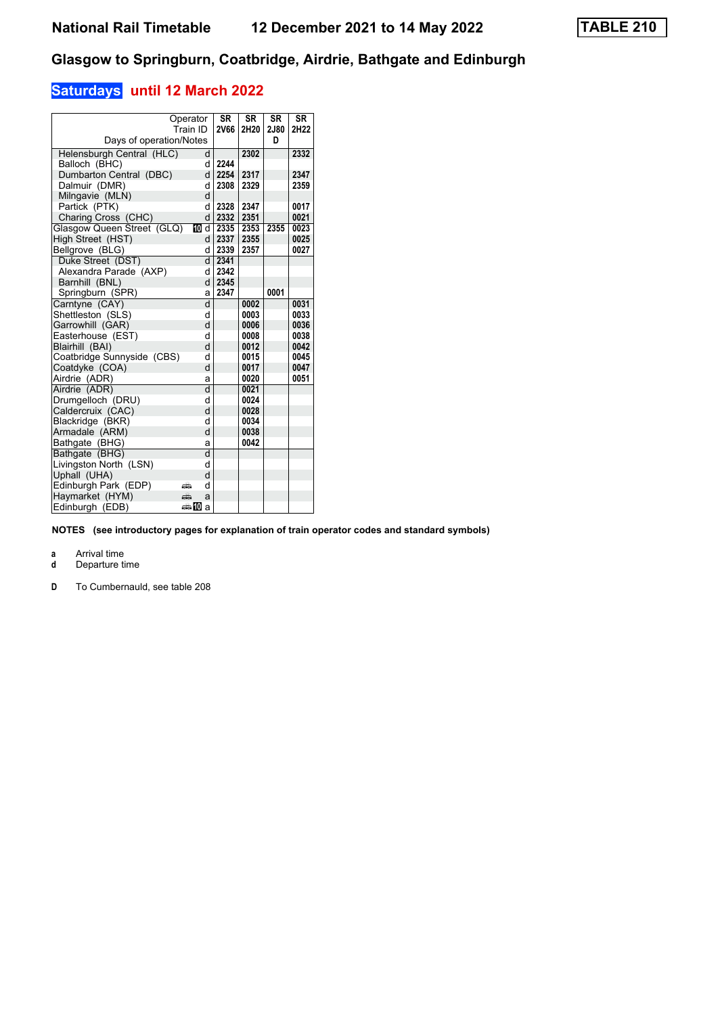# **Saturdays until 12 March 2022**

|                            | Operator<br>Train ID |          | <b>SR</b><br><b>2V66</b> | <b>SR</b><br>2H20 | <b>SR</b><br><b>2J80</b> | <b>SR</b><br>2H22 |
|----------------------------|----------------------|----------|--------------------------|-------------------|--------------------------|-------------------|
| Days of operation/Notes    |                      |          |                          |                   | D                        |                   |
| Helensburgh Central (HLC)  |                      | d        |                          | 2302              |                          | 2332              |
| Balloch (BHC)              |                      | d        | 2244                     |                   |                          |                   |
| Dumbarton Central (DBC)    |                      | d        | 2254                     | 2317              |                          | 2347              |
| Dalmuir (DMR)              |                      | d        | 2308                     | 2329              |                          | 2359              |
| Milngavie (MLN)            |                      | d        |                          |                   |                          |                   |
| Partick (PTK)              |                      | d        | 2328                     | 2347              |                          | 0017              |
| Charing Cross (CHC)        |                      | $d \mid$ | 2332                     | 2351              |                          | 0021              |
| Glasgow Queen Street (GLQ) | 10 d                 |          | 2335                     | 2353              | 2355                     | 0023              |
| High Street (HST)          |                      | $d \mid$ | 2337                     | 2355              |                          | 0025              |
| Bellgrove (BLG)            |                      | d        | 2339                     | 2357              |                          | 0027              |
| Duke Street (DST)          |                      | d l      | 2341                     |                   |                          |                   |
| Alexandra Parade (AXP)     |                      | d        | 2342                     |                   |                          |                   |
| Barnhill (BNL)             |                      | d        | 2345                     |                   |                          |                   |
| Springburn (SPR)           |                      | a        | 2347                     |                   | 0001                     |                   |
| Carntyne (CAY)             |                      | d        |                          | 0002              |                          | 0031              |
| Shettleston (SLS)          |                      | d        |                          | 0003              |                          | 0033              |
| Garrowhill (GAR)           |                      | d        |                          | 0006              |                          | 0036              |
| Easterhouse (EST)          |                      | d        |                          | 0008              |                          | 0038              |
| Blairhill (BAI)            |                      | d        |                          | 0012              |                          | 0042              |
| Coatbridge Sunnyside (CBS) |                      | d        |                          | 0015              |                          | 0045              |
| Coatdyke (COA)             |                      | d        |                          | 0017              |                          | 0047              |
| Airdrie (ADR)              |                      | a        |                          | 0020              |                          | 0051              |
| Airdrie (ADR)              |                      | d        |                          | 0021              |                          |                   |
| Drumgelloch (DRU)          |                      | d        |                          | 0024              |                          |                   |
| Caldercruix (CAC)          |                      | d        |                          | 0028              |                          |                   |
| Blackridge (BKR)           |                      | d        |                          | 0034              |                          |                   |
| Armadale (ARM)             |                      | d        |                          | 0038              |                          |                   |
| Bathgate (BHG)             |                      | а        |                          | 0042              |                          |                   |
| Bathgate (BHG)             |                      | d        |                          |                   |                          |                   |
| Livingston North (LSN)     |                      | d        |                          |                   |                          |                   |
| Uphall (UHA)               |                      | d        |                          |                   |                          |                   |
| Edinburgh Park (EDP)       | ۵Ť۵                  | d        |                          |                   |                          |                   |
| Haymarket (HYM)            | ക്ക                  | a        |                          |                   |                          |                   |
| Edinburgh (EDB)            | ⇔10                  | a        |                          |                   |                          |                   |

**NOTES (see introductory pages for explanation of train operator codes and standard symbols)**

**a** Arrival time<br>**d** Departure t

**d** Departure time

 $\bf{D}$ **'** To Cumbernauld, see table 208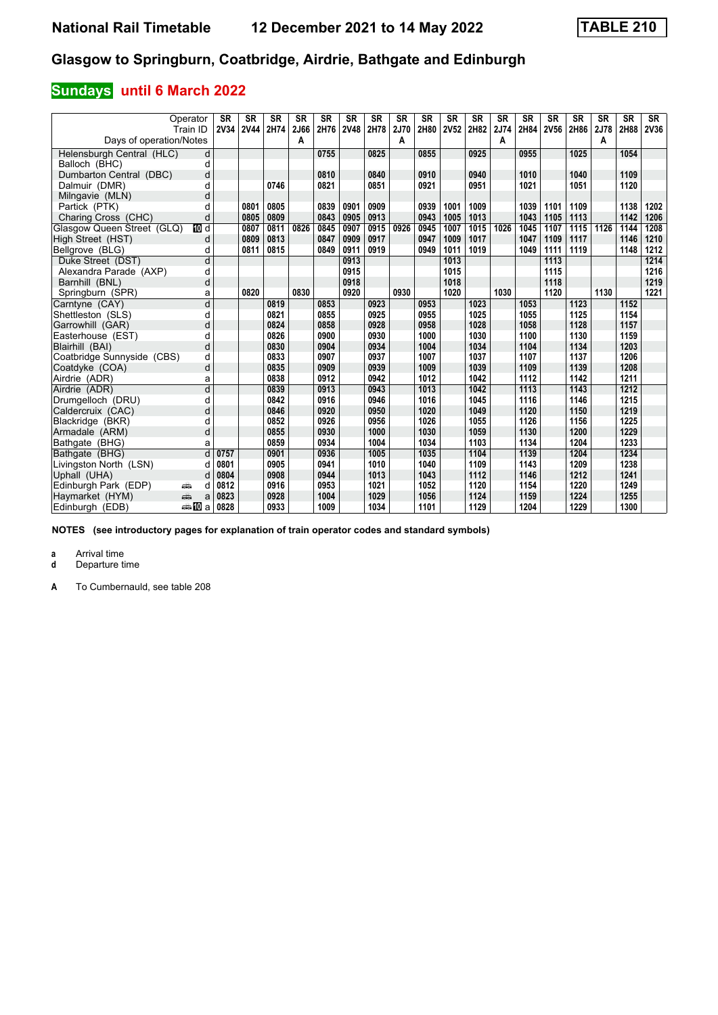## **Sundays until 6 March 2022**

| Operator<br>Train ID          |      | <b>SR</b><br><b>2V34</b> | <b>SR</b><br><b>2V44</b> | <b>SR</b><br>2H74 | <b>SR</b><br>2J66 | <b>SR</b><br>2H76 | <b>SR</b><br><b>2V48</b> | <b>SR</b><br>2H78 | <b>SR</b><br>2J70 | <b>SR</b><br>2H80 | <b>SR</b><br><b>2V52</b> | <b>SR</b><br>2H82 | <b>SR</b><br>2J74 | <b>SR</b><br>2H84 | <b>SR</b><br><b>2V56</b> | <b>SR</b><br>2H86 | <b>SR</b><br>2J78 | <b>SR</b><br>2H88 | <b>SR</b><br><b>2V36</b> |
|-------------------------------|------|--------------------------|--------------------------|-------------------|-------------------|-------------------|--------------------------|-------------------|-------------------|-------------------|--------------------------|-------------------|-------------------|-------------------|--------------------------|-------------------|-------------------|-------------------|--------------------------|
| Days of operation/Notes       |      |                          |                          |                   | Α                 |                   |                          |                   | A                 |                   |                          |                   | A                 |                   |                          |                   | A                 |                   |                          |
| Helensburgh Central (HLC)     | d    |                          |                          |                   |                   | 0755              |                          | 0825              |                   | 0855              |                          | 0925              |                   | 0955              |                          | 1025              |                   | 1054              |                          |
| Balloch (BHC)                 | d    |                          |                          |                   |                   |                   |                          |                   |                   |                   |                          |                   |                   |                   |                          |                   |                   |                   |                          |
| Dumbarton Central (DBC)       | d    |                          |                          |                   |                   | 0810              |                          | 0840              |                   | 0910              |                          | 0940              |                   | 1010              |                          | 1040              |                   | 1109              |                          |
| Dalmuir (DMR)                 | d    |                          |                          | 0746              |                   | 0821              |                          | 0851              |                   | 0921              |                          | 0951              |                   | 1021              |                          | 1051              |                   | 1120              |                          |
| Milngavie (MLN)               | d    |                          |                          |                   |                   |                   |                          |                   |                   |                   |                          |                   |                   |                   |                          |                   |                   |                   |                          |
| Partick (PTK)                 | d    |                          | 0801                     | 0805              |                   | 0839              | 0901                     | 0909              |                   | 0939              | 1001                     | 1009              |                   | 1039              | 1101                     | 1109              |                   | 1138              | 1202                     |
| Charing Cross (CHC)           | d    |                          | 0805                     | 0809              |                   | 0843              | 0905                     | 0913              |                   | 0943              | 1005                     | 1013              |                   | 1043              | 1105                     | 1113              |                   | 1142              | 1206                     |
| Glasgow Queen Street (GLQ)    | 10 d |                          | 0807                     | 0811              | 0826              | 0845              | 0907                     | 0915              | 0926              | 0945              | 1007                     | 1015              | 1026              | 1045              | 1107                     | 1115              | 1126              | 1144              | 1208                     |
| High Street (HST)             | d    |                          | 0809                     | 0813              |                   | 0847              | 0909                     | 0917              |                   | 0947              | 1009                     | 1017              |                   | 1047              | 1109                     | 1117              |                   | 1146              | 1210                     |
| Bellgrove (BLG)               | d    |                          | 0811                     | 0815              |                   | 0849              | 0911                     | 0919              |                   | 0949              | 1011                     | 1019              |                   | 1049              | 1111                     | 1119              |                   | 1148              | 1212                     |
| Duke Street (DST)             | d    |                          |                          |                   |                   |                   | 0913                     |                   |                   |                   | 1013                     |                   |                   |                   | 1113                     |                   |                   |                   | 1214                     |
| Alexandra Parade (AXP)        | d    |                          |                          |                   |                   |                   | 0915                     |                   |                   |                   | 1015                     |                   |                   |                   | 1115                     |                   |                   |                   | 1216                     |
| Barnhill (BNL)                | d    |                          |                          |                   |                   |                   | 0918                     |                   |                   |                   | 1018                     |                   |                   |                   | 1118                     |                   |                   |                   | 1219                     |
| Springburn (SPR)              | a    |                          | 0820                     |                   | 0830              |                   | 0920                     |                   | 0930              |                   | 1020                     |                   | 1030              |                   | 1120                     |                   | 1130              |                   | 1221                     |
| Carntyne (CAY)                | d    |                          |                          | 0819              |                   | 0853              |                          | 0923              |                   | 0953              |                          | 1023              |                   | 1053              |                          | 1123              |                   | 1152              |                          |
| Shettleston (SLS)             | d    |                          |                          | 0821              |                   | 0855              |                          | 0925              |                   | 0955              |                          | 1025              |                   | 1055              |                          | 1125              |                   | 1154              |                          |
| Garrowhill (GAR)              | d    |                          |                          | 0824              |                   | 0858              |                          | 0928              |                   | 0958              |                          | 1028              |                   | 1058              |                          | 1128              |                   | 1157              |                          |
| Easterhouse (EST)             | d    |                          |                          | 0826              |                   | 0900              |                          | 0930              |                   | 1000              |                          | 1030              |                   | 1100              |                          | 1130              |                   | 1159              |                          |
| Blairhill (BAI)               | d    |                          |                          | 0830              |                   | 0904              |                          | 0934              |                   | 1004              |                          | 1034              |                   | 1104              |                          | 1134              |                   | 1203              |                          |
| Coatbridge Sunnyside (CBS)    | d    |                          |                          | 0833              |                   | 0907              |                          | 0937              |                   | 1007              |                          | 1037              |                   | 1107              |                          | 1137              |                   | 1206              |                          |
| Coatdyke (COA)                | d    |                          |                          | 0835              |                   | 0909              |                          | 0939              |                   | 1009              |                          | 1039              |                   | 1109              |                          | 1139              |                   | 1208              |                          |
| Airdrie (ADR)                 | a    |                          |                          | 0838              |                   | 0912              |                          | 0942              |                   | 1012              |                          | 1042              |                   | 1112              |                          | 1142              |                   | 1211              |                          |
| Airdrie (ADR)                 | d    |                          |                          | 0839              |                   | 0913              |                          | 0943              |                   | 1013              |                          | 1042              |                   | 1113              |                          | 1143              |                   | 1212              |                          |
| Drumgelloch (DRU)             | d    |                          |                          | 0842              |                   | 0916              |                          | 0946              |                   | 1016              |                          | 1045              |                   | 1116              |                          | 1146              |                   | 1215              |                          |
| Caldercruix (CAC)             | d    |                          |                          | 0846              |                   | 0920              |                          | 0950              |                   | 1020              |                          | 1049              |                   | 1120              |                          | 1150              |                   | 1219              |                          |
| Blackridge (BKR)              | d    |                          |                          | 0852              |                   | 0926              |                          | 0956              |                   | 1026              |                          | 1055              |                   | 1126              |                          | 1156              |                   | 1225              |                          |
| Armadale (ARM)                | d    |                          |                          | 0855              |                   | 0930              |                          | 1000              |                   | 1030              |                          | 1059              |                   | 1130              |                          | 1200              |                   | 1229              |                          |
| Bathgate (BHG)                | a    |                          |                          | 0859              |                   | 0934              |                          | 1004              |                   | 1034              |                          | 1103              |                   | 1134              |                          | 1204              |                   | 1233              |                          |
| Bathgate (BHG)                | d    | 0757                     |                          | 0901              |                   | 0936              |                          | 1005              |                   | 1035              |                          | 1104              |                   | 1139              |                          | 1204              |                   | 1234              |                          |
| Livingston North (LSN)        | d    | 0801                     |                          | 0905              |                   | 0941              |                          | 1010              |                   | 1040              |                          | 1109              |                   | 1143              |                          | 1209              |                   | 1238              |                          |
| Uphall (UHA)                  | d    | 0804                     |                          | 0908              |                   | 0944              |                          | 1013              |                   | 1043              |                          | 1112              |                   | 1146              |                          | 1212              |                   | 1241              |                          |
| Edinburgh Park (EDP)<br>پیشته | d    | 0812                     |                          | 0916              |                   | 0953              |                          | 1021              |                   | 1052              |                          | 1120              |                   | 1154              |                          | 1220              |                   | 1249              |                          |
| پيش<br>Haymarket (HYM)        | a    | 0823                     |                          | 0928              |                   | 1004              |                          | 1029              |                   | 1056              |                          | 1124              |                   | 1159              |                          | 1224              |                   | 1255              |                          |
| Edinburgh (EDB)               | a‱Ma | 0828                     |                          | 0933              |                   | 1009              |                          | 1034              |                   | 1101              |                          | 1129              |                   | 1204              |                          | 1229              |                   | 1300              |                          |

**NOTES (see introductory pages for explanation of train operator codes and standard symbols)**

**a** Arrival time<br>**d** Departure t

**d** Departure time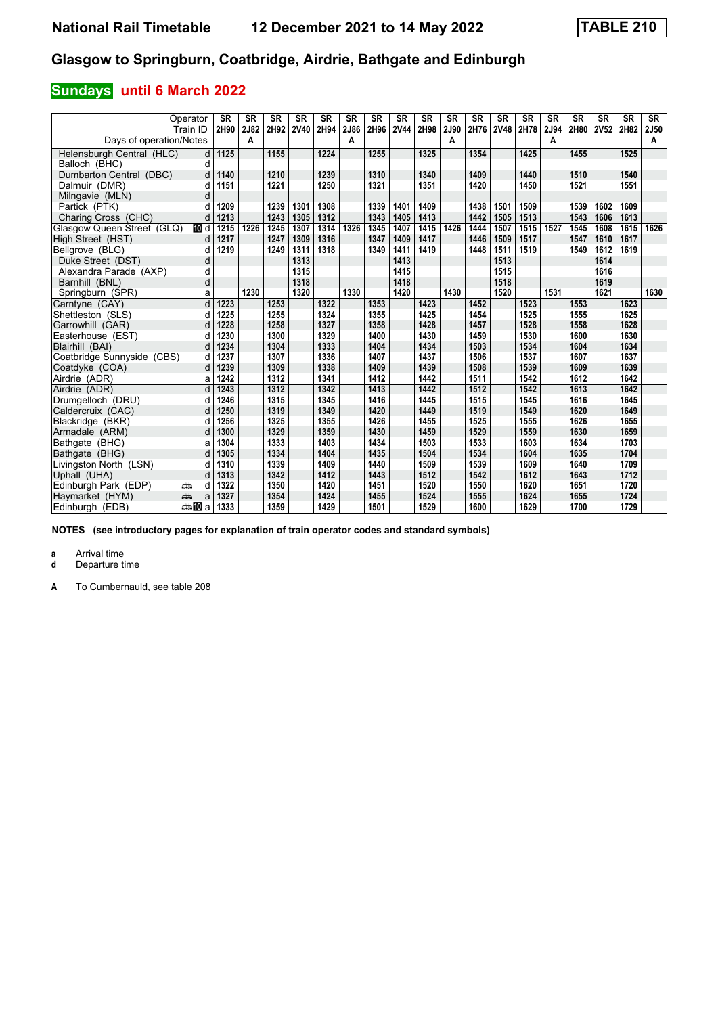## **Sundays until 6 March 2022**

| Operator<br>Train ID               | <b>SR</b><br>2H90 | <b>SR</b><br>2J82 | <b>SR</b><br>2H92 | <b>SR</b><br><b>2V40</b> | <b>SR</b><br>2H94 | <b>SR</b><br>2J86 | <b>SR</b><br>2H96 | <b>SR</b><br><b>2V44</b> | <b>SR</b><br>2H98 | <b>SR</b><br>2J90 | <b>SR</b><br>2H76 | <b>SR</b><br><b>2V48</b> | <b>SR</b><br>2H78 | <b>SR</b><br>2J94 | <b>SR</b><br>2H80 | <b>SR</b><br><b>2V52</b> | <b>SR</b><br>2H82 | <b>SR</b><br><b>2J50</b> |
|------------------------------------|-------------------|-------------------|-------------------|--------------------------|-------------------|-------------------|-------------------|--------------------------|-------------------|-------------------|-------------------|--------------------------|-------------------|-------------------|-------------------|--------------------------|-------------------|--------------------------|
| Days of operation/Notes            |                   | A                 |                   |                          |                   | A                 |                   |                          |                   | A                 |                   |                          |                   | A                 |                   |                          |                   | A                        |
| Helensburgh Central (HLC)<br>d     | 1125              |                   | 1155              |                          | 1224              |                   | 1255              |                          | 1325              |                   | 1354              |                          | 1425              |                   | 1455              |                          | 1525              |                          |
| d<br>Balloch (BHC)                 |                   |                   |                   |                          |                   |                   |                   |                          |                   |                   |                   |                          |                   |                   |                   |                          |                   |                          |
| Dumbarton Central (DBC)<br>d       | 1140              |                   | 1210              |                          | 1239              |                   | 1310              |                          | 1340              |                   | 1409              |                          | 1440              |                   | 1510              |                          | 1540              |                          |
| Dalmuir (DMR)<br>d                 | 1151              |                   | 1221              |                          | 1250              |                   | 1321              |                          | 1351              |                   | 1420              |                          | 1450              |                   | 1521              |                          | 1551              |                          |
| d<br>Milngavie (MLN)               |                   |                   |                   |                          |                   |                   |                   |                          |                   |                   |                   |                          |                   |                   |                   |                          |                   |                          |
| Partick (PTK)<br>d                 | 1209              |                   | 1239              | 1301                     | 1308              |                   | 1339              | 1401                     | 1409              |                   | 1438              | 1501                     | 1509              |                   | 1539              | 1602                     | 1609              |                          |
| Charing Cross (CHC)<br>d           | 1213              |                   | 1243              | 1305                     | 1312              |                   | 1343              | 1405                     | 1413              |                   | 1442              | 1505                     | 1513              |                   | 1543              | 1606                     | 1613              |                          |
| Glasgow Queen Street (GLQ)<br>10 d | 1215              | 1226              | 1245              | 1307                     | 1314              | 1326              | 1345              | 1407                     | 1415              | 1426              | 1444              | 1507                     | 1515              | 1527              | 1545              | 1608                     | 1615              | 1626                     |
| High Street (HST)<br>d             | 1217              |                   | 1247              | 1309                     | 1316              |                   | 1347              | 1409                     | 1417              |                   | 1446              | 1509                     | 1517              |                   | 1547              | 1610                     | 1617              |                          |
| Bellgrove (BLG)<br>d               | 1219              |                   | 1249              | 1311                     | 1318              |                   | 1349              | 1411                     | 1419              |                   | 1448              | 1511                     | 1519              |                   | 1549              | 1612                     | 1619              |                          |
| Duke Street (DST)<br>d             |                   |                   |                   | 1313                     |                   |                   |                   | 1413                     |                   |                   |                   | 1513                     |                   |                   |                   | 1614                     |                   |                          |
| Alexandra Parade (AXP)<br>d        |                   |                   |                   | 1315                     |                   |                   |                   | 1415                     |                   |                   |                   | 1515                     |                   |                   |                   | 1616                     |                   |                          |
| Barnhill (BNL)<br>d                |                   |                   |                   | 1318                     |                   |                   |                   | 1418                     |                   |                   |                   | 1518                     |                   |                   |                   | 1619                     |                   |                          |
| Springburn (SPR)<br>a              |                   | 1230              |                   | 1320                     |                   | 1330              |                   | 1420                     |                   | 1430              |                   | 1520                     |                   | 1531              |                   | 1621                     |                   | 1630                     |
| d<br>Carntyne (CAY)                | 1223              |                   | 1253              |                          | 1322              |                   | 1353              |                          | 1423              |                   | 1452              |                          | 1523              |                   | 1553              |                          | 1623              |                          |
| Shettleston (SLS)<br>d             | 1225              |                   | 1255              |                          | 1324              |                   | 1355              |                          | 1425              |                   | 1454              |                          | 1525              |                   | 1555              |                          | 1625              |                          |
| Garrowhill (GAR)<br>d              | 1228              |                   | 1258              |                          | 1327              |                   | 1358              |                          | 1428              |                   | 1457              |                          | 1528              |                   | 1558              |                          | 1628              |                          |
| Easterhouse (EST)<br>d             | 1230              |                   | 1300              |                          | 1329              |                   | 1400              |                          | 1430              |                   | 1459              |                          | 1530              |                   | 1600              |                          | 1630              |                          |
| Blairhill (BAI)<br>d               | 1234              |                   | 1304              |                          | 1333              |                   | 1404              |                          | 1434              |                   | 1503              |                          | 1534              |                   | 1604              |                          | 1634              |                          |
| Coatbridge Sunnyside (CBS)<br>d    | 1237              |                   | 1307              |                          | 1336              |                   | 1407              |                          | 1437              |                   | 1506              |                          | 1537              |                   | 1607              |                          | 1637              |                          |
| Coatdyke (COA)<br>d                | 1239              |                   | 1309              |                          | 1338              |                   | 1409              |                          | 1439              |                   | 1508              |                          | 1539              |                   | 1609              |                          | 1639              |                          |
| Airdrie (ADR)<br>a                 | 1242              |                   | 1312              |                          | 1341              |                   | 1412              |                          | 1442              |                   | 1511              |                          | 1542              |                   | 1612              |                          | 1642              |                          |
| d<br>Airdrie (ADR)                 | 1243              |                   | 1312              |                          | 1342              |                   | 1413              |                          | 1442              |                   | 1512              |                          | 1542              |                   | 1613              |                          | 1642              |                          |
| Drumgelloch (DRU)<br>d             | 1246              |                   | 1315              |                          | 1345              |                   | 1416              |                          | 1445              |                   | 1515              |                          | 1545              |                   | 1616              |                          | 1645              |                          |
| Caldercruix (CAC)<br>d             | 1250              |                   | 1319              |                          | 1349              |                   | 1420              |                          | 1449              |                   | 1519              |                          | 1549              |                   | 1620              |                          | 1649              |                          |
| Blackridge (BKR)<br>d              | 1256              |                   | 1325              |                          | 1355              |                   | 1426              |                          | 1455              |                   | 1525              |                          | 1555              |                   | 1626              |                          | 1655              |                          |
| Armadale (ARM)<br>d                | 1300              |                   | 1329              |                          | 1359              |                   | 1430              |                          | 1459              |                   | 1529              |                          | 1559              |                   | 1630              |                          | 1659              |                          |
| Bathgate (BHG)<br>a                | 1304              |                   | 1333              |                          | 1403              |                   | 1434              |                          | 1503              |                   | 1533              |                          | 1603              |                   | 1634              |                          | 1703              |                          |
| d<br>Bathgate (BHG)                | 1305              |                   | 1334              |                          | 1404              |                   | 1435              |                          | 1504              |                   | 1534              |                          | 1604              |                   | 1635              |                          | 1704              |                          |
| Livingston North (LSN)<br>d        | 1310              |                   | 1339              |                          | 1409              |                   | 1440              |                          | 1509              |                   | 1539              |                          | 1609              |                   | 1640              |                          | 1709              |                          |
| Uphall (UHA)<br>d                  | 1313              |                   | 1342              |                          | 1412              |                   | 1443              |                          | 1512              |                   | 1542              |                          | 1612              |                   | 1643              |                          | 1712              |                          |
| Edinburgh Park (EDP)<br>d<br>پیشته | 1322              |                   | 1350              |                          | 1420              |                   | 1451              |                          | 1520              |                   | 1550              |                          | 1620              |                   | 1651              |                          | 1720              |                          |
| پيش<br>Haymarket (HYM)<br>a        | 1327              |                   | 1354              |                          | 1424              |                   | 1455              |                          | 1524              |                   | 1555              |                          | 1624              |                   | 1655              |                          | 1724              |                          |
| Edinburgh (EDB)<br>a‱Ma            | 1333              |                   | 1359              |                          | 1429              |                   | 1501              |                          | 1529              |                   | 1600              |                          | 1629              |                   | 1700              |                          | 1729              |                          |

**NOTES (see introductory pages for explanation of train operator codes and standard symbols)**

**a** Arrival time<br>**d** Departure t

**d** Departure time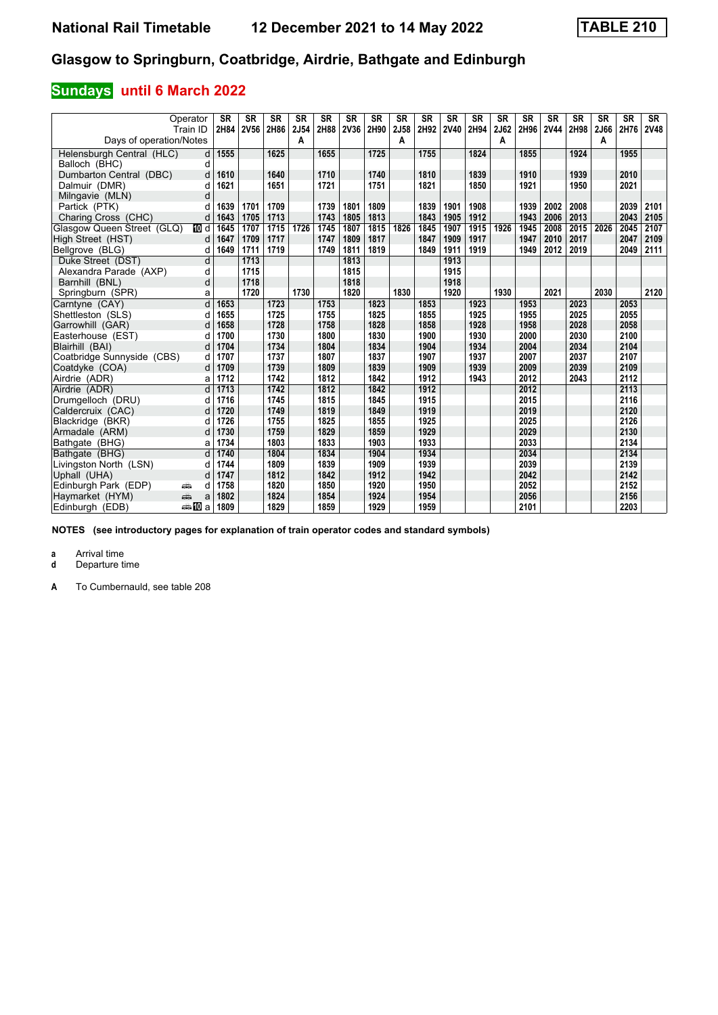## **Sundays until 6 March 2022**

| Operator<br>Train ID        |      | <b>SR</b><br>2H84 | <b>SR</b><br><b>2V56</b> | <b>SR</b><br>2H86 | <b>SR</b><br>2J54 | <b>SR</b><br>2H88 | <b>SR</b><br>2V36 | <b>SR</b><br>2H90 | <b>SR</b><br>2J58 | <b>SR</b><br>2H92 | <b>SR</b><br><b>2V40</b> | <b>SR</b><br>2H94 | <b>SR</b><br>2J62 | <b>SR</b><br>2H96 | <b>SR</b><br><b>2V44</b> | <b>SR</b><br>2H98 | <b>SR</b><br>2J66 | <b>SR</b><br>2H76 | <b>SR</b><br><b>2V48</b> |
|-----------------------------|------|-------------------|--------------------------|-------------------|-------------------|-------------------|-------------------|-------------------|-------------------|-------------------|--------------------------|-------------------|-------------------|-------------------|--------------------------|-------------------|-------------------|-------------------|--------------------------|
| Days of operation/Notes     |      |                   |                          |                   | A                 |                   |                   |                   | A                 |                   |                          |                   | A                 |                   |                          |                   | A                 |                   |                          |
| Helensburgh Central (HLC)   | d    | 1555              |                          | 1625              |                   | 1655              |                   | 1725              |                   | 1755              |                          | 1824              |                   | 1855              |                          | 1924              |                   | 1955              |                          |
| Balloch (BHC)               | d    |                   |                          |                   |                   |                   |                   |                   |                   |                   |                          |                   |                   |                   |                          |                   |                   |                   |                          |
| Dumbarton Central (DBC)     | d    | 1610              |                          | 1640              |                   | 1710              |                   | 1740              |                   | 1810              |                          | 1839              |                   | 1910              |                          | 1939              |                   | 2010              |                          |
| Dalmuir (DMR)               | d    | 1621              |                          | 1651              |                   | 1721              |                   | 1751              |                   | 1821              |                          | 1850              |                   | 1921              |                          | 1950              |                   | 2021              |                          |
| Milngavie (MLN)             | d    |                   |                          |                   |                   |                   |                   |                   |                   |                   |                          |                   |                   |                   |                          |                   |                   |                   |                          |
| Partick (PTK)               | d    | 1639              | 1701                     | 1709              |                   | 1739              | 1801              | 1809              |                   | 1839              | 1901                     | 1908              |                   | 1939              | 2002                     | 2008              |                   | 2039              | 2101                     |
| Charing Cross (CHC)         | d    | 1643              | 1705                     | 1713              |                   | 1743              | 1805              | 1813              |                   | 1843              | 1905                     | 1912              |                   | 1943              | 2006                     | 2013              |                   | 2043              | 2105                     |
| Glasgow Queen Street (GLQ)  | 10 d | 1645              | 1707                     | 1715              | 1726              | 1745              | 1807              | 1815              | 1826              | 1845              | 1907                     | 1915              | 1926              | 1945              | 2008                     | 2015              | 2026              | 2045              | 2107                     |
| High Street (HST)           | d    | 1647              | 1709                     | 1717              |                   | 1747              | 1809              | 1817              |                   | 1847              | 1909                     | 1917              |                   | 1947              | 2010                     | 2017              |                   | 2047              | 2109                     |
| Bellgrove (BLG)             | d    | 1649              | 1711                     | 1719              |                   | 1749              | 1811              | 1819              |                   | 1849              | 1911                     | 1919              |                   | 1949              | 2012                     | 2019              |                   | 2049              | 2111                     |
| Duke Street (DST)           | d    |                   | 1713                     |                   |                   |                   | 1813              |                   |                   |                   | 1913                     |                   |                   |                   |                          |                   |                   |                   |                          |
| Alexandra Parade (AXP)      | d    |                   | 1715                     |                   |                   |                   | 1815              |                   |                   |                   | 1915                     |                   |                   |                   |                          |                   |                   |                   |                          |
| Barnhill (BNL)              | d    |                   | 1718                     |                   |                   |                   | 1818              |                   |                   |                   | 1918                     |                   |                   |                   |                          |                   |                   |                   |                          |
| Springburn (SPR)            | a    |                   | 1720                     |                   | 1730              |                   | 1820              |                   | 1830              |                   | 1920                     |                   | 1930              |                   | 2021                     |                   | 2030              |                   | 2120                     |
| Carntyne (CAY)              | d    | 1653              |                          | 1723              |                   | 1753              |                   | 1823              |                   | 1853              |                          | 1923              |                   | 1953              |                          | 2023              |                   | 2053              |                          |
| Shettleston (SLS)           | d    | 1655              |                          | 1725              |                   | 1755              |                   | 1825              |                   | 1855              |                          | 1925              |                   | 1955              |                          | 2025              |                   | 2055              |                          |
| Garrowhill (GAR)            | d    | 1658              |                          | 1728              |                   | 1758              |                   | 1828              |                   | 1858              |                          | 1928              |                   | 1958              |                          | 2028              |                   | 2058              |                          |
| Easterhouse (EST)           | d    | 1700              |                          | 1730              |                   | 1800              |                   | 1830              |                   | 1900              |                          | 1930              |                   | 2000              |                          | 2030              |                   | 2100              |                          |
| Blairhill (BAI)             | d    | 1704              |                          | 1734              |                   | 1804              |                   | 1834              |                   | 1904              |                          | 1934              |                   | 2004              |                          | 2034              |                   | 2104              |                          |
| Coatbridge Sunnyside (CBS)  | d    | 1707              |                          | 1737              |                   | 1807              |                   | 1837              |                   | 1907              |                          | 1937              |                   | 2007              |                          | 2037              |                   | 2107              |                          |
| Coatdyke (COA)              | d    | 1709              |                          | 1739              |                   | 1809              |                   | 1839              |                   | 1909              |                          | 1939              |                   | 2009              |                          | 2039              |                   | 2109              |                          |
| Airdrie (ADR)               | a    | 1712              |                          | 1742              |                   | 1812              |                   | 1842              |                   | 1912              |                          | 1943              |                   | 2012              |                          | 2043              |                   | 2112              |                          |
| Airdrie (ADR)               | d    | 1713              |                          | 1742              |                   | 1812              |                   | 1842              |                   | 1912              |                          |                   |                   | 2012              |                          |                   |                   | 2113              |                          |
| Drumgelloch (DRU)           | d    | 1716              |                          | 1745              |                   | 1815              |                   | 1845              |                   | 1915              |                          |                   |                   | 2015              |                          |                   |                   | 2116              |                          |
| Caldercruix (CAC)           | d    | 1720              |                          | 1749              |                   | 1819              |                   | 1849              |                   | 1919              |                          |                   |                   | 2019              |                          |                   |                   | 2120              |                          |
| Blackridge (BKR)            | d    | 1726              |                          | 1755              |                   | 1825              |                   | 1855              |                   | 1925              |                          |                   |                   | 2025              |                          |                   |                   | 2126              |                          |
| Armadale (ARM)              | d    | 1730              |                          | 1759              |                   | 1829              |                   | 1859              |                   | 1929              |                          |                   |                   | 2029              |                          |                   |                   | 2130              |                          |
| Bathgate (BHG)              | a    | 1734              |                          | 1803              |                   | 1833              |                   | 1903              |                   | 1933              |                          |                   |                   | 2033              |                          |                   |                   | 2134              |                          |
| Bathgate (BHG)              | d    | 1740              |                          | 1804              |                   | 1834              |                   | 1904              |                   | 1934              |                          |                   |                   | 2034              |                          |                   |                   | 2134              |                          |
| Livingston North (LSN)      | d    | 1744              |                          | 1809              |                   | 1839              |                   | 1909              |                   | 1939              |                          |                   |                   | 2039              |                          |                   |                   | 2139              |                          |
| Uphall (UHA)                | d    | 1747              |                          | 1812              |                   | 1842              |                   | 1912              |                   | 1942              |                          |                   |                   | 2042              |                          |                   |                   | 2142              |                          |
| Edinburgh Park (EDP)<br>پته | d    | 1758              |                          | 1820              |                   | 1850              |                   | 1920              |                   | 1950              |                          |                   |                   | 2052              |                          |                   |                   | 2152              |                          |
| ain<br>Haymarket (HYM)      | a    | 1802              |                          | 1824              |                   | 1854              |                   | 1924              |                   | 1954              |                          |                   |                   | 2056              |                          |                   |                   | 2156              |                          |
| Edinburgh (EDB)<br>an⊪Ma    |      | 1809              |                          | 1829              |                   | 1859              |                   | 1929              |                   | 1959              |                          |                   |                   | 2101              |                          |                   |                   | 2203              |                          |

**NOTES (see introductory pages for explanation of train operator codes and standard symbols)**

**a** Arrival time<br>**d** Departure t

**d** Departure time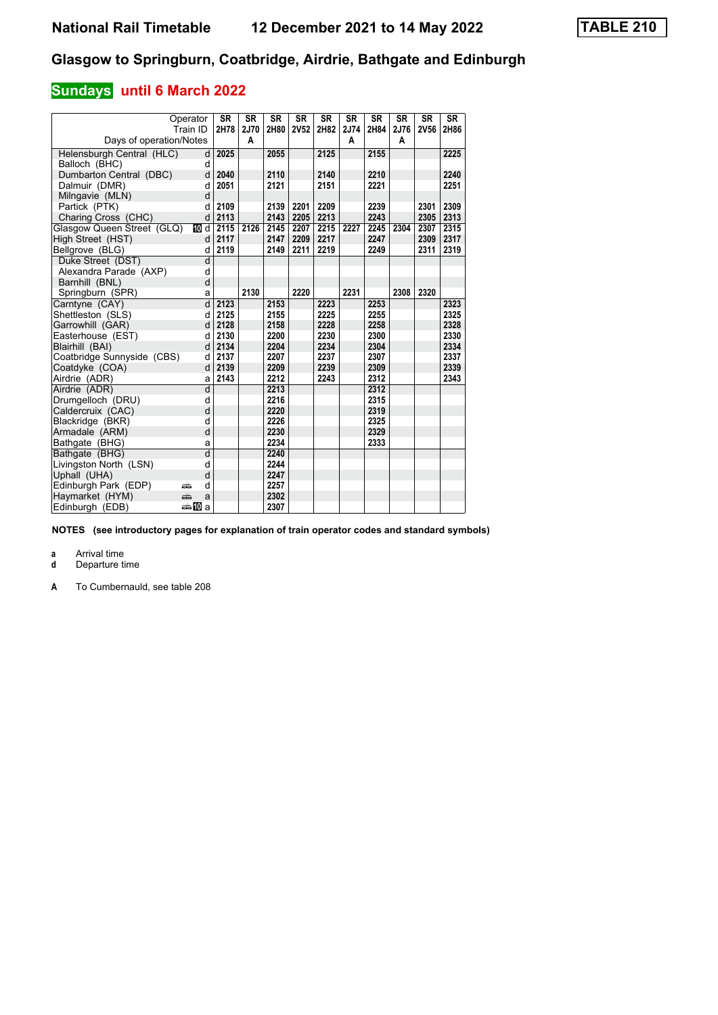## **Sundays until 6 March 2022**

| Days of operation/Notes     | Operator<br>Train ID | <b>SR</b><br>2H78 | <b>SR</b><br><b>2J70</b><br>A | <b>SR</b><br>2H80 | <b>SR</b><br><b>2V52</b> | <b>SR</b><br>2H82 | <b>SR</b><br>2J74<br>A | <b>SR</b><br>2H84 | <b>SR</b><br>2J76<br>A | <b>SR</b><br><b>2V56</b> | <b>SR</b><br>2H86 |
|-----------------------------|----------------------|-------------------|-------------------------------|-------------------|--------------------------|-------------------|------------------------|-------------------|------------------------|--------------------------|-------------------|
|                             |                      |                   |                               |                   |                          |                   |                        |                   |                        |                          |                   |
| Helensburgh Central (HLC)   | d                    | 2025              |                               | 2055              |                          | 2125              |                        | 2155              |                        |                          | 2225              |
| Balloch (BHC)               | d                    |                   |                               |                   |                          |                   |                        |                   |                        |                          |                   |
| Dumbarton Central (DBC)     | d                    | 2040              |                               | 2110              |                          | 2140              |                        | 2210              |                        |                          | 2240              |
| Dalmuir (DMR)               | d                    | 2051              |                               | 2121              |                          | 2151              |                        | 2221              |                        |                          | 2251              |
| Milngavie (MLN)             | d                    |                   |                               |                   |                          |                   |                        |                   |                        |                          |                   |
| Partick (PTK)               | d                    | 2109              |                               | 2139              | 2201                     | 2209              |                        | 2239              |                        | 2301                     | 2309              |
| Charing Cross (CHC)         | d                    | 2113              |                               | 2143              | 2205                     | 2213              |                        | 2243              |                        | 2305                     | 2313              |
| Glasgow Queen Street (GLQ)  | <b>M</b> d           | 2115              | 2126                          | 2145              | 2207                     | 2215              | 2227                   | 2245              | 2304                   | 2307                     | 2315              |
| High Street (HST)           | d                    | 2117              |                               | 2147              | 2209                     | 2217              |                        | 2247              |                        | 2309                     | 2317              |
| Bellgrove (BLG)             | d                    | 2119              |                               | 2149              | 2211                     | 2219              |                        | 2249              |                        | 2311                     | 2319              |
| Duke Street (DST)           | d                    |                   |                               |                   |                          |                   |                        |                   |                        |                          |                   |
| Alexandra Parade (AXP)      | d                    |                   |                               |                   |                          |                   |                        |                   |                        |                          |                   |
| Barnhill (BNL)              | d                    |                   |                               |                   |                          |                   |                        |                   |                        |                          |                   |
| Springburn (SPR)            | a                    |                   | 2130                          |                   | 2220                     |                   | 2231                   |                   | 2308                   | 2320                     |                   |
| Carntyne (CAY)              | $\overline{d}$       | 2123              |                               | 2153              |                          | 2223              |                        | 2253              |                        |                          | 2323              |
| Shettleston (SLS)           | d                    | 2125              |                               | 2155              |                          | 2225              |                        | 2255              |                        |                          | 2325              |
| Garrowhill (GAR)            | d                    | 2128              |                               | 2158              |                          | 2228              |                        | 2258              |                        |                          | 2328              |
| Easterhouse (EST)           | d                    | 2130              |                               | 2200              |                          | 2230              |                        | 2300              |                        |                          | 2330              |
| Blairhill (BAI)             | d                    | 2134              |                               | 2204              |                          | 2234              |                        | 2304              |                        |                          | 2334              |
| Coatbridge Sunnyside (CBS)  | d                    | 2137              |                               | 2207              |                          | 2237              |                        | 2307              |                        |                          | 2337              |
| Coatdyke (COA)              | d                    | 2139              |                               | 2209              |                          | 2239              |                        | 2309              |                        |                          | 2339              |
| Airdrie (ADR)               | a                    | 2143              |                               | 2212              |                          | 2243              |                        | 2312              |                        |                          | 2343              |
| Airdrie (ADR)               | d                    |                   |                               | 2213              |                          |                   |                        | 2312              |                        |                          |                   |
| Drumgelloch (DRU)           | d                    |                   |                               | 2216              |                          |                   |                        | 2315              |                        |                          |                   |
| Caldercruix (CAC)           | d                    |                   |                               | 2220              |                          |                   |                        | 2319              |                        |                          |                   |
| Blackridge (BKR)            | d                    |                   |                               | 2226              |                          |                   |                        | 2325              |                        |                          |                   |
| Armadale (ARM)              | d                    |                   |                               | 2230              |                          |                   |                        | 2329              |                        |                          |                   |
| Bathgate (BHG)              | a                    |                   |                               | 2234              |                          |                   |                        | 2333              |                        |                          |                   |
| Bathgate (BHG)              | $\overline{d}$       |                   |                               | 2240              |                          |                   |                        |                   |                        |                          |                   |
| Livingston North (LSN)      | d                    |                   |                               | 2244              |                          |                   |                        |                   |                        |                          |                   |
| Uphall (UHA)                | d                    |                   |                               | 2247              |                          |                   |                        |                   |                        |                          |                   |
| Edinburgh Park (EDP)<br>پېښ | d                    |                   |                               | 2257              |                          |                   |                        |                   |                        |                          |                   |
| Haymarket (HYM)<br>ей       | a                    |                   |                               | 2302              |                          |                   |                        |                   |                        |                          |                   |
| Edinburgh (EDB)             | $\oplus 10$<br>a     |                   |                               | 2307              |                          |                   |                        |                   |                        |                          |                   |

**NOTES (see introductory pages for explanation of train operator codes and standard symbols)**

**a** Arrival time<br>**d** Departure t

**d** Departure time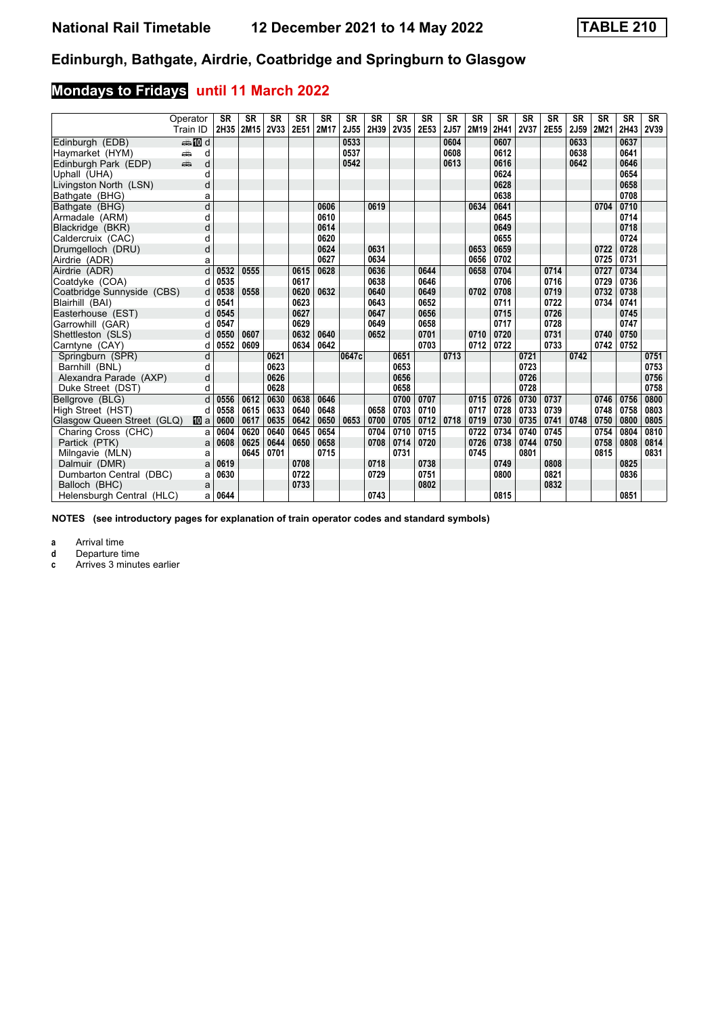## **Mondays to Fridays until 11 March 2022**

|                            | Operator<br>Train ID | <b>SR</b><br>2H35 | <b>SR</b><br>2M15 | <b>SR</b><br>2V33 | <b>SR</b><br>2E51 | <b>SR</b><br>2M17 | <b>SR</b><br>2J55 | <b>SR</b><br>2H39 | <b>SR</b><br>2V35 | <b>SR</b><br>2E53 | <b>SR</b><br>2J57 | <b>SR</b><br>2M19 | <b>SR</b><br>2H41 | <b>SR</b><br><b>2V37</b> | <b>SR</b><br>2E55 | <b>SR</b><br>2J59 | <b>SR</b><br>2M21 | <b>SR</b><br>2H43 | <b>SR</b><br><b>2V39</b> |
|----------------------------|----------------------|-------------------|-------------------|-------------------|-------------------|-------------------|-------------------|-------------------|-------------------|-------------------|-------------------|-------------------|-------------------|--------------------------|-------------------|-------------------|-------------------|-------------------|--------------------------|
| Edinburgh (EDB)            | <b>ential</b> d      |                   |                   |                   |                   |                   | 0533              |                   |                   |                   | 0604              |                   | 0607              |                          |                   | 0633              |                   | 0637              |                          |
| Haymarket (HYM)            | d                    |                   |                   |                   |                   |                   | 0537              |                   |                   |                   | 0608              |                   | 0612              |                          |                   | 0638              |                   | 0641              |                          |
| Edinburgh Park (EDP)       | پیش<br>په<br>d       |                   |                   |                   |                   |                   | 0542              |                   |                   |                   | 0613              |                   | 0616              |                          |                   | 0642              |                   | 0646              |                          |
| Uphall (UHA)               | d                    |                   |                   |                   |                   |                   |                   |                   |                   |                   |                   |                   | 0624              |                          |                   |                   |                   | 0654              |                          |
| Livingston North (LSN)     | d                    |                   |                   |                   |                   |                   |                   |                   |                   |                   |                   |                   | 0628              |                          |                   |                   |                   | 0658              |                          |
| Bathgate (BHG)             | a                    |                   |                   |                   |                   |                   |                   |                   |                   |                   |                   |                   | 0638              |                          |                   |                   |                   | 0708              |                          |
| Bathgate (BHG)             | d                    |                   |                   |                   |                   | 0606              |                   | 0619              |                   |                   |                   | 0634              | 0641              |                          |                   |                   | 0704              | 0710              |                          |
| Armadale (ARM)             | d                    |                   |                   |                   |                   | 0610              |                   |                   |                   |                   |                   |                   | 0645              |                          |                   |                   |                   | 0714              |                          |
| Blackridge (BKR)           | d                    |                   |                   |                   |                   | 0614              |                   |                   |                   |                   |                   |                   | 0649              |                          |                   |                   |                   | 0718              |                          |
| Caldercruix (CAC)          | d                    |                   |                   |                   |                   | 0620              |                   |                   |                   |                   |                   |                   | 0655              |                          |                   |                   |                   | 0724              |                          |
| Drumgelloch (DRU)          | d                    |                   |                   |                   |                   | 0624              |                   | 0631              |                   |                   |                   | 0653              | 0659              |                          |                   |                   | 0722              | 0728              |                          |
| Airdrie (ADR)              | a                    |                   |                   |                   |                   | 0627              |                   | 0634              |                   |                   |                   | 0656              | 0702              |                          |                   |                   | 0725              | 0731              |                          |
| Airdrie (ADR)              | d                    | 0532              | 0555              |                   | 0615              | 0628              |                   | 0636              |                   | 0644              |                   | 0658              | 0704              |                          | 0714              |                   | 0727              | 0734              |                          |
| Coatdyke (COA)             | d                    | 0535              |                   |                   | 0617              |                   |                   | 0638              |                   | 0646              |                   |                   | 0706              |                          | 0716              |                   | 0729              | 0736              |                          |
| Coatbridge Sunnyside (CBS) | d                    | 0538              | 0558              |                   | 0620              | 0632              |                   | 0640              |                   | 0649              |                   | 0702              | 0708              |                          | 0719              |                   | 0732              | 0738              |                          |
| Blairhill (BAI)            | d                    | 0541              |                   |                   | 0623              |                   |                   | 0643              |                   | 0652              |                   |                   | 0711              |                          | 0722              |                   | 0734              | 0741              |                          |
| Easterhouse (EST)          | d                    | 0545              |                   |                   | 0627              |                   |                   | 0647              |                   | 0656              |                   |                   | 0715              |                          | 0726              |                   |                   | 0745              |                          |
| Garrowhill (GAR)           | d                    | 0547              |                   |                   | 0629              |                   |                   | 0649              |                   | 0658              |                   |                   | 0717              |                          | 0728              |                   |                   | 0747              |                          |
| Shettleston (SLS)          | d                    | 0550              | 0607              |                   | 0632              | 0640              |                   | 0652              |                   | 0701              |                   | 0710              | 0720              |                          | 0731              |                   | 0740              | 0750              |                          |
| Carntyne (CAY)             | d                    | 0552              | 0609              |                   | 0634              | 0642              |                   |                   |                   | 0703              |                   | 0712              | 0722              |                          | 0733              |                   | 0742              | 0752              |                          |
| Springburn (SPR)           | d                    |                   |                   | 0621              |                   |                   | 0647c             |                   | 0651              |                   | 0713              |                   |                   | 0721                     |                   | 0742              |                   |                   | 0751                     |
| Barnhill (BNL)             | d                    |                   |                   | 0623              |                   |                   |                   |                   | 0653              |                   |                   |                   |                   | 0723                     |                   |                   |                   |                   | 0753                     |
| Alexandra Parade (AXP)     | d                    |                   |                   | 0626              |                   |                   |                   |                   | 0656              |                   |                   |                   |                   | 0726                     |                   |                   |                   |                   | 0756                     |
| Duke Street (DST)          | d                    |                   |                   | 0628              |                   |                   |                   |                   | 0658              |                   |                   |                   |                   | 0728                     |                   |                   |                   |                   | 0758                     |
| Bellarove (BLG)            | d                    | 0556              | 0612              | 0630              | 0638              | 0646              |                   |                   | 0700              | 0707              |                   | 0715              | 0726              | 0730                     | 0737              |                   | 0746              | 0756              | 0800                     |
| High Street (HST)          | d                    | 0558              | 0615              | 0633              | 0640              | 0648              |                   | 0658              | 0703              | 0710              |                   | 0717              | 0728              | 0733                     | 0739              |                   | 0748              | 0758              | 0803                     |
| Glasgow Queen Street (GLQ) | <b>III</b> a         | 0600              | 0617              | 0635              | 0642              | 0650              | 0653              | 0700              | 0705              | 0712              | 0718              | 0719              | 0730              | 0735                     | 0741              | 0748              | 0750              | 0800              | 0805                     |
| Charing Cross (CHC)        | a                    | 0604              | 0620              | 0640              | 0645              | 0654              |                   | 0704              | 0710              | 0715              |                   | 0722              | 0734              | 0740                     | 0745              |                   | 0754              | 0804              | 0810                     |
| Partick (PTK)              | a                    | 0608              | 0625              | 0644              | 0650              | 0658              |                   | 0708              | 0714              | 0720              |                   | 0726              | 0738              | 0744                     | 0750              |                   | 0758              | 0808              | 0814                     |
| Milngavie (MLN)            | a                    |                   | 0645              | 0701              |                   | 0715              |                   |                   | 0731              |                   |                   | 0745              |                   | 0801                     |                   |                   | 0815              |                   | 0831                     |
| Dalmuir (DMR)              | a                    | 0619              |                   |                   | 0708              |                   |                   | 0718              |                   | 0738              |                   |                   | 0749              |                          | 0808              |                   |                   | 0825              |                          |
| Dumbarton Central (DBC)    | a                    | 0630              |                   |                   | 0722              |                   |                   | 0729              |                   | 0751              |                   |                   | 0800              |                          | 0821              |                   |                   | 0836              |                          |
| Balloch (BHC)              | a                    |                   |                   |                   | 0733              |                   |                   |                   |                   | 0802              |                   |                   |                   |                          | 0832              |                   |                   |                   |                          |
| Helensburgh Central (HLC)  | a                    | 0644              |                   |                   |                   |                   |                   | 0743              |                   |                   |                   |                   | 0815              |                          |                   |                   |                   | 0851              |                          |

**NOTES (see introductory pages for explanation of train operator codes and standard symbols)**

**a** Arrival time<br>**d** Departure ti

**d** Departure time

**c** Arrives 3 minutes earlier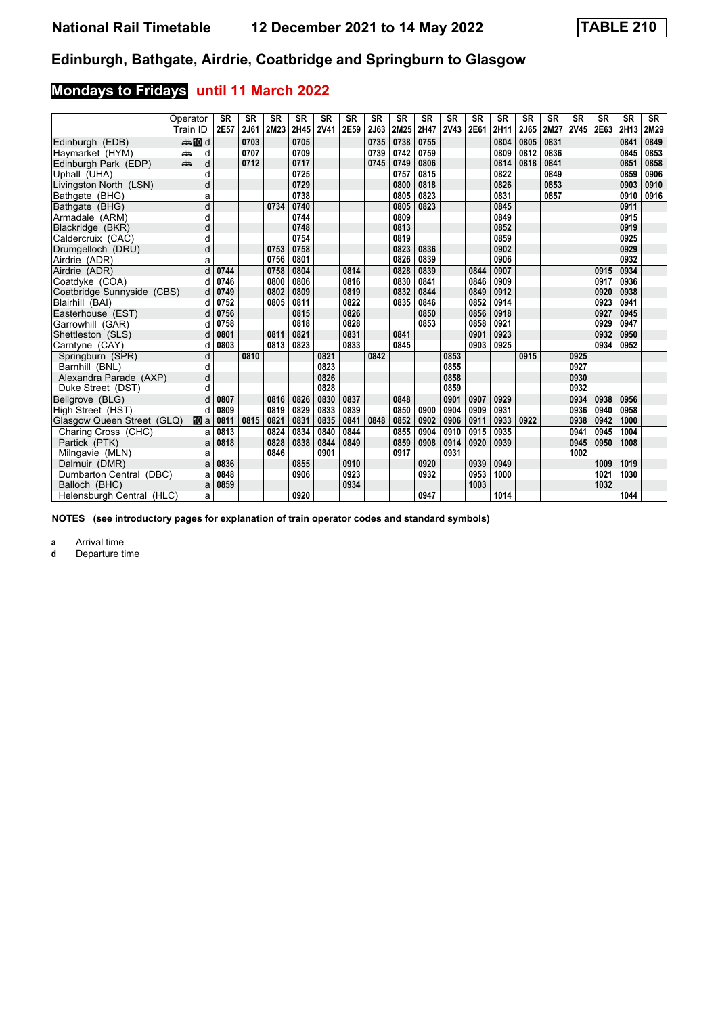## **Mondays to Fridays until 11 March 2022**

|                            | Operator<br>Train ID | <b>SR</b><br>2E57 | <b>SR</b><br>2J61 | <b>SR</b><br>2M23 | <b>SR</b><br>2H45 | <b>SR</b><br><b>2V41</b> | <b>SR</b><br>2E59 | <b>SR</b><br>2J63 | <b>SR</b><br>2M25 | <b>SR</b><br>2H47 | <b>SR</b><br><b>2V43</b> | <b>SR</b><br>2E61 | <b>SR</b><br>2H11 | <b>SR</b><br>2J65 | <b>SR</b><br>2M27 | <b>SR</b><br><b>2V45</b> | <b>SR</b><br>2E63 | <b>SR</b><br>2H13 | <b>SR</b><br>2M29 |
|----------------------------|----------------------|-------------------|-------------------|-------------------|-------------------|--------------------------|-------------------|-------------------|-------------------|-------------------|--------------------------|-------------------|-------------------|-------------------|-------------------|--------------------------|-------------------|-------------------|-------------------|
| Edinburgh (EDB)            | <b>⊯M</b> d          |                   | 0703              |                   | 0705              |                          |                   | 0735              | 0738              | 0755              |                          |                   | 0804              | 0805              | 0831              |                          |                   | 0841              | 0849              |
| Haymarket (HYM)            | d<br>پیشته           |                   | 0707              |                   | 0709              |                          |                   | 0739              | 0742              | 0759              |                          |                   | 0809              | 0812              | 0836              |                          |                   | 0845              | 0853              |
| Edinburgh Park (EDP)       | dù<br>d              |                   | 0712              |                   | 0717              |                          |                   | 0745              | 0749              | 0806              |                          |                   | 0814              | 0818              | 0841              |                          |                   | 0851              | 0858              |
| Uphall (UHA)               | d                    |                   |                   |                   | 0725              |                          |                   |                   | 0757              | 0815              |                          |                   | 0822              |                   | 0849              |                          |                   | 0859              | 0906              |
| Livingston North (LSN)     | d                    |                   |                   |                   | 0729              |                          |                   |                   | 0800              | 0818              |                          |                   | 0826              |                   | 0853              |                          |                   | 0903              | 0910              |
| Bathgate (BHG)             | а                    |                   |                   |                   | 0738              |                          |                   |                   | 0805              | 0823              |                          |                   | 0831              |                   | 0857              |                          |                   | 0910              | 0916              |
| Bathgate (BHG)             | d                    |                   |                   | 0734              | 0740              |                          |                   |                   | 0805              | 0823              |                          |                   | 0845              |                   |                   |                          |                   | 0911              |                   |
| Armadale (ARM)             | d                    |                   |                   |                   | 0744              |                          |                   |                   | 0809              |                   |                          |                   | 0849              |                   |                   |                          |                   | 0915              |                   |
| Blackridge (BKR)           | d                    |                   |                   |                   | 0748              |                          |                   |                   | 0813              |                   |                          |                   | 0852              |                   |                   |                          |                   | 0919              |                   |
| Caldercruix (CAC)          | d                    |                   |                   |                   | 0754              |                          |                   |                   | 0819              |                   |                          |                   | 0859              |                   |                   |                          |                   | 0925              |                   |
| Drumgelloch (DRU)          | d                    |                   |                   | 0753              | 0758              |                          |                   |                   | 0823              | 0836              |                          |                   | 0902              |                   |                   |                          |                   | 0929              |                   |
| Airdrie (ADR)              | a                    |                   |                   | 0756              | 0801              |                          |                   |                   | 0826              | 0839              |                          |                   | 0906              |                   |                   |                          |                   | 0932              |                   |
| Airdrie (ADR)              | d                    | 0744              |                   | 0758              | 0804              |                          | 0814              |                   | 0828              | 0839              |                          | 0844              | 0907              |                   |                   |                          | 0915              | 0934              |                   |
| Coatdyke (COA)             | d                    | 0746              |                   | 0800              | 0806              |                          | 0816              |                   | 0830              | 0841              |                          | 0846              | 0909              |                   |                   |                          | 0917              | 0936              |                   |
| Coatbridge Sunnyside (CBS) | d                    | 0749              |                   | 0802              | 0809              |                          | 0819              |                   | 0832              | 0844              |                          | 0849              | 0912              |                   |                   |                          | 0920              | 0938              |                   |
| Blairhill (BAI)            | d                    | 0752              |                   | 0805              | 0811              |                          | 0822              |                   | 0835              | 0846              |                          | 0852              | 0914              |                   |                   |                          | 0923              | 0941              |                   |
| Easterhouse (EST)          | d                    | 0756              |                   |                   | 0815              |                          | 0826              |                   |                   | 0850              |                          | 0856              | 0918              |                   |                   |                          | 0927              | 0945              |                   |
| Garrowhill (GAR)           | d                    | 0758              |                   |                   | 0818              |                          | 0828              |                   |                   | 0853              |                          | 0858              | 0921              |                   |                   |                          | 0929              | 0947              |                   |
| Shettleston (SLS)          | d                    | 0801              |                   | 0811              | 0821              |                          | 0831              |                   | 0841              |                   |                          | 0901              | 0923              |                   |                   |                          | 0932              | 0950              |                   |
| Carntyne (CAY)             | d                    | 0803              |                   | 0813              | 0823              |                          | 0833              |                   | 0845              |                   |                          | 0903              | 0925              |                   |                   |                          | 0934              | 0952              |                   |
| Springburn (SPR)           | d                    |                   | 0810              |                   |                   | 0821                     |                   | 0842              |                   |                   | 0853                     |                   |                   | 0915              |                   | 0925                     |                   |                   |                   |
| Barnhill (BNL)             | d                    |                   |                   |                   |                   | 0823                     |                   |                   |                   |                   | 0855                     |                   |                   |                   |                   | 0927                     |                   |                   |                   |
| Alexandra Parade (AXP)     | d                    |                   |                   |                   |                   | 0826                     |                   |                   |                   |                   | 0858                     |                   |                   |                   |                   | 0930                     |                   |                   |                   |
| Duke Street (DST)          | d                    |                   |                   |                   |                   | 0828                     |                   |                   |                   |                   | 0859                     |                   |                   |                   |                   | 0932                     |                   |                   |                   |
| Bellarove (BLG)            | d                    | 0807              |                   | 0816              | 0826              | 0830                     | 0837              |                   | 0848              |                   | 0901                     | 0907              | 0929              |                   |                   | 0934                     | 0938              | 0956              |                   |
| High Street (HST)          | d                    | 0809              |                   | 0819              | 0829              | 0833                     | 0839              |                   | 0850              | 0900              | 0904                     | 0909              | 0931              |                   |                   | 0936                     | 0940              | 0958              |                   |
| Glasgow Queen Street (GLQ) | 100 a                | 0811              | 0815              | 0821              | 0831              | 0835                     | 0841              | 0848              | 0852              | 0902              | 0906                     | 0911              | 0933              | 0922              |                   | 0938                     | 0942              | 1000              |                   |
| Charing Cross (CHC)        | a                    | 0813              |                   | 0824              | 0834              | 0840                     | 0844              |                   | 0855              | 0904              | 0910                     | 0915              | 0935              |                   |                   | 0941                     | 0945              | 1004              |                   |
| Partick (PTK)              | a                    | 0818              |                   | 0828              | 0838              | 0844                     | 0849              |                   | 0859              | 0908              | 0914                     | 0920              | 0939              |                   |                   | 0945                     | 0950              | 1008              |                   |
| Milngavie (MLN)            | а                    |                   |                   | 0846              |                   | 0901                     |                   |                   | 0917              |                   | 0931                     |                   |                   |                   |                   | 1002                     |                   |                   |                   |
| Dalmuir (DMR)              | a                    | 0836              |                   |                   | 0855              |                          | 0910              |                   |                   | 0920              |                          | 0939              | 0949              |                   |                   |                          | 1009              | 1019              |                   |
| Dumbarton Central (DBC)    | a                    | 0848              |                   |                   | 0906              |                          | 0923              |                   |                   | 0932              |                          | 0953              | 1000              |                   |                   |                          | 1021              | 1030              |                   |
| Balloch (BHC)              | a                    | 0859              |                   |                   |                   |                          | 0934              |                   |                   |                   |                          | 1003              |                   |                   |                   |                          | 1032              |                   |                   |
| Helensburgh Central (HLC)  | a                    |                   |                   |                   | 0920              |                          |                   |                   |                   | 0947              |                          |                   | 1014              |                   |                   |                          |                   | 1044              |                   |

**NOTES (see introductory pages for explanation of train operator codes and standard symbols)**

**a** Arrival time<br>**d** Departure ti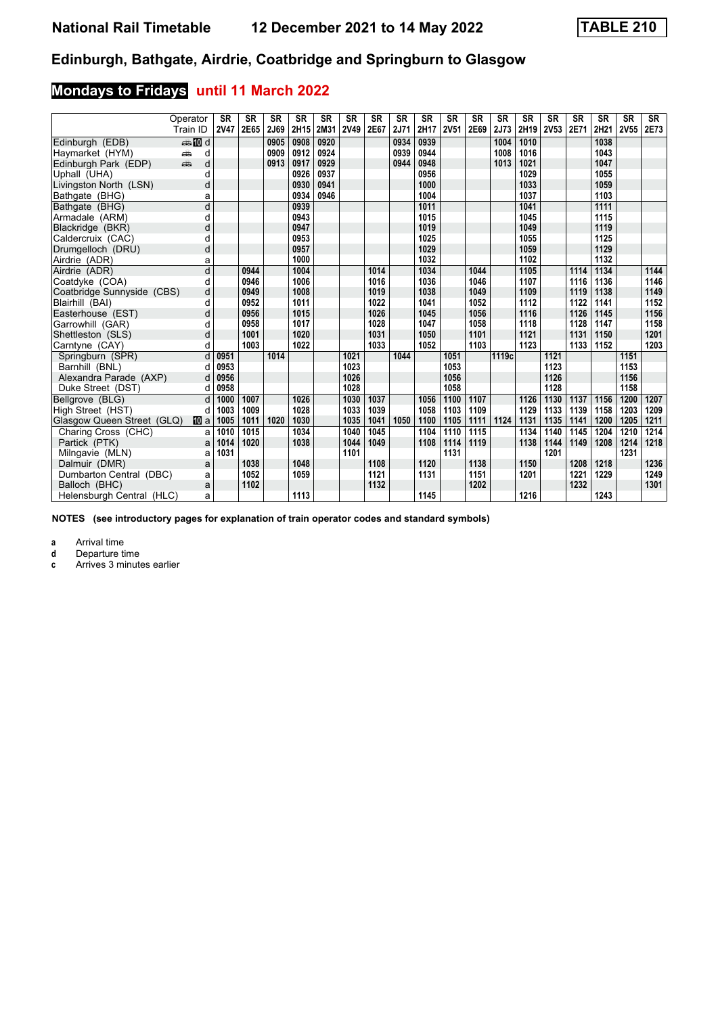## **Mondays to Fridays until 11 March 2022**

|                            | Operator<br>Train ID | <b>SR</b><br><b>2V47</b> | <b>SR</b><br>2E65 | <b>SR</b><br>2J69 | <b>SR</b><br>2H15 | <b>SR</b><br>2M31 | <b>SR</b><br><b>2V49</b> | <b>SR</b><br>2E67 | <b>SR</b><br>2J71 | <b>SR</b><br>2H17 | <b>SR</b><br><b>2V51</b> | <b>SR</b><br>2E69 | <b>SR</b><br>2J73 | <b>SR</b><br>2H19 | <b>SR</b><br><b>2V53</b> | <b>SR</b><br>2E71 | <b>SR</b><br>2H21 | <b>SR</b><br>2V55 | <b>SR</b><br>2E73 |
|----------------------------|----------------------|--------------------------|-------------------|-------------------|-------------------|-------------------|--------------------------|-------------------|-------------------|-------------------|--------------------------|-------------------|-------------------|-------------------|--------------------------|-------------------|-------------------|-------------------|-------------------|
|                            |                      |                          |                   |                   |                   |                   |                          |                   |                   |                   |                          |                   |                   |                   |                          |                   |                   |                   |                   |
| Edinburgh (EDB)            | <b>ette</b> IIII d   |                          |                   | 0905              | 0908              | 0920              |                          |                   | 0934              | 0939              |                          |                   | 1004              | 1010              |                          |                   | 1038              |                   |                   |
| Haymarket (HYM)            | d<br>æ<br>پيش        |                          |                   | 0909              | 0912              | 0924              |                          |                   | 0939              | 0944              |                          |                   | 1008              | 1016              |                          |                   | 1043              |                   |                   |
| Edinburgh Park (EDP)       | d                    |                          |                   | 0913              | 0917              | 0929              |                          |                   | 0944              | 0948              |                          |                   | 1013              | 1021              |                          |                   | 1047              |                   |                   |
| Uphall (UHA)               | d                    |                          |                   |                   | 0926              | 0937              |                          |                   |                   | 0956              |                          |                   |                   | 1029              |                          |                   | 1055              |                   |                   |
| Livingston North (LSN)     | d                    |                          |                   |                   | 0930              | 0941              |                          |                   |                   | 1000              |                          |                   |                   | 1033              |                          |                   | 1059              |                   |                   |
| Bathgate (BHG)             | a                    |                          |                   |                   | 0934              | 0946              |                          |                   |                   | 1004              |                          |                   |                   | 1037              |                          |                   | 1103              |                   |                   |
| Bathgate (BHG)             | d                    |                          |                   |                   | 0939              |                   |                          |                   |                   | 1011              |                          |                   |                   | 1041              |                          |                   | 1111              |                   |                   |
| Armadale (ARM)             | d                    |                          |                   |                   | 0943              |                   |                          |                   |                   | 1015              |                          |                   |                   | 1045              |                          |                   | 1115              |                   |                   |
| Blackridge (BKR)           | d                    |                          |                   |                   | 0947              |                   |                          |                   |                   | 1019              |                          |                   |                   | 1049              |                          |                   | 1119              |                   |                   |
| Caldercruix (CAC)          | d                    |                          |                   |                   | 0953              |                   |                          |                   |                   | 1025              |                          |                   |                   | 1055              |                          |                   | 1125              |                   |                   |
| Drumgelloch (DRU)          | d                    |                          |                   |                   | 0957              |                   |                          |                   |                   | 1029              |                          |                   |                   | 1059              |                          |                   | 1129              |                   |                   |
| Airdrie (ADR)              | a                    |                          |                   |                   | 1000              |                   |                          |                   |                   | 1032              |                          |                   |                   | 1102              |                          |                   | 1132              |                   |                   |
| Airdrie (ADR)              | d                    |                          | 0944              |                   | 1004              |                   |                          | 1014              |                   | 1034              |                          | 1044              |                   | 1105              |                          | 1114              | 1134              |                   | 1144              |
| Coatdyke (COA)             | d                    |                          | 0946              |                   | 1006              |                   |                          | 1016              |                   | 1036              |                          | 1046              |                   | 1107              |                          | 1116              | 1136              |                   | 1146              |
| Coatbridge Sunnyside (CBS) | d                    |                          | 0949              |                   | 1008              |                   |                          | 1019              |                   | 1038              |                          | 1049              |                   | 1109              |                          | 1119              | 1138              |                   | 1149              |
| Blairhill (BAI)            | d                    |                          | 0952              |                   | 1011              |                   |                          | 1022              |                   | 1041              |                          | 1052              |                   | 1112              |                          | 1122              | 1141              |                   | 1152              |
| Easterhouse (EST)          | d                    |                          | 0956              |                   | 1015              |                   |                          | 1026              |                   | 1045              |                          | 1056              |                   | 1116              |                          | 1126              | 1145              |                   | 1156              |
| Garrowhill (GAR)           | d                    |                          | 0958              |                   | 1017              |                   |                          | 1028              |                   | 1047              |                          | 1058              |                   | 1118              |                          | 1128              | 1147              |                   | 1158              |
| Shettleston (SLS)          | d                    |                          | 1001              |                   | 1020              |                   |                          | 1031              |                   | 1050              |                          | 1101              |                   | 1121              |                          | 1131              | 1150              |                   | 1201              |
| Carntyne (CAY)             | d                    |                          | 1003              |                   | 1022              |                   |                          | 1033              |                   | 1052              |                          | 1103              |                   | 1123              |                          | 1133              | 1152              |                   | 1203              |
| Springburn (SPR)           | d                    | 0951                     |                   | 1014              |                   |                   | 1021                     |                   | 1044              |                   | 1051                     |                   | 1119c             |                   | 1121                     |                   |                   | 1151              |                   |
| Barnhill (BNL)             | d                    | 0953                     |                   |                   |                   |                   | 1023                     |                   |                   |                   | 1053                     |                   |                   |                   | 1123                     |                   |                   | 1153              |                   |
| Alexandra Parade (AXP)     | d                    | 0956                     |                   |                   |                   |                   | 1026                     |                   |                   |                   | 1056                     |                   |                   |                   | 1126                     |                   |                   | 1156              |                   |
| Duke Street (DST)          | d                    | 0958                     |                   |                   |                   |                   | 1028                     |                   |                   |                   | 1058                     |                   |                   |                   | 1128                     |                   |                   | 1158              |                   |
| Bellarove (BLG)            | d                    | 1000                     | 1007              |                   | 1026              |                   | 1030                     | 1037              |                   | 1056              | 1100                     | 1107              |                   | 1126              | 1130                     | 1137              | 1156              | 1200              | 1207              |
| High Street (HST)          | d                    | 1003                     | 1009              |                   | 1028              |                   | 1033                     | 1039              |                   | 1058              | 1103                     | 1109              |                   | 1129              | 1133                     | 1139              | 1158              | 1203              | 1209              |
| Glasgow Queen Street (GLQ) | <b>ID</b> a          | 1005                     | 1011              | 1020              | 1030              |                   | 1035                     | 1041              | 1050              | 1100              | 1105                     | 1111              | 1124              | 1131              | 1135                     | 1141              | 1200              | 1205              | 1211              |
| Charing Cross (CHC)        | a                    | 1010                     | 1015              |                   | 1034              |                   | 1040                     | 1045              |                   | 1104              | 1110                     | 1115              |                   | 1134              | 1140                     | 1145              | 1204              | 1210              | 1214              |
| Partick (PTK)              | a                    | 1014                     | 1020              |                   | 1038              |                   | 1044                     | 1049              |                   | 1108              | 1114                     | 1119              |                   | 1138              | 1144                     | 1149              | 1208              | 1214              | 1218              |
| Milngavie (MLN)            | a                    | 1031                     |                   |                   |                   |                   | 1101                     |                   |                   |                   | 1131                     |                   |                   |                   | 1201                     |                   |                   | 1231              |                   |
| Dalmuir (DMR)              | a                    |                          | 1038              |                   | 1048              |                   |                          | 1108              |                   | 1120              |                          | 1138              |                   | 1150              |                          | 1208              | 1218              |                   | 1236              |
| Dumbarton Central (DBC)    | a                    |                          | 1052              |                   | 1059              |                   |                          | 1121              |                   | 1131              |                          | 1151              |                   | 1201              |                          | 1221              | 1229              |                   | 1249              |
| Balloch (BHC)              | a                    |                          | 1102              |                   |                   |                   |                          | 1132              |                   |                   |                          | 1202              |                   |                   |                          | 1232              |                   |                   | 1301              |
| Helensburgh Central (HLC)  | a                    |                          |                   |                   | 1113              |                   |                          |                   |                   | 1145              |                          |                   |                   | 1216              |                          |                   | 1243              |                   |                   |

**NOTES (see introductory pages for explanation of train operator codes and standard symbols)**

**a** Arrival time<br>**d** Departure ti

**d** Departure time

**c** Arrives 3 minutes earlier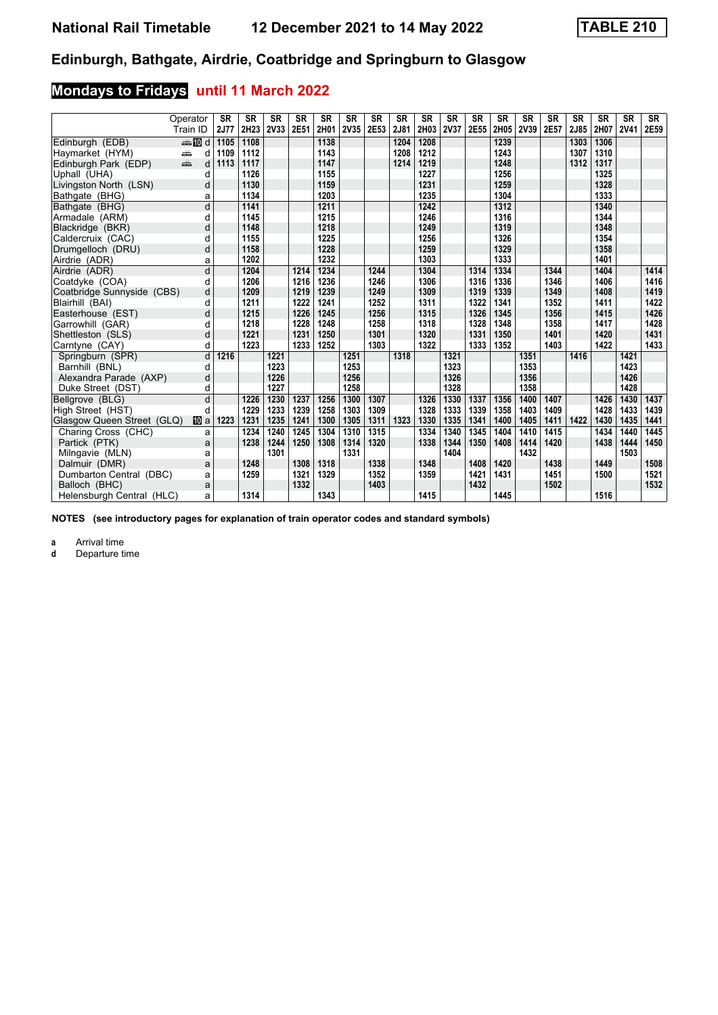## **Mondays to Fridays until 11 March 2022**

|                            | Operator<br>Train ID | <b>SR</b><br><b>2J77</b> | <b>SR</b><br>2H23 | <b>SR</b><br><b>2V33</b> | <b>SR</b><br>2E51 | <b>SR</b><br>2H01 | <b>SR</b><br>2V35 | <b>SR</b><br>2E53 | <b>SR</b><br>2J81 | <b>SR</b><br>2H03 | <b>SR</b><br>2V37 | <b>SR</b><br>2E55 | <b>SR</b><br>2H05 | <b>SR</b><br><b>2V39</b> | <b>SR</b><br>2E57 | <b>SR</b><br>2J85 | <b>SR</b><br>2H07 | <b>SR</b><br><b>2V41</b> | <b>SR</b><br>2E59 |
|----------------------------|----------------------|--------------------------|-------------------|--------------------------|-------------------|-------------------|-------------------|-------------------|-------------------|-------------------|-------------------|-------------------|-------------------|--------------------------|-------------------|-------------------|-------------------|--------------------------|-------------------|
| Edinburgh (EDB)            | <b>▲ID</b> d         | 1105                     | 1108              |                          |                   | 1138              |                   |                   | 1204              | 1208              |                   |                   | 1239              |                          |                   | 1303              | 1306              |                          |                   |
| Havmarket (HYM)            | پیش<br>d             | 1109                     | 1112              |                          |                   | 1143              |                   |                   | 1208              | 1212              |                   |                   | 1243              |                          |                   | 1307              | 1310              |                          |                   |
| Edinburgh Park (EDP)       | په<br>d              | 1113                     | 1117              |                          |                   | 1147              |                   |                   | 1214              | 1219              |                   |                   | 1248              |                          |                   | 1312              | 1317              |                          |                   |
| Uphall (UHA)               | d                    |                          | 1126              |                          |                   | 1155              |                   |                   |                   | 1227              |                   |                   | 1256              |                          |                   |                   | 1325              |                          |                   |
| Livingston North (LSN)     | d                    |                          | 1130              |                          |                   | 1159              |                   |                   |                   | 1231              |                   |                   | 1259              |                          |                   |                   | 1328              |                          |                   |
| Bathgate (BHG)             | а                    |                          | 1134              |                          |                   | 1203              |                   |                   |                   | 1235              |                   |                   | 1304              |                          |                   |                   | 1333              |                          |                   |
| Bathgate (BHG)             | d                    |                          | 1141              |                          |                   | 1211              |                   |                   |                   | 1242              |                   |                   | 1312              |                          |                   |                   | 1340              |                          |                   |
| Armadale (ARM)             | d                    |                          | 1145              |                          |                   | 1215              |                   |                   |                   | 1246              |                   |                   | 1316              |                          |                   |                   | 1344              |                          |                   |
| Blackridge (BKR)           | d                    |                          | 1148              |                          |                   | 1218              |                   |                   |                   | 1249              |                   |                   | 1319              |                          |                   |                   | 1348              |                          |                   |
| Caldercruix (CAC)          | d                    |                          | 1155              |                          |                   | 1225              |                   |                   |                   | 1256              |                   |                   | 1326              |                          |                   |                   | 1354              |                          |                   |
| Drumgelloch (DRU)          | d                    |                          | 1158              |                          |                   | 1228              |                   |                   |                   | 1259              |                   |                   | 1329              |                          |                   |                   | 1358              |                          |                   |
| Airdrie (ADR)              | а                    |                          | 1202              |                          |                   | 1232              |                   |                   |                   | 1303              |                   |                   | 1333              |                          |                   |                   | 1401              |                          |                   |
| Airdrie (ADR)              | d                    |                          | 1204              |                          | 1214              | 1234              |                   | 1244              |                   | 1304              |                   | 1314              | 1334              |                          | 1344              |                   | 1404              |                          | 1414              |
| Coatdyke (COA)             | d                    |                          | 1206              |                          | 1216              | 1236              |                   | 1246              |                   | 1306              |                   | 1316              | 1336              |                          | 1346              |                   | 1406              |                          | 1416              |
| Coatbridge Sunnyside (CBS) | d                    |                          | 1209              |                          | 1219              | 1239              |                   | 1249              |                   | 1309              |                   | 1319              | 1339              |                          | 1349              |                   | 1408              |                          | 1419              |
| Blairhill (BAI)            | d                    |                          | 1211              |                          | 1222              | 1241              |                   | 1252              |                   | 1311              |                   | 1322              | 1341              |                          | 1352              |                   | 1411              |                          | 1422              |
| Easterhouse (EST)          | d                    |                          | 1215              |                          | 1226              | 1245              |                   | 1256              |                   | 1315              |                   | 1326              | 1345              |                          | 1356              |                   | 1415              |                          | 1426              |
| Garrowhill (GAR)           | d                    |                          | 1218              |                          | 1228              | 1248              |                   | 1258              |                   | 1318              |                   | 1328              | 1348              |                          | 1358              |                   | 1417              |                          | 1428              |
| Shettleston (SLS)          | d                    |                          | 1221              |                          | 1231              | 1250              |                   | 1301              |                   | 1320              |                   | 1331              | 1350              |                          | 1401              |                   | 1420              |                          | 1431              |
| Carntyne (CAY)             | d                    |                          | 1223              |                          | 1233              | 1252              |                   | 1303              |                   | 1322              |                   | 1333              | 1352              |                          | 1403              |                   | 1422              |                          | 1433              |
| Springburn (SPR)           | d                    | 1216                     |                   | 1221                     |                   |                   | 1251              |                   | 1318              |                   | 1321              |                   |                   | 1351                     |                   | 1416              |                   | 1421                     |                   |
| Barnhill (BNL)             | d                    |                          |                   | 1223                     |                   |                   | 1253              |                   |                   |                   | 1323              |                   |                   | 1353                     |                   |                   |                   | 1423                     |                   |
| Alexandra Parade (AXP)     | d                    |                          |                   | 1226                     |                   |                   | 1256              |                   |                   |                   | 1326              |                   |                   | 1356                     |                   |                   |                   | 1426                     |                   |
| Duke Street (DST)          | d                    |                          |                   | 1227                     |                   |                   | 1258              |                   |                   |                   | 1328              |                   |                   | 1358                     |                   |                   |                   | 1428                     |                   |
| Bellarove (BLG)            | d                    |                          | 1226              | 1230                     | 1237              | 1256              | 1300              | 1307              |                   | 1326              | 1330              | 1337              | 1356              | 1400                     | 1407              |                   | 1426              | 1430                     | 1437              |
| High Street (HST)          | q                    |                          | 1229              | 1233                     | 1239              | 1258              | 1303              | 1309              |                   | 1328              | 1333              | 1339              | 1358              | 1403                     | 1409              |                   | 1428              | 1433                     | 1439              |
| Glasgow Queen Street (GLQ) | <b>ID</b> a          | 1223                     | 1231              | 1235                     | 1241              | 1300              | 1305              | 1311              | 1323              | 1330              | 1335              | 1341              | 1400              | 1405                     | 1411              | 1422              | 1430              | 1435                     | 1441              |
| Charing Cross (CHC)        | a                    |                          | 1234              | 1240                     | 1245              | 1304              | 1310              | 1315              |                   | 1334              | 1340              | 1345              | 1404              | 1410                     | 1415              |                   | 1434              | 1440                     | 1445              |
| Partick (PTK)              | a                    |                          | 1238              | 1244                     | 1250              | 1308              | 1314              | 1320              |                   | 1338              | 1344              | 1350              | 1408              | 1414                     | 1420              |                   | 1438              | 1444                     | 1450              |
| Milngavie (MLN)            | a                    |                          |                   | 1301                     |                   |                   | 1331              |                   |                   |                   | 1404              |                   |                   | 1432                     |                   |                   |                   | 1503                     |                   |
| Dalmuir (DMR)              | a                    |                          | 1248              |                          | 1308              | 1318              |                   | 1338              |                   | 1348              |                   | 1408              | 1420              |                          | 1438              |                   | 1449              |                          | 1508              |
| Dumbarton Central (DBC)    | a                    |                          | 1259              |                          | 1321              | 1329              |                   | 1352              |                   | 1359              |                   | 1421              | 1431              |                          | 1451              |                   | 1500              |                          | 1521              |
| Balloch (BHC)              | a                    |                          |                   |                          | 1332              |                   |                   | 1403              |                   |                   |                   | 1432              |                   |                          | 1502              |                   |                   |                          | 1532              |
| Helensburgh Central (HLC)  | a                    |                          | 1314              |                          |                   | 1343              |                   |                   |                   | 1415              |                   |                   | 1445              |                          |                   |                   | 1516              |                          |                   |

**NOTES (see introductory pages for explanation of train operator codes and standard symbols)**

**a** Arrival time<br>**d** Departure ti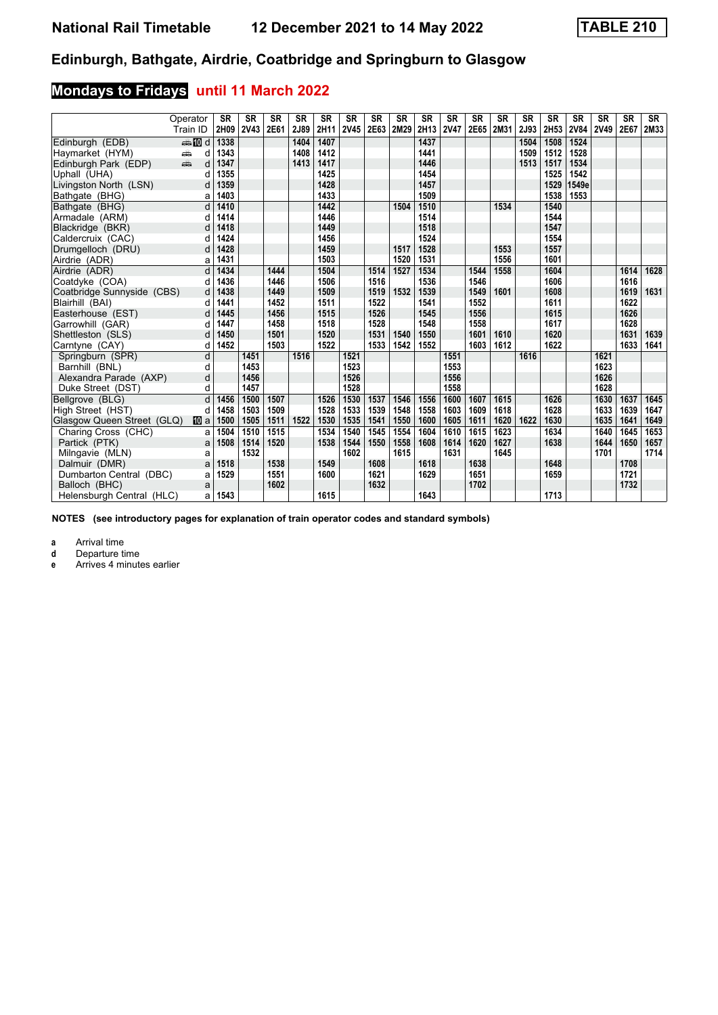## **Mondays to Fridays until 11 March 2022**

|                            | Operator<br>Train ID | <b>SR</b><br>2H09 | <b>SR</b><br><b>2V43</b> | <b>SR</b><br>2E61 | <b>SR</b><br>2J89 | <b>SR</b><br>2H11 | <b>SR</b><br><b>2V45</b> | <b>SR</b><br>2E63 | <b>SR</b><br>2M29 | <b>SR</b><br>2H13 | <b>SR</b><br><b>2V47</b> | <b>SR</b><br>2E65 | <b>SR</b><br>2M31 | <b>SR</b><br>2J93 | <b>SR</b><br>2H53 | <b>SR</b><br>2V84 | <b>SR</b><br><b>2V49</b> | <b>SR</b><br>2E67 | <b>SR</b><br>2M33 |
|----------------------------|----------------------|-------------------|--------------------------|-------------------|-------------------|-------------------|--------------------------|-------------------|-------------------|-------------------|--------------------------|-------------------|-------------------|-------------------|-------------------|-------------------|--------------------------|-------------------|-------------------|
| Edinburgh (EDB)            | <b>end</b> d         | 1338              |                          |                   | 1404              | 1407              |                          |                   |                   | 1437              |                          |                   |                   | 1504              | 1508              | 1524              |                          |                   |                   |
| Haymarket (HYM)            | پیش<br>d             | 1343              |                          |                   | 1408              | 1412              |                          |                   |                   | 1441              |                          |                   |                   | 1509              | 1512              | 1528              |                          |                   |                   |
| Edinburgh Park (EDP)       | gig<br>d             | 1347              |                          |                   | 1413              | 1417              |                          |                   |                   | 1446              |                          |                   |                   | 1513              | 1517              | 1534              |                          |                   |                   |
| Uphall (UHA)               | d                    | 1355              |                          |                   |                   | 1425              |                          |                   |                   | 1454              |                          |                   |                   |                   | 1525              | 1542              |                          |                   |                   |
| Livingston North (LSN)     |                      | 1359              |                          |                   |                   | 1428              |                          |                   |                   | 1457              |                          |                   |                   |                   | 1529              | 1549e             |                          |                   |                   |
| Bathgate (BHG)             | a                    | 1403              |                          |                   |                   | 1433              |                          |                   |                   | 1509              |                          |                   |                   |                   | 1538              | 1553              |                          |                   |                   |
| Bathgate (BHG)             | d                    | 1410              |                          |                   |                   | 1442              |                          |                   | 1504              | 1510              |                          |                   | 1534              |                   | 1540              |                   |                          |                   |                   |
| Armadale (ARM)             | d                    | 1414              |                          |                   |                   | 1446              |                          |                   |                   | 1514              |                          |                   |                   |                   | 1544              |                   |                          |                   |                   |
| Blackridge (BKR)           | d                    | 1418              |                          |                   |                   | 1449              |                          |                   |                   | 1518              |                          |                   |                   |                   | 1547              |                   |                          |                   |                   |
| Caldercruix (CAC)          | d                    | 1424              |                          |                   |                   | 1456              |                          |                   |                   | 1524              |                          |                   |                   |                   | 1554              |                   |                          |                   |                   |
| Drumgelloch (DRU)          | d                    | 1428              |                          |                   |                   | 1459              |                          |                   | 1517              | 1528              |                          |                   | 1553              |                   | 1557              |                   |                          |                   |                   |
| Airdrie (ADR)              | a                    | 1431              |                          |                   |                   | 1503              |                          |                   | 1520              | 1531              |                          |                   | 1556              |                   | 1601              |                   |                          |                   |                   |
| Airdrie (ADR)              | d                    | 1434              |                          | 1444              |                   | 1504              |                          | 1514              | 1527              | 1534              |                          | 1544              | 1558              |                   | 1604              |                   |                          | 1614              | 1628              |
| Coatdyke (COA)             | d                    | 1436              |                          | 1446              |                   | 1506              |                          | 1516              |                   | 1536              |                          | 1546              |                   |                   | 1606              |                   |                          | 1616              |                   |
| Coatbridge Sunnyside (CBS) | d                    | 1438              |                          | 1449              |                   | 1509              |                          | 1519              | 1532              | 1539              |                          | 1549              | 1601              |                   | 1608              |                   |                          | 1619              | 1631              |
| Blairhill (BAI)            | d                    | 1441              |                          | 1452              |                   | 1511              |                          | 1522              |                   | 1541              |                          | 1552              |                   |                   | 1611              |                   |                          | 1622              |                   |
| Easterhouse (EST)          | d                    | 1445              |                          | 1456              |                   | 1515              |                          | 1526              |                   | 1545              |                          | 1556              |                   |                   | 1615              |                   |                          | 1626              |                   |
| Garrowhill (GAR)           | d                    | 1447              |                          | 1458              |                   | 1518              |                          | 1528              |                   | 1548              |                          | 1558              |                   |                   | 1617              |                   |                          | 1628              |                   |
| Shettleston (SLS)          | d                    | 1450              |                          | 1501              |                   | 1520              |                          | 1531              | 1540              | 1550              |                          | 1601              | 1610              |                   | 1620              |                   |                          | 1631              | 1639              |
| Carntyne (CAY)             | d                    | 1452              |                          | 1503              |                   | 1522              |                          | 1533              | 1542              | 1552              |                          | 1603              | 1612              |                   | 1622              |                   |                          | 1633              | 1641              |
| Springburn (SPR)           | d                    |                   | 1451                     |                   | 1516              |                   | 1521                     |                   |                   |                   | 1551                     |                   |                   | 1616              |                   |                   | 1621                     |                   |                   |
| Barnhill (BNL)             | d                    |                   | 1453                     |                   |                   |                   | 1523                     |                   |                   |                   | 1553                     |                   |                   |                   |                   |                   | 1623                     |                   |                   |
| Alexandra Parade (AXP)     | d                    |                   | 1456                     |                   |                   |                   | 1526                     |                   |                   |                   | 1556                     |                   |                   |                   |                   |                   | 1626                     |                   |                   |
| Duke Street (DST)          | d                    |                   | 1457                     |                   |                   |                   | 1528                     |                   |                   |                   | 1558                     |                   |                   |                   |                   |                   | 1628                     |                   |                   |
| Bellarove (BLG)            | d                    | 1456              | 1500                     | 1507              |                   | 1526              | 1530                     | 1537              | 1546              | 1556              | 1600                     | 1607              | 1615              |                   | 1626              |                   | 1630                     | 1637              | 1645              |
| High Street (HST)          | d                    | 1458              | 1503                     | 1509              |                   | 1528              | 1533                     | 1539              | 1548              | 1558              | 1603                     | 1609              | 1618              |                   | 1628              |                   | 1633                     | 1639              | 1647              |
| Glasgow Queen Street (GLQ) | 囮 a                  | 1500              | 1505                     | 1511              | 1522              | 1530              | 1535                     | 1541              | 1550              | 1600              | 1605                     | 1611              | 1620              | 1622              | 1630              |                   | 1635                     | 1641              | 1649              |
| Charing Cross (CHC)        | a                    | 1504              | 1510                     | 1515              |                   | 1534              | 1540                     | 1545              | 1554              | 1604              | 1610                     | 1615              | 1623              |                   | 1634              |                   | 1640                     | 1645              | 1653              |
| Partick (PTK)              | a                    | 1508              | 1514                     | 1520              |                   | 1538              | 1544                     | 1550              | 1558              | 1608              | 1614                     | 1620              | 1627              |                   | 1638              |                   | 1644                     | 1650              | 1657              |
| Milngavie (MLN)            | a                    |                   | 1532                     |                   |                   |                   | 1602                     |                   | 1615              |                   | 1631                     |                   | 1645              |                   |                   |                   | 1701                     |                   | 1714              |
| Dalmuir (DMR)              | a                    | 1518              |                          | 1538              |                   | 1549              |                          | 1608              |                   | 1618              |                          | 1638              |                   |                   | 1648              |                   |                          | 1708              |                   |
| Dumbarton Central (DBC)    | a                    | 1529              |                          | 1551              |                   | 1600              |                          | 1621              |                   | 1629              |                          | 1651              |                   |                   | 1659              |                   |                          | 1721              |                   |
| Balloch (BHC)              | a                    |                   |                          | 1602              |                   |                   |                          | 1632              |                   |                   |                          | 1702              |                   |                   |                   |                   |                          | 1732              |                   |
| Helensburgh Central (HLC)  | a                    | 1543              |                          |                   |                   | 1615              |                          |                   |                   | 1643              |                          |                   |                   |                   | 1713              |                   |                          |                   |                   |

**NOTES (see introductory pages for explanation of train operator codes and standard symbols)**

**a** Arrival time<br>**d** Departure ti

**d** Departure time

**e** Arrives 4 minutes earlier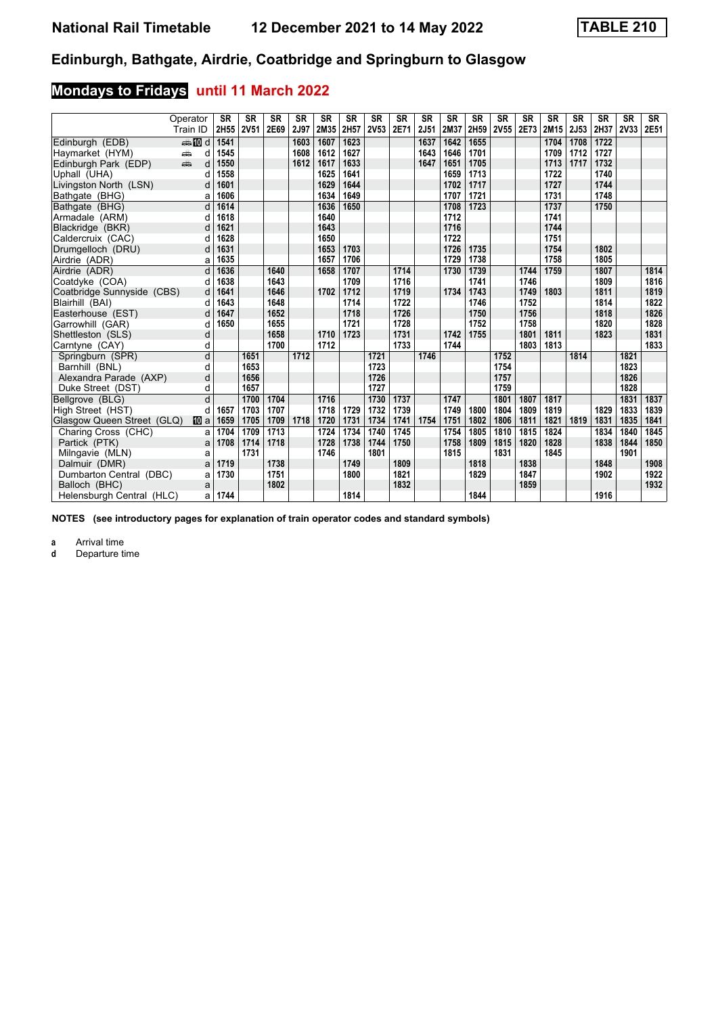## **Mondays to Fridays until 11 March 2022**

|                            | Operator                     | <b>SR</b> | <b>SR</b>   | <b>SR</b> | <b>SR</b> | <b>SR</b> | <b>SR</b> | <b>SR</b> | <b>SR</b> | <b>SR</b> | <b>SR</b> | <b>SR</b> | <b>SR</b> | <b>SR</b> | <b>SR</b> | <b>SR</b> | <b>SR</b> | <b>SR</b> | SR   |
|----------------------------|------------------------------|-----------|-------------|-----------|-----------|-----------|-----------|-----------|-----------|-----------|-----------|-----------|-----------|-----------|-----------|-----------|-----------|-----------|------|
|                            | Train ID                     | 2H55      | <b>2V51</b> | 2E69      | 2J97      | 2M35      | 2H57      | 2V53      | 2E71      | 2J51      | 2M37      | 2H59      | 2V55      | 2E73      | 2M15      | 2J53      | 2H37      | 2V33      | 2E51 |
| Edinburgh (EDB)            | <b>et 10</b> d               | 1541      |             |           | 1603      | 1607      | 1623      |           |           | 1637      | 1642      | 1655      |           |           | 1704      | 1708      | 1722      |           |      |
| Haymarket (HYM)            | پیش<br>d                     | 1545      |             |           | 1608      | 1612      | 1627      |           |           | 1643      | 1646      | 1701      |           |           | 1709      | 1712      | 1727      |           |      |
| Edinburgh Park (EDP)       | $\frac{1}{\frac{1}{2}}$<br>d | 1550      |             |           | 1612      | 1617      | 1633      |           |           | 1647      | 1651      | 1705      |           |           | 1713      | 1717      | 1732      |           |      |
| Uphall (UHA)               | d                            | 1558      |             |           |           | 1625      | 1641      |           |           |           | 1659      | 1713      |           |           | 1722      |           | 1740      |           |      |
| Livingston North (LSN)     |                              | 1601      |             |           |           | 1629      | 1644      |           |           |           | 1702      | 1717      |           |           | 1727      |           | 1744      |           |      |
| Bathgate (BHG)             | a                            | 1606      |             |           |           | 1634      | 1649      |           |           |           | 1707      | 1721      |           |           | 1731      |           | 1748      |           |      |
| Bathgate (BHG)             | d                            | 1614      |             |           |           | 1636      | 1650      |           |           |           | 1708      | 1723      |           |           | 1737      |           | 1750      |           |      |
| Armadale (ARM)             | d                            | 1618      |             |           |           | 1640      |           |           |           |           | 1712      |           |           |           | 1741      |           |           |           |      |
| Blackridge (BKR)           | d                            | 1621      |             |           |           | 1643      |           |           |           |           | 1716      |           |           |           | 1744      |           |           |           |      |
| Caldercruix (CAC)          | d                            | 1628      |             |           |           | 1650      |           |           |           |           | 1722      |           |           |           | 1751      |           |           |           |      |
| Drumgelloch (DRU)          | d                            | 1631      |             |           |           | 1653      | 1703      |           |           |           | 1726      | 1735      |           |           | 1754      |           | 1802      |           |      |
| Airdrie (ADR)              | a                            | 1635      |             |           |           | 1657      | 1706      |           |           |           | 1729      | 1738      |           |           | 1758      |           | 1805      |           |      |
| Airdrie (ADR)              | d                            | 1636      |             | 1640      |           | 1658      | 1707      |           | 1714      |           | 1730      | 1739      |           | 1744      | 1759      |           | 1807      |           | 1814 |
| Coatdyke (COA)             | d                            | 1638      |             | 1643      |           |           | 1709      |           | 1716      |           |           | 1741      |           | 1746      |           |           | 1809      |           | 1816 |
| Coatbridge Sunnyside (CBS) | d                            | 1641      |             | 1646      |           | 1702      | 1712      |           | 1719      |           | 1734      | 1743      |           | 1749      | 1803      |           | 1811      |           | 1819 |
| Blairhill (BAI)            | d                            | 1643      |             | 1648      |           |           | 1714      |           | 1722      |           |           | 1746      |           | 1752      |           |           | 1814      |           | 1822 |
| Easterhouse (EST)          | d                            | 1647      |             | 1652      |           |           | 1718      |           | 1726      |           |           | 1750      |           | 1756      |           |           | 1818      |           | 1826 |
| Garrowhill (GAR)           | d                            | 1650      |             | 1655      |           |           | 1721      |           | 1728      |           |           | 1752      |           | 1758      |           |           | 1820      |           | 1828 |
| Shettleston (SLS)          | d                            |           |             | 1658      |           | 1710      | 1723      |           | 1731      |           | 1742      | 1755      |           | 1801      | 1811      |           | 1823      |           | 1831 |
| Carntyne (CAY)             | d                            |           |             | 1700      |           | 1712      |           |           | 1733      |           | 1744      |           |           | 1803      | 1813      |           |           |           | 1833 |
| Springburn (SPR)           | d                            |           | 1651        |           | 1712      |           |           | 1721      |           | 1746      |           |           | 1752      |           |           | 1814      |           | 1821      |      |
| Barnhill (BNL)             | d                            |           | 1653        |           |           |           |           | 1723      |           |           |           |           | 1754      |           |           |           |           | 1823      |      |
| Alexandra Parade (AXP)     | d                            |           | 1656        |           |           |           |           | 1726      |           |           |           |           | 1757      |           |           |           |           | 1826      |      |
| Duke Street (DST)          | d                            |           | 1657        |           |           |           |           | 1727      |           |           |           |           | 1759      |           |           |           |           | 1828      |      |
| Bellgrove (BLG)            | d                            |           | 1700        | 1704      |           | 1716      |           | 1730      | 1737      |           | 1747      |           | 1801      | 1807      | 1817      |           |           | 1831      | 1837 |
| High Street (HST)          | d                            | 1657      | 1703        | 1707      |           | 1718      | 1729      | 1732      | 1739      |           | 1749      | 1800      | 1804      | 1809      | 1819      |           | 1829      | 1833      | 1839 |
| Glasgow Queen Street (GLQ) | <b>III</b> a                 | 1659      | 1705        | 1709      | 1718      | 1720      | 1731      | 1734      | 1741      | 1754      | 1751      | 1802      | 1806      | 1811      | 1821      | 1819      | 1831      | 1835      | 1841 |
| Charing Cross (CHC)        | a                            | 1704      | 1709        | 1713      |           | 1724      | 1734      | 1740      | 1745      |           | 1754      | 1805      | 1810      | 1815      | 1824      |           | 1834      | 1840      | 1845 |
| Partick (PTK)              | a                            | 1708      | 1714        | 1718      |           | 1728      | 1738      | 1744      | 1750      |           | 1758      | 1809      | 1815      | 1820      | 1828      |           | 1838      | 1844      | 1850 |
| Milngavie (MLN)            | a                            |           | 1731        |           |           | 1746      |           | 1801      |           |           | 1815      |           | 1831      |           | 1845      |           |           | 1901      |      |
| Dalmuir (DMR)              | a                            | 1719      |             | 1738      |           |           | 1749      |           | 1809      |           |           | 1818      |           | 1838      |           |           | 1848      |           | 1908 |
| Dumbarton Central (DBC)    | a                            | 1730      |             | 1751      |           |           | 1800      |           | 1821      |           |           | 1829      |           | 1847      |           |           | 1902      |           | 1922 |
| Balloch (BHC)              | a                            |           |             | 1802      |           |           |           |           | 1832      |           |           |           |           | 1859      |           |           |           |           | 1932 |
| Helensburgh Central (HLC)  | a۱                           | 1744      |             |           |           |           | 1814      |           |           |           |           | 1844      |           |           |           |           | 1916      |           |      |

**NOTES (see introductory pages for explanation of train operator codes and standard symbols)**

**a** Arrival time<br>**d** Departure ti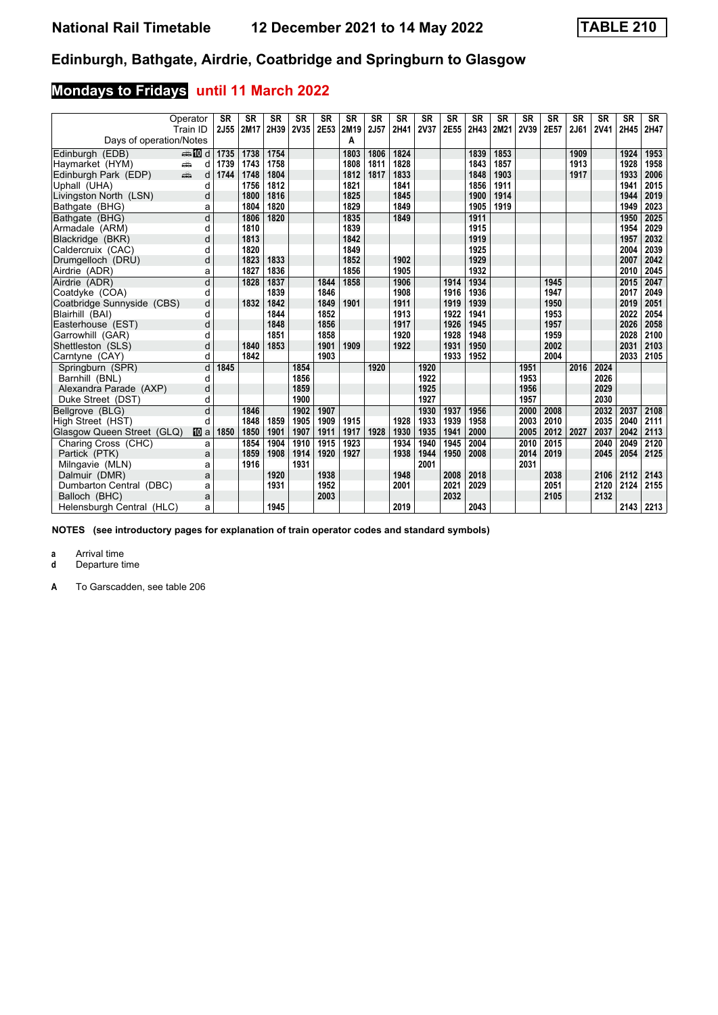## **Mondays to Fridays until 11 March 2022**

| Days of operation/Notes    | Operator<br>Train ID      | <b>SR</b><br>2J55 | <b>SR</b><br>2M17 | <b>SR</b><br>2H39 | <b>SR</b><br>2V35 | <b>SR</b><br>2E53 | <b>SR</b><br>2M19<br>А | <b>SR</b><br>2J57 | <b>SR</b><br>2H41 | <b>SR</b><br>2V37 | <b>SR</b><br>2E55 | <b>SR</b><br>2H43 | <b>SR</b><br>2M21 | <b>SR</b><br>2V39 | <b>SR</b><br>2E57 | <b>SR</b><br>2J61 | <b>SR</b><br><b>2V41</b> | <b>SR</b><br>2H45 | <b>SR</b><br>2H47 |
|----------------------------|---------------------------|-------------------|-------------------|-------------------|-------------------|-------------------|------------------------|-------------------|-------------------|-------------------|-------------------|-------------------|-------------------|-------------------|-------------------|-------------------|--------------------------|-------------------|-------------------|
| Edinburgh (EDB)            | dan <b>m</b>              | 1735              | 1738              | 1754              |                   |                   | 1803                   | 1806              | 1824              |                   |                   | 1839              | 1853              |                   |                   | 1909              |                          | 1924              | 1953              |
| Haymarket (HYM)            | پیش<br>d                  | 1739              | 1743              | 1758              |                   |                   | 1808                   | 1811              | 1828              |                   |                   | 1843              | 1857              |                   |                   | 1913              |                          | 1928              | 1958              |
| Edinburgh Park (EDP)       | $\frac{1}{\sqrt{2}}$<br>d | 1744              | 1748              | 1804              |                   |                   | 1812                   | 1817              | 1833              |                   |                   | 1848              | 1903              |                   |                   | 1917              |                          | 1933              | 2006              |
| Uphall (UHA)               | d                         |                   | 1756              | 1812              |                   |                   | 1821                   |                   | 1841              |                   |                   | 1856              | 1911              |                   |                   |                   |                          | 1941              | 2015              |
| Livingston North (LSN)     | d                         |                   | 1800              | 1816              |                   |                   | 1825                   |                   | 1845              |                   |                   | 1900              | 1914              |                   |                   |                   |                          | 1944              | 2019              |
| Bathgate (BHG)             | a                         |                   | 1804              | 1820              |                   |                   | 1829                   |                   | 1849              |                   |                   | 1905              | 1919              |                   |                   |                   |                          | 1949              | 2023              |
| Bathgate (BHG)             | d                         |                   | 1806              | 1820              |                   |                   | 1835                   |                   | 1849              |                   |                   | 1911              |                   |                   |                   |                   |                          | 1950              | 2025              |
| Armadale (ARM)             | d                         |                   | 1810              |                   |                   |                   | 1839                   |                   |                   |                   |                   | 1915              |                   |                   |                   |                   |                          | 1954              | 2029              |
| Blackridge (BKR)           | d                         |                   | 1813              |                   |                   |                   | 1842                   |                   |                   |                   |                   | 1919              |                   |                   |                   |                   |                          | 1957              | 2032              |
| Caldercruix (CAC)          | d                         |                   | 1820              |                   |                   |                   | 1849                   |                   |                   |                   |                   | 1925              |                   |                   |                   |                   |                          | 2004              | 2039              |
| Drumgelloch (DRU)          | d                         |                   | 1823              | 1833              |                   |                   | 1852                   |                   | 1902              |                   |                   | 1929              |                   |                   |                   |                   |                          | 2007              | 2042              |
| Airdrie (ADR)              | a                         |                   | 1827              | 1836              |                   |                   | 1856                   |                   | 1905              |                   |                   | 1932              |                   |                   |                   |                   |                          | 2010              | 2045              |
| Airdrie (ADR)              | d                         |                   | 1828              | 1837              |                   | 1844              | 1858                   |                   | 1906              |                   | 1914              | 1934              |                   |                   | 1945              |                   |                          | 2015              | 2047              |
| Coatdyke (COA)             | d                         |                   |                   | 1839              |                   | 1846              |                        |                   | 1908              |                   | 1916              | 1936              |                   |                   | 1947              |                   |                          | 2017              | 2049              |
| Coatbridge Sunnyside (CBS) | d                         |                   | 1832              | 1842              |                   | 1849              | 1901                   |                   | 1911              |                   | 1919              | 1939              |                   |                   | 1950              |                   |                          | 2019              | 2051              |
| Blairhill (BAI)            | d                         |                   |                   | 1844              |                   | 1852              |                        |                   | 1913              |                   | 1922              | 1941              |                   |                   | 1953              |                   |                          | 2022              | 2054              |
| Easterhouse (EST)          | d                         |                   |                   | 1848              |                   | 1856              |                        |                   | 1917              |                   | 1926              | 1945              |                   |                   | 1957              |                   |                          | 2026              | 2058              |
| Garrowhill (GAR)           | d                         |                   |                   | 1851              |                   | 1858              |                        |                   | 1920              |                   | 1928              | 1948              |                   |                   | 1959              |                   |                          | 2028              | 2100              |
| Shettleston (SLS)          | d                         |                   | 1840              | 1853              |                   | 1901              | 1909                   |                   | 1922              |                   | 1931              | 1950              |                   |                   | 2002              |                   |                          | 2031              | 2103              |
| Carntyne (CAY)             | d                         |                   | 1842              |                   |                   | 1903              |                        |                   |                   |                   | 1933              | 1952              |                   |                   | 2004              |                   |                          | 2033              | 2105              |
| Springburn (SPR)           | d                         | 1845              |                   |                   | 1854              |                   |                        | 1920              |                   | 1920              |                   |                   |                   | 1951              |                   | 2016              | 2024                     |                   |                   |
| Barnhill (BNL)             | d                         |                   |                   |                   | 1856              |                   |                        |                   |                   | 1922              |                   |                   |                   | 1953              |                   |                   | 2026                     |                   |                   |
| Alexandra Parade (AXP)     | d                         |                   |                   |                   | 1859              |                   |                        |                   |                   | 1925              |                   |                   |                   | 1956              |                   |                   | 2029                     |                   |                   |
| Duke Street (DST)          | d                         |                   |                   |                   | 1900              |                   |                        |                   |                   | 1927              |                   |                   |                   | 1957              |                   |                   | 2030                     |                   |                   |
| Bellarove (BLG)            | d                         |                   | 1846              |                   | 1902              | 1907              |                        |                   |                   | 1930              | 1937              | 1956              |                   | 2000              | 2008              |                   | 2032                     | 2037              | 2108              |
| High Street (HST)          | d                         |                   | 1848              | 1859              | 1905              | 1909              | 1915                   |                   | 1928              | 1933              | 1939              | 1958              |                   | 2003              | 2010              |                   | 2035                     | 2040              | 2111              |
| Glasgow Queen Street (GLQ) | <b>ID</b> a               | 1850              | 1850              | 1901              | 1907              | 1911              | 1917                   | 1928              | 1930              | 1935              | 1941              | 2000              |                   | 2005              | 2012              | 2027              | 2037                     | 2042              | 2113              |
| Charing Cross (CHC)        | a                         |                   | 1854              | 1904              | 1910              | 1915              | 1923                   |                   | 1934              | 1940              | 1945              | 2004              |                   | 2010              | 2015              |                   | 2040                     | 2049              | 2120              |
| Partick (PTK)              | a                         |                   | 1859              | 1908              | 1914              | 1920              | 1927                   |                   | 1938              | 1944              | 1950              | 2008              |                   | 2014              | 2019              |                   | 2045                     | 2054              | 2125              |
| Milngavie (MLN)            | a                         |                   | 1916              |                   | 1931              |                   |                        |                   |                   | 2001              |                   |                   |                   | 2031              |                   |                   |                          |                   |                   |
| Dalmuir (DMR)              | a                         |                   |                   | 1920              |                   | 1938              |                        |                   | 1948              |                   | 2008              | 2018              |                   |                   | 2038              |                   | 2106                     | 2112              | 2143              |
| Dumbarton Central (DBC)    | a                         |                   |                   | 1931              |                   | 1952              |                        |                   | 2001              |                   | 2021              | 2029              |                   |                   | 2051              |                   | 2120                     | 2124              | 2155              |
| Balloch (BHC)              | a                         |                   |                   |                   |                   | 2003              |                        |                   |                   |                   | 2032              |                   |                   |                   | 2105              |                   | 2132                     |                   |                   |
| Helensburgh Central (HLC)  | a                         |                   |                   | 1945              |                   |                   |                        |                   | 2019              |                   |                   | 2043              |                   |                   |                   |                   |                          | 2143              | 2213              |

**NOTES (see introductory pages for explanation of train operator codes and standard symbols)**

**a** Arrival time<br>**d** Departure t

**d** Departure time

**A** To Garscadden, see table 20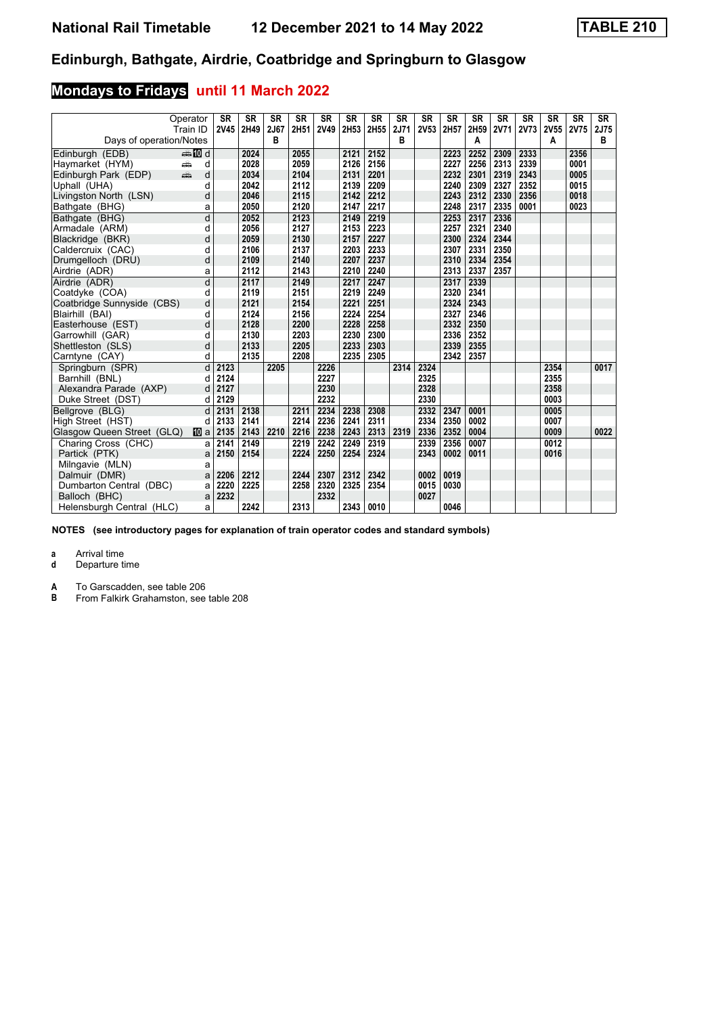## **Mondays to Fridays until 11 March 2022**

| Operator                   | Train ID          | <b>SR</b><br>2V45 | <b>SR</b><br>2H49 | <b>SR</b><br>2J67 | <b>SR</b><br>2H51 | <b>SR</b><br><b>2V49</b> | <b>SR</b><br>2H53 | <b>SR</b><br>2H55 | <b>SR</b><br>2J71 | <b>SR</b><br>2V53 | <b>SR</b><br>2H57 | <b>SR</b><br>2H59 | <b>SR</b><br><b>2V71</b> | <b>SR</b><br>2V73 | <b>SR</b><br>2V55 | <b>SR</b><br>2V75 | <b>SR</b><br>2J75 |
|----------------------------|-------------------|-------------------|-------------------|-------------------|-------------------|--------------------------|-------------------|-------------------|-------------------|-------------------|-------------------|-------------------|--------------------------|-------------------|-------------------|-------------------|-------------------|
| Days of operation/Notes    |                   |                   |                   | в                 |                   |                          |                   |                   | в                 |                   |                   | A                 |                          |                   | A                 |                   | в                 |
| Edinburgh (EDB)            | <b>ente</b> die d |                   | 2024              |                   | 2055              |                          | 2121              | 2152              |                   |                   | 2223              | 2252              | 2309                     | 2333              |                   | 2356              |                   |
| Haymarket (HYM)<br>پیش     | d                 |                   | 2028              |                   | 2059              |                          | 2126              | 2156              |                   |                   | 2227              | 2256              | 2313                     | 2339              |                   | 0001              |                   |
| په<br>Edinburgh Park (EDP) | d                 |                   | 2034              |                   | 2104              |                          | 2131              | 2201              |                   |                   | 2232              | 2301              | 2319                     | 2343              |                   | 0005              |                   |
| Uphall (UHA)               | d                 |                   | 2042              |                   | 2112              |                          | 2139              | 2209              |                   |                   | 2240              | 2309              | 2327                     | 2352              |                   | 0015              |                   |
| Livingston North (LSN)     | d                 |                   | 2046              |                   | 2115              |                          | 2142              | 2212              |                   |                   | 2243              | 2312              | 2330                     | 2356              |                   | 0018              |                   |
| Bathgate (BHG)             | a                 |                   | 2050              |                   | 2120              |                          | 2147              | 2217              |                   |                   | 2248              | 2317              | 2335                     | 0001              |                   | 0023              |                   |
| Bathgate (BHG)             | d                 |                   | 2052              |                   | 2123              |                          | 2149              | 2219              |                   |                   | 2253              | 2317              | 2336                     |                   |                   |                   |                   |
| Armadale (ARM)             | d                 |                   | 2056              |                   | 2127              |                          | 2153              | 2223              |                   |                   | 2257              | 2321              | 2340                     |                   |                   |                   |                   |
| Blackridge (BKR)           | d                 |                   | 2059              |                   | 2130              |                          | 2157              | 2227              |                   |                   | 2300              | 2324              | 2344                     |                   |                   |                   |                   |
| Caldercruix (CAC)          | d                 |                   | 2106              |                   | 2137              |                          | 2203              | 2233              |                   |                   | 2307              | 2331              | 2350                     |                   |                   |                   |                   |
| Drumgelloch (DRU)          | d                 |                   | 2109              |                   | 2140              |                          | 2207              | 2237              |                   |                   | 2310              | 2334              | 2354                     |                   |                   |                   |                   |
| Airdrie (ADR)              | a                 |                   | 2112              |                   | 2143              |                          | 2210              | 2240              |                   |                   | 2313              | 2337              | 2357                     |                   |                   |                   |                   |
| Airdrie (ADR)              | d                 |                   | 2117              |                   | 2149              |                          | 2217              | 2247              |                   |                   | 2317              | 2339              |                          |                   |                   |                   |                   |
| Coatdyke (COA)             | d                 |                   | 2119              |                   | 2151              |                          | 2219              | 2249              |                   |                   | 2320              | 2341              |                          |                   |                   |                   |                   |
| Coatbridge Sunnyside (CBS) | d                 |                   | 2121              |                   | 2154              |                          | 2221              | 2251              |                   |                   | 2324              | 2343              |                          |                   |                   |                   |                   |
| Blairhill (BAI)            | d                 |                   | 2124              |                   | 2156              |                          | 2224              | 2254              |                   |                   | 2327              | 2346              |                          |                   |                   |                   |                   |
| Easterhouse (EST)          | d                 |                   | 2128              |                   | 2200              |                          | 2228              | 2258              |                   |                   | 2332              | 2350              |                          |                   |                   |                   |                   |
| Garrowhill (GAR)           | d                 |                   | 2130              |                   | 2203              |                          | 2230              | 2300              |                   |                   | 2336              | 2352              |                          |                   |                   |                   |                   |
| Shettleston (SLS)          | d                 |                   | 2133              |                   | 2205              |                          | 2233              | 2303              |                   |                   | 2339              | 2355              |                          |                   |                   |                   |                   |
| Carntyne (CAY)             | d                 |                   | 2135              |                   | 2208              |                          | 2235              | 2305              |                   |                   | 2342              | 2357              |                          |                   |                   |                   |                   |
| Springburn (SPR)           | d                 | 2123              |                   | 2205              |                   | 2226                     |                   |                   | 2314              | 2324              |                   |                   |                          |                   | 2354              |                   | 0017              |
| Barnhill (BNL)             | d                 | 2124              |                   |                   |                   | 2227                     |                   |                   |                   | 2325              |                   |                   |                          |                   | 2355              |                   |                   |
| Alexandra Parade (AXP)     | d                 | 2127              |                   |                   |                   | 2230                     |                   |                   |                   | 2328              |                   |                   |                          |                   | 2358              |                   |                   |
| Duke Street (DST)          | d                 | 2129              |                   |                   |                   | 2232                     |                   |                   |                   | 2330              |                   |                   |                          |                   | 0003              |                   |                   |
| Bellarove (BLG)            | d                 | 2131              | 2138              |                   | 2211              | 2234                     | 2238              | 2308              |                   | 2332              | 2347              | 0001              |                          |                   | 0005              |                   |                   |
| High Street (HST)          | d                 | 2133              | 2141              |                   | 2214              | 2236                     | 2241              | 2311              |                   | 2334              | 2350              | 0002              |                          |                   | 0007              |                   |                   |
| Glasgow Queen Street (GLQ) | $\mathbf{I}$ all  | 2135              | 2143              | 2210              | 2216              | 2238                     | 2243              | 2313              | 2319              | 2336              | 2352              | 0004              |                          |                   | 0009              |                   | 0022              |
| Charing Cross (CHC)        | a                 | 2141              | 2149              |                   | 2219              | 2242                     | 2249              | 2319              |                   | 2339              | 2356              | 0007              |                          |                   | 0012              |                   |                   |
| Partick (PTK)              | a                 | 2150              | 2154              |                   | 2224              | 2250                     | 2254              | 2324              |                   | 2343              | 0002              | 0011              |                          |                   | 0016              |                   |                   |
| Milngavie (MLN)            | a                 |                   |                   |                   |                   |                          |                   |                   |                   |                   |                   |                   |                          |                   |                   |                   |                   |
| Dalmuir (DMR)              | a                 | 2206              | 2212              |                   | 2244              | 2307                     | 2312              | 2342              |                   | 0002              | 0019              |                   |                          |                   |                   |                   |                   |
| Dumbarton Central (DBC)    | a                 | 2220              | 2225              |                   | 2258              | 2320                     | 2325              | 2354              |                   | 0015              | 0030              |                   |                          |                   |                   |                   |                   |
| Balloch (BHC)              | a                 | 2232              |                   |                   |                   | 2332                     |                   |                   |                   | 0027              |                   |                   |                          |                   |                   |                   |                   |
| Helensburgh Central (HLC)  | a                 |                   | 2242              |                   | 2313              |                          | 2343              | 0010              |                   |                   | 0046              |                   |                          |                   |                   |                   |                   |

**NOTES (see introductory pages for explanation of train operator codes and standard symbols)**

**a** Arrival time<br>**d** Departure t **d** Departure time

 $\lambda$ **A** To Garscadden, see table 206<br>**B** From Falkirk Grahamston, see

**B** From Falkirk Grahamston, see table 208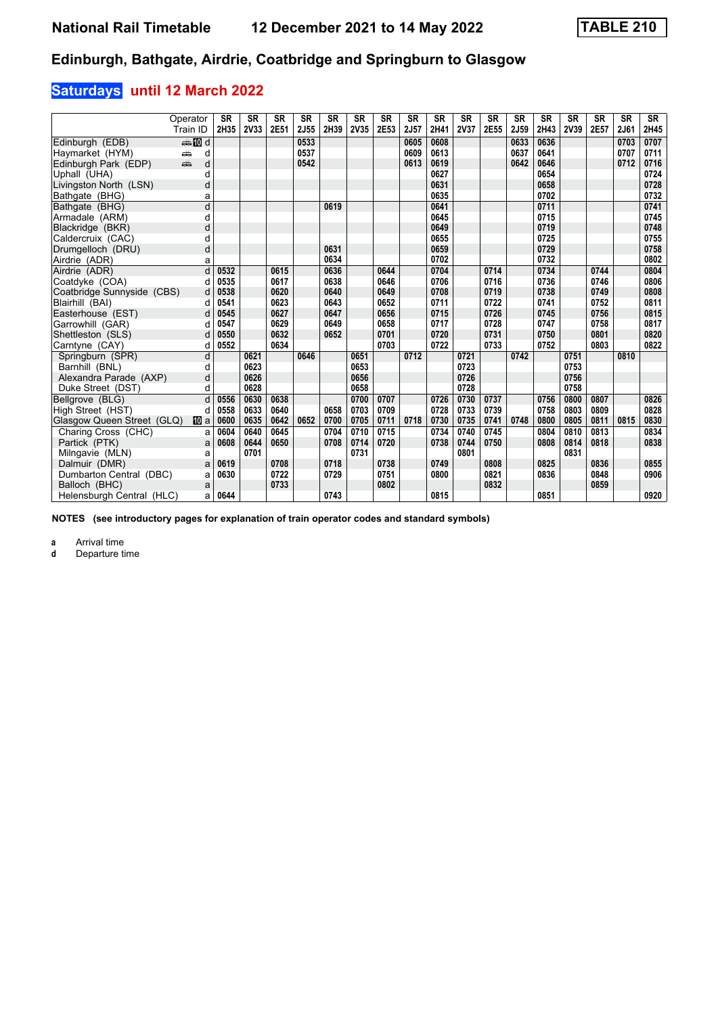## **Saturdays until 12 March 2022**

|                            | Operator<br>Train ID    | <b>SR</b><br>2H35 | <b>SR</b><br>2V33 | <b>SR</b><br>2E51 | <b>SR</b><br>2J55 | <b>SR</b><br>2H39 | <b>SR</b><br>2V35 | <b>SR</b><br>2E53 | <b>SR</b><br>2J57 | <b>SR</b><br>2H41 | <b>SR</b><br><b>2V37</b> | <b>SR</b><br>2E55 | <b>SR</b><br>2J59 | <b>SR</b><br>2H43 | <b>SR</b><br>2V39 | <b>SR</b><br>2E57 | <b>SR</b><br>2J61 | <b>SR</b><br>2H45 |
|----------------------------|-------------------------|-------------------|-------------------|-------------------|-------------------|-------------------|-------------------|-------------------|-------------------|-------------------|--------------------------|-------------------|-------------------|-------------------|-------------------|-------------------|-------------------|-------------------|
|                            |                         |                   |                   |                   |                   |                   |                   |                   |                   |                   |                          |                   |                   |                   |                   |                   |                   |                   |
| Edinburgh (EDB)            | $\bigoplus$ III d       |                   |                   |                   | 0533              |                   |                   |                   | 0605<br>0609      | 0608<br>0613      |                          |                   | 0633              | 0636<br>0641      |                   |                   | 0703              | 0707              |
| Haymarket (HYM)            | d<br>æ<br>amb.          |                   |                   |                   | 0537              |                   |                   |                   |                   |                   |                          |                   | 0637              |                   |                   |                   | 0707              | 0711              |
| Edinburgh Park (EDP)       | d                       |                   |                   |                   | 0542              |                   |                   |                   | 0613              | 0619              |                          |                   | 0642              | 0646<br>0654      |                   |                   | 0712              | 0716              |
| Uphall (UHA)               | d                       |                   |                   |                   |                   |                   |                   |                   |                   | 0627              |                          |                   |                   |                   |                   |                   |                   | 0724              |
| Livingston North (LSN)     | d                       |                   |                   |                   |                   |                   |                   |                   |                   | 0631              |                          |                   |                   | 0658              |                   |                   |                   | 0728              |
| Bathgate (BHG)             | a                       |                   |                   |                   |                   |                   |                   |                   |                   | 0635              |                          |                   |                   | 0702              |                   |                   |                   | 0732              |
| Bathgate (BHG)             | d                       |                   |                   |                   |                   | 0619              |                   |                   |                   | 0641              |                          |                   |                   | 0711              |                   |                   |                   | 0741              |
| Armadale (ARM)             | d                       |                   |                   |                   |                   |                   |                   |                   |                   | 0645              |                          |                   |                   | 0715              |                   |                   |                   | 0745              |
| Blackridge (BKR)           | d                       |                   |                   |                   |                   |                   |                   |                   |                   | 0649              |                          |                   |                   | 0719              |                   |                   |                   | 0748              |
| Caldercruix (CAC)          | d                       |                   |                   |                   |                   |                   |                   |                   |                   | 0655              |                          |                   |                   | 0725              |                   |                   |                   | 0755              |
| Drumgelloch (DRU)          | d                       |                   |                   |                   |                   | 0631              |                   |                   |                   | 0659              |                          |                   |                   | 0729              |                   |                   |                   | 0758              |
| Airdrie (ADR)              | а                       |                   |                   |                   |                   | 0634              |                   |                   |                   | 0702              |                          |                   |                   | 0732              |                   |                   |                   | 0802              |
| Airdrie (ADR)              | $\overline{\mathsf{d}}$ | 0532              |                   | 0615              |                   | 0636              |                   | 0644              |                   | 0704              |                          | 0714              |                   | 0734              |                   | 0744              |                   | 0804              |
| Coatdyke (COA)             | d                       | 0535              |                   | 0617              |                   | 0638              |                   | 0646              |                   | 0706              |                          | 0716              |                   | 0736              |                   | 0746              |                   | 0806              |
| Coatbridge Sunnyside (CBS) | d                       | 0538              |                   | 0620              |                   | 0640              |                   | 0649              |                   | 0708              |                          | 0719              |                   | 0738              |                   | 0749              |                   | 0808              |
| Blairhill (BAI)            | d                       | 0541              |                   | 0623              |                   | 0643              |                   | 0652              |                   | 0711              |                          | 0722              |                   | 0741              |                   | 0752              |                   | 0811              |
| Easterhouse (EST)          | d                       | 0545              |                   | 0627              |                   | 0647              |                   | 0656              |                   | 0715              |                          | 0726              |                   | 0745              |                   | 0756              |                   | 0815              |
| Garrowhill (GAR)           | d                       | 0547              |                   | 0629              |                   | 0649              |                   | 0658              |                   | 0717              |                          | 0728              |                   | 0747              |                   | 0758              |                   | 0817              |
| Shettleston (SLS)          | d                       | 0550              |                   | 0632              |                   | 0652              |                   | 0701              |                   | 0720              |                          | 0731              |                   | 0750              |                   | 0801              |                   | 0820              |
| Carntyne (CAY)             | d                       | 0552              |                   | 0634              |                   |                   |                   | 0703              |                   | 0722              |                          | 0733              |                   | 0752              |                   | 0803              |                   | 0822              |
| Springburn (SPR)           | d                       |                   | 0621              |                   | 0646              |                   | 0651              |                   | 0712              |                   | 0721                     |                   | 0742              |                   | 0751              |                   | 0810              |                   |
| Barnhill (BNL)             | d                       |                   | 0623              |                   |                   |                   | 0653              |                   |                   |                   | 0723                     |                   |                   |                   | 0753              |                   |                   |                   |
| Alexandra Parade (AXP)     | d                       |                   | 0626              |                   |                   |                   | 0656              |                   |                   |                   | 0726                     |                   |                   |                   | 0756              |                   |                   |                   |
| Duke Street (DST)          | d                       |                   | 0628              |                   |                   |                   | 0658              |                   |                   |                   | 0728                     |                   |                   |                   | 0758              |                   |                   |                   |
| Bellarove (BLG)            | d                       | 0556              | 0630              | 0638              |                   |                   | 0700              | 0707              |                   | 0726              | 0730                     | 0737              |                   | 0756              | 0800              | 0807              |                   | 0826              |
| High Street (HST)          | d                       | 0558              | 0633              | 0640              |                   | 0658              | 0703              | 0709              |                   | 0728              | 0733                     | 0739              |                   | 0758              | 0803              | 0809              |                   | 0828              |
| Glasgow Queen Street (GLQ) | 100 a                   | 0600              | 0635              | 0642              | 0652              | 0700              | 0705              | 0711              | 0718              | 0730              | 0735                     | 0741              | 0748              | 0800              | 0805              | 0811              | 0815              | 0830              |
| Charing Cross (CHC)        | a                       | 0604              | 0640              | 0645              |                   | 0704              | 0710              | 0715              |                   | 0734              | 0740                     | 0745              |                   | 0804              | 0810              | 0813              |                   | 0834              |
| Partick (PTK)              | a                       | 0608              | 0644              | 0650              |                   | 0708              | 0714              | 0720              |                   | 0738              | 0744                     | 0750              |                   | 0808              | 0814              | 0818              |                   | 0838              |
| Milngavie (MLN)            | a                       |                   | 0701              |                   |                   |                   | 0731              |                   |                   |                   | 0801                     |                   |                   |                   | 0831              |                   |                   |                   |
| Dalmuir (DMR)              | a                       | 0619              |                   | 0708              |                   | 0718              |                   | 0738              |                   | 0749              |                          | 0808              |                   | 0825              |                   | 0836              |                   | 0855              |
| Dumbarton Central (DBC)    | a                       | 0630              |                   | 0722              |                   | 0729              |                   | 0751              |                   | 0800              |                          | 0821              |                   | 0836              |                   | 0848              |                   | 0906              |
| Balloch (BHC)              | a                       |                   |                   | 0733              |                   |                   |                   | 0802              |                   |                   |                          | 0832              |                   |                   |                   | 0859              |                   |                   |
| Helensburgh Central (HLC)  | a                       | 0644              |                   |                   |                   | 0743              |                   |                   |                   | 0815              |                          |                   |                   | 0851              |                   |                   |                   | 0920              |

**NOTES (see introductory pages for explanation of train operator codes and standard symbols)**

**a** Arrival time<br>**d** Departure ti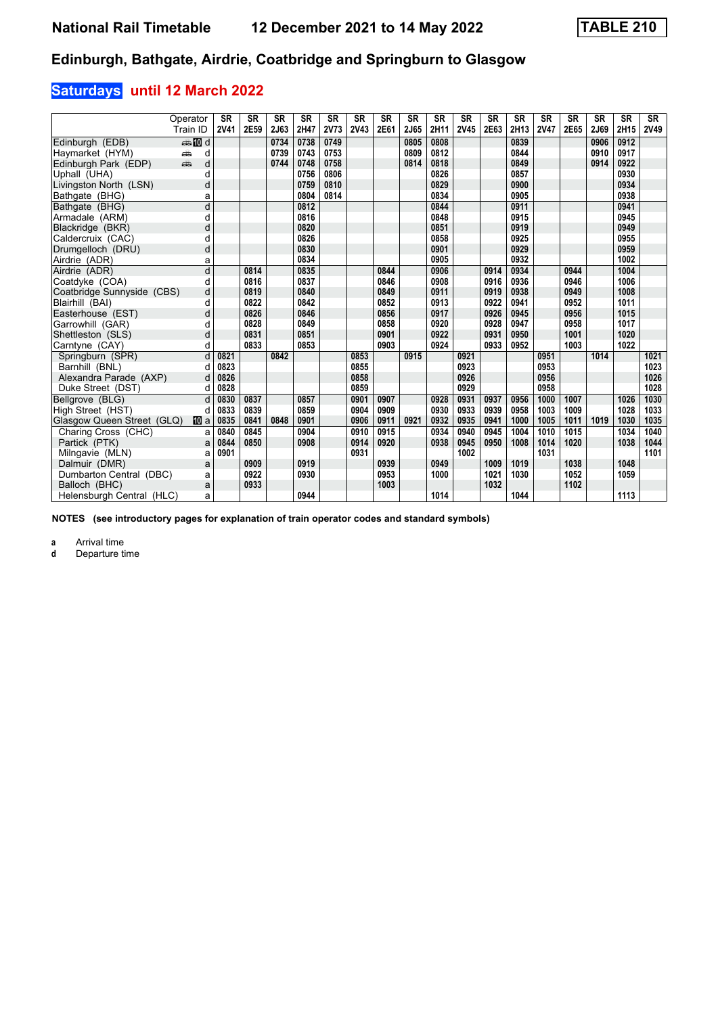# **Saturdays until 12 March 2022**

|                            | Operator           | <b>SR</b>   | <b>SR</b> | <b>SR</b> | <b>SR</b> | <b>SR</b> | <b>SR</b>   | <b>SR</b> | <b>SR</b> | <b>SR</b> | <b>SR</b>   | <b>SR</b> | <b>SR</b> | <b>SR</b>   | <b>SR</b> | <b>SR</b> | <b>SR</b> | <b>SR</b>   |
|----------------------------|--------------------|-------------|-----------|-----------|-----------|-----------|-------------|-----------|-----------|-----------|-------------|-----------|-----------|-------------|-----------|-----------|-----------|-------------|
|                            | Train ID           | <b>2V41</b> | 2E59      | 2J63      | 2H47      | 2V73      | <b>2V43</b> | 2E61      | 2J65      | 2H11      | <b>2V45</b> | 2E63      | 2H13      | <b>2V47</b> | 2E65      | 2J69      | 2H15      | <b>2V49</b> |
| Edinburgh (EDB)            | <b>ette</b> IIII d |             |           | 0734      | 0738      | 0749      |             |           | 0805      | 0808      |             |           | 0839      |             |           | 0906      | 0912      |             |
| Haymarket (HYM)            | d<br>پیشته         |             |           | 0739      | 0743      | 0753      |             |           | 0809      | 0812      |             |           | 0844      |             |           | 0910      | 0917      |             |
| Edinburgh Park (EDP)       | dia.<br>d          |             |           | 0744      | 0748      | 0758      |             |           | 0814      | 0818      |             |           | 0849      |             |           | 0914      | 0922      |             |
| Uphall (UHA)               | d                  |             |           |           | 0756      | 0806      |             |           |           | 0826      |             |           | 0857      |             |           |           | 0930      |             |
| Livingston North (LSN)     | d                  |             |           |           | 0759      | 0810      |             |           |           | 0829      |             |           | 0900      |             |           |           | 0934      |             |
| Bathgate (BHG)             | a                  |             |           |           | 0804      | 0814      |             |           |           | 0834      |             |           | 0905      |             |           |           | 0938      |             |
| Bathgate (BHG)             | d                  |             |           |           | 0812      |           |             |           |           | 0844      |             |           | 0911      |             |           |           | 0941      |             |
| Armadale (ARM)             | d                  |             |           |           | 0816      |           |             |           |           | 0848      |             |           | 0915      |             |           |           | 0945      |             |
| Blackridge (BKR)           | d                  |             |           |           | 0820      |           |             |           |           | 0851      |             |           | 0919      |             |           |           | 0949      |             |
| Caldercruix (CAC)          | d                  |             |           |           | 0826      |           |             |           |           | 0858      |             |           | 0925      |             |           |           | 0955      |             |
| Drumgelloch (DRU)          | d                  |             |           |           | 0830      |           |             |           |           | 0901      |             |           | 0929      |             |           |           | 0959      |             |
| Airdrie (ADR)              | a                  |             |           |           | 0834      |           |             |           |           | 0905      |             |           | 0932      |             |           |           | 1002      |             |
| Airdrie (ADR)              | d                  |             | 0814      |           | 0835      |           |             | 0844      |           | 0906      |             | 0914      | 0934      |             | 0944      |           | 1004      |             |
| Coatdyke (COA)             | d                  |             | 0816      |           | 0837      |           |             | 0846      |           | 0908      |             | 0916      | 0936      |             | 0946      |           | 1006      |             |
| Coatbridge Sunnyside (CBS) | d                  |             | 0819      |           | 0840      |           |             | 0849      |           | 0911      |             | 0919      | 0938      |             | 0949      |           | 1008      |             |
| Blairhill (BAI)            | d                  |             | 0822      |           | 0842      |           |             | 0852      |           | 0913      |             | 0922      | 0941      |             | 0952      |           | 1011      |             |
| Easterhouse (EST)          | d                  |             | 0826      |           | 0846      |           |             | 0856      |           | 0917      |             | 0926      | 0945      |             | 0956      |           | 1015      |             |
| Garrowhill (GAR)           | d                  |             | 0828      |           | 0849      |           |             | 0858      |           | 0920      |             | 0928      | 0947      |             | 0958      |           | 1017      |             |
| Shettleston (SLS)          | d                  |             | 0831      |           | 0851      |           |             | 0901      |           | 0922      |             | 0931      | 0950      |             | 1001      |           | 1020      |             |
| Carntyne (CAY)             | d                  |             | 0833      |           | 0853      |           |             | 0903      |           | 0924      |             | 0933      | 0952      |             | 1003      |           | 1022      |             |
| Springburn (SPR)           | d                  | 0821        |           | 0842      |           |           | 0853        |           | 0915      |           | 0921        |           |           | 0951        |           | 1014      |           | 1021        |
| Barnhill (BNL)             | d                  | 0823        |           |           |           |           | 0855        |           |           |           | 0923        |           |           | 0953        |           |           |           | 1023        |
| Alexandra Parade (AXP)     | d                  | 0826        |           |           |           |           | 0858        |           |           |           | 0926        |           |           | 0956        |           |           |           | 1026        |
| Duke Street (DST)          | d                  | 0828        |           |           |           |           | 0859        |           |           |           | 0929        |           |           | 0958        |           |           |           | 1028        |
| Bellarove (BLG)            | d                  | 0830        | 0837      |           | 0857      |           | 0901        | 0907      |           | 0928      | 0931        | 0937      | 0956      | 1000        | 1007      |           | 1026      | 1030        |
| High Street (HST)          | d                  | 0833        | 0839      |           | 0859      |           | 0904        | 0909      |           | 0930      | 0933        | 0939      | 0958      | 1003        | 1009      |           | 1028      | 1033        |
| Glasgow Queen Street (GLQ) | <b>ID</b> a        | 0835        | 0841      | 0848      | 0901      |           | 0906        | 0911      | 0921      | 0932      | 0935        | 0941      | 1000      | 1005        | 1011      | 1019      | 1030      | 1035        |
| Charing Cross (CHC)        | a                  | 0840        | 0845      |           | 0904      |           | 0910        | 0915      |           | 0934      | 0940        | 0945      | 1004      | 1010        | 1015      |           | 1034      | 1040        |
| Partick (PTK)              | a                  | 0844        | 0850      |           | 0908      |           | 0914        | 0920      |           | 0938      | 0945        | 0950      | 1008      | 1014        | 1020      |           | 1038      | 1044        |
| Milngavie (MLN)            | a                  | 0901        |           |           |           |           | 0931        |           |           |           | 1002        |           |           | 1031        |           |           |           | 1101        |
| Dalmuir (DMR)              | a                  |             | 0909      |           | 0919      |           |             | 0939      |           | 0949      |             | 1009      | 1019      |             | 1038      |           | 1048      |             |
| Dumbarton Central (DBC)    | a                  |             | 0922      |           | 0930      |           |             | 0953      |           | 1000      |             | 1021      | 1030      |             | 1052      |           | 1059      |             |
| Balloch (BHC)              | a                  |             | 0933      |           |           |           |             | 1003      |           |           |             | 1032      |           |             | 1102      |           |           |             |
| Helensburgh Central (HLC)  | a                  |             |           |           | 0944      |           |             |           |           | 1014      |             |           | 1044      |             |           |           | 1113      |             |

**NOTES (see introductory pages for explanation of train operator codes and standard symbols)**

**a** Arrival time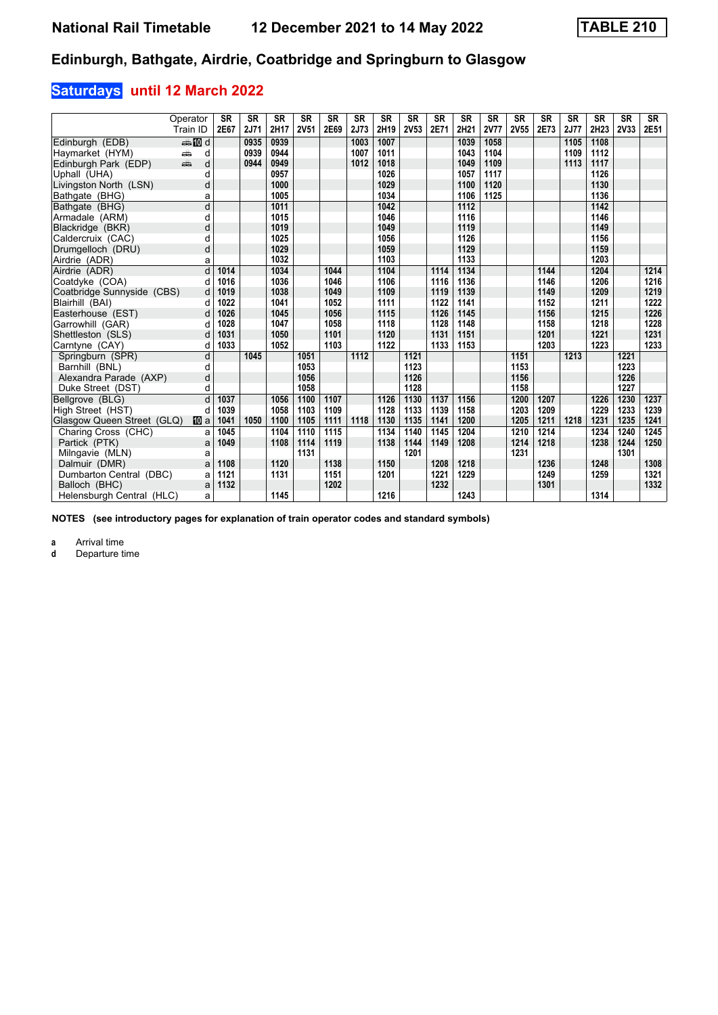# **Saturdays until 12 March 2022**

|                            | Operator<br>Train ID | <b>SR</b><br>2E67 | <b>SR</b><br>2J71 | <b>SR</b><br>2H17 | <b>SR</b><br><b>2V51</b> | <b>SR</b><br>2E69 | <b>SR</b><br>2J73 | <b>SR</b><br>2H19 | <b>SR</b><br>2V53 | <b>SR</b><br>2E71 | <b>SR</b><br>2H21 | <b>SR</b><br><b>2V77</b> | <b>SR</b><br><b>2V55</b> | <b>SR</b><br>2E73 | <b>SR</b><br><b>2J77</b> | <b>SR</b><br>2H23 | <b>SR</b><br>2V33 | <b>SR</b><br>2E51 |
|----------------------------|----------------------|-------------------|-------------------|-------------------|--------------------------|-------------------|-------------------|-------------------|-------------------|-------------------|-------------------|--------------------------|--------------------------|-------------------|--------------------------|-------------------|-------------------|-------------------|
| Edinburgh (EDB)            | $\bigoplus$ III d    |                   | 0935              | 0939              |                          |                   | 1003              | 1007              |                   |                   | 1039              | 1058                     |                          |                   | 1105                     | 1108              |                   |                   |
| Haymarket (HYM)            | d<br>پیش             |                   | 0939              | 0944              |                          |                   | 1007              | 1011              |                   |                   | 1043              | 1104                     |                          |                   | 1109                     | 1112              |                   |                   |
| Edinburgh Park (EDP)       | aîn.<br>d            |                   | 0944              | 0949              |                          |                   | 1012              | 1018              |                   |                   | 1049              | 1109                     |                          |                   | 1113                     | 1117              |                   |                   |
| Uphall (UHA)               | d                    |                   |                   | 0957              |                          |                   |                   | 1026              |                   |                   | 1057              | 1117                     |                          |                   |                          | 1126              |                   |                   |
| Livingston North (LSN)     | d                    |                   |                   | 1000              |                          |                   |                   | 1029              |                   |                   | 1100              | 1120                     |                          |                   |                          | 1130              |                   |                   |
| Bathgate (BHG)             | a                    |                   |                   | 1005              |                          |                   |                   | 1034              |                   |                   | 1106              | 1125                     |                          |                   |                          | 1136              |                   |                   |
| Bathqate (BHG)             | d                    |                   |                   | 1011              |                          |                   |                   | 1042              |                   |                   | 1112              |                          |                          |                   |                          | 1142              |                   |                   |
| Armadale (ARM)             | q                    |                   |                   | 1015              |                          |                   |                   | 1046              |                   |                   | 1116              |                          |                          |                   |                          | 1146              |                   |                   |
| Blackridge (BKR)           | d                    |                   |                   | 1019              |                          |                   |                   | 1049              |                   |                   | 1119              |                          |                          |                   |                          | 1149              |                   |                   |
| Caldercruix (CAC)          | d                    |                   |                   | 1025              |                          |                   |                   | 1056              |                   |                   | 1126              |                          |                          |                   |                          | 1156              |                   |                   |
| Drumgelloch (DRU)          | d                    |                   |                   | 1029              |                          |                   |                   | 1059              |                   |                   | 1129              |                          |                          |                   |                          | 1159              |                   |                   |
| Airdrie (ADR)              | a                    |                   |                   | 1032              |                          |                   |                   | 1103              |                   |                   | 1133              |                          |                          |                   |                          | 1203              |                   |                   |
| Airdrie (ADR)              | d                    | 1014              |                   | 1034              |                          | 1044              |                   | 1104              |                   | 1114              | 1134              |                          |                          | 1144              |                          | 1204              |                   | 1214              |
| Coatdyke (COA)             | d                    | 1016              |                   | 1036              |                          | 1046              |                   | 1106              |                   | 1116              | 1136              |                          |                          | 1146              |                          | 1206              |                   | 1216              |
| Coatbridge Sunnyside (CBS) | d                    | 1019              |                   | 1038              |                          | 1049              |                   | 1109              |                   | 1119              | 1139              |                          |                          | 1149              |                          | 1209              |                   | 1219              |
| Blairhill (BAI)            | d                    | 1022              |                   | 1041              |                          | 1052              |                   | 1111              |                   | 1122              | 1141              |                          |                          | 1152              |                          | 1211              |                   | 1222              |
| Easterhouse (EST)          | d                    | 1026              |                   | 1045              |                          | 1056              |                   | 1115              |                   | 1126              | 1145              |                          |                          | 1156              |                          | 1215              |                   | 1226              |
| Garrowhill (GAR)           | d                    | 1028              |                   | 1047              |                          | 1058              |                   | 1118              |                   | 1128              | 1148              |                          |                          | 1158              |                          | 1218              |                   | 1228              |
| Shettleston (SLS)          | d                    | 1031              |                   | 1050              |                          | 1101              |                   | 1120              |                   | 1131              | 1151              |                          |                          | 1201              |                          | 1221              |                   | 1231              |
| Carntyne (CAY)             | d                    | 1033              |                   | 1052              |                          | 1103              |                   | 1122              |                   | 1133              | 1153              |                          |                          | 1203              |                          | 1223              |                   | 1233              |
| Springburn (SPR)           | d                    |                   | 1045              |                   | 1051                     |                   | 1112              |                   | 1121              |                   |                   |                          | 1151                     |                   | 1213                     |                   | 1221              |                   |
| Barnhill (BNL)             | d                    |                   |                   |                   | 1053                     |                   |                   |                   | 1123              |                   |                   |                          | 1153                     |                   |                          |                   | 1223              |                   |
| Alexandra Parade (AXP)     | d                    |                   |                   |                   | 1056                     |                   |                   |                   | 1126              |                   |                   |                          | 1156                     |                   |                          |                   | 1226              |                   |
| Duke Street (DST)          | d                    |                   |                   |                   | 1058                     |                   |                   |                   | 1128              |                   |                   |                          | 1158                     |                   |                          |                   | 1227              |                   |
| Bellarove (BLG)            | d                    | 1037              |                   | 1056              | 1100                     | 1107              |                   | 1126              | 1130              | 1137              | 1156              |                          | 1200                     | 1207              |                          | 1226              | 1230              | 1237              |
| High Street (HST)          | d                    | 1039              |                   | 1058              | 1103                     | 1109              |                   | 1128              | 1133              | 1139              | 1158              |                          | 1203                     | 1209              |                          | 1229              | 1233              | 1239              |
| Glasgow Queen Street (GLQ) | <b>ID</b> a          | 1041              | 1050              | 1100              | 1105                     | 1111              | 1118              | 1130              | 1135              | 1141              | 1200              |                          | 1205                     | 1211              | 1218                     | 1231              | 1235              | 1241              |
| Charing Cross (CHC)        | a                    | 1045              |                   | 1104              | 1110                     | 1115              |                   | 1134              | 1140              | 1145              | 1204              |                          | 1210                     | 1214              |                          | 1234              | 1240              | 1245              |
| Partick (PTK)              | a                    | 1049              |                   | 1108              | 1114                     | 1119              |                   | 1138              | 1144              | 1149              | 1208              |                          | 1214                     | 1218              |                          | 1238              | 1244              | 1250              |
| Milngavie (MLN)            | a                    |                   |                   |                   | 1131                     |                   |                   |                   | 1201              |                   |                   |                          | 1231                     |                   |                          |                   | 1301              |                   |
| Dalmuir (DMR)              | a                    | 1108              |                   | 1120              |                          | 1138              |                   | 1150              |                   | 1208              | 1218              |                          |                          | 1236              |                          | 1248              |                   | 1308              |
| Dumbarton Central (DBC)    | a                    | 1121              |                   | 1131              |                          | 1151              |                   | 1201              |                   | 1221              | 1229              |                          |                          | 1249              |                          | 1259              |                   | 1321              |
| Balloch (BHC)              | a                    | 1132              |                   |                   |                          | 1202              |                   |                   |                   | 1232              |                   |                          |                          | 1301              |                          |                   |                   | 1332              |
| Helensburgh Central (HLC)  | a                    |                   |                   | 1145              |                          |                   |                   | 1216              |                   |                   | 1243              |                          |                          |                   |                          | 1314              |                   |                   |

**NOTES (see introductory pages for explanation of train operator codes and standard symbols)**

**a** Arrival time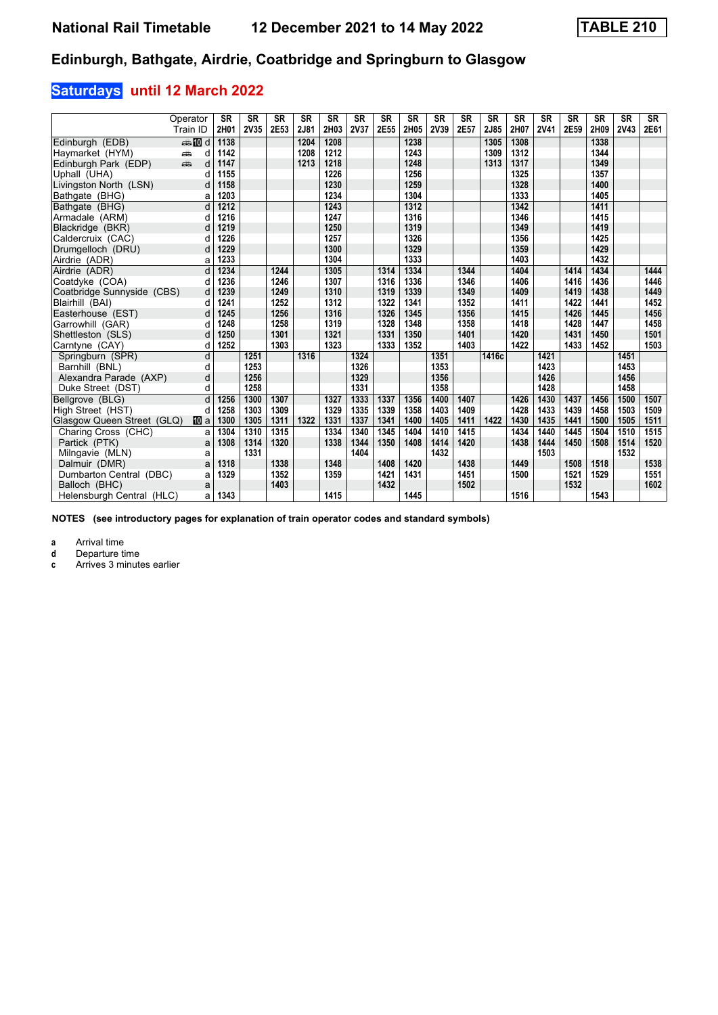### **Saturdays until 12 March 2022**

|                            | Operator        | <b>SR</b> | <b>SR</b> | <b>SR</b> | <b>SR</b> | <b>SR</b> | <b>SR</b>   | <b>SR</b> | <b>SR</b> | <b>SR</b> | <b>SR</b> | <b>SR</b> | <b>SR</b> | <b>SR</b>   | <b>SR</b> | <b>SR</b> | <b>SR</b> | <b>SR</b> |
|----------------------------|-----------------|-----------|-----------|-----------|-----------|-----------|-------------|-----------|-----------|-----------|-----------|-----------|-----------|-------------|-----------|-----------|-----------|-----------|
|                            | Train ID        | 2H01      | 2V35      | 2E53      | 2J81      | 2H03      | <b>2V37</b> | 2E55      | 2H05      | 2V39      | 2E57      | 2J85      | 2H07      | <b>2V41</b> | 2E59      | 2H09      | 2V43      | 2E61      |
| Edinburgh (EDB)            | <b>ential</b> d | 1138      |           |           | 1204      | 1208      |             |           | 1238      |           |           | 1305      | 1308      |             |           | 1338      |           |           |
| Haymarket (HYM)            | d<br>پیش        | 1142      |           |           | 1208      | 1212      |             |           | 1243      |           |           | 1309      | 1312      |             |           | 1344      |           |           |
| Edinburgh Park (EDP)       | پيش<br>d        | 1147      |           |           | 1213      | 1218      |             |           | 1248      |           |           | 1313      | 1317      |             |           | 1349      |           |           |
| Uphall (UHA)               | d               | 1155      |           |           |           | 1226      |             |           | 1256      |           |           |           | 1325      |             |           | 1357      |           |           |
| Livingston North (LSN)     | d               | 1158      |           |           |           | 1230      |             |           | 1259      |           |           |           | 1328      |             |           | 1400      |           |           |
| Bathgate (BHG)             | a               | 1203      |           |           |           | 1234      |             |           | 1304      |           |           |           | 1333      |             |           | 1405      |           |           |
| Bathgate (BHG)             | d               | 1212      |           |           |           | 1243      |             |           | 1312      |           |           |           | 1342      |             |           | 1411      |           |           |
| Armadale (ARM)             | d               | 1216      |           |           |           | 1247      |             |           | 1316      |           |           |           | 1346      |             |           | 1415      |           |           |
| Blackridge (BKR)           | d               | 1219      |           |           |           | 1250      |             |           | 1319      |           |           |           | 1349      |             |           | 1419      |           |           |
| Caldercruix (CAC)          | d               | 1226      |           |           |           | 1257      |             |           | 1326      |           |           |           | 1356      |             |           | 1425      |           |           |
| Drumgelloch (DRU)          | d               | 1229      |           |           |           | 1300      |             |           | 1329      |           |           |           | 1359      |             |           | 1429      |           |           |
| Airdrie (ADR)              | a               | 1233      |           |           |           | 1304      |             |           | 1333      |           |           |           | 1403      |             |           | 1432      |           |           |
| Airdrie (ADR)              | d               | 1234      |           | 1244      |           | 1305      |             | 1314      | 1334      |           | 1344      |           | 1404      |             | 1414      | 1434      |           | 1444      |
| Coatdyke (COA)             | d               | 1236      |           | 1246      |           | 1307      |             | 1316      | 1336      |           | 1346      |           | 1406      |             | 1416      | 1436      |           | 1446      |
| Coatbridge Sunnyside (CBS) | d               | 1239      |           | 1249      |           | 1310      |             | 1319      | 1339      |           | 1349      |           | 1409      |             | 1419      | 1438      |           | 1449      |
| Blairhill (BAI)            | d               | 1241      |           | 1252      |           | 1312      |             | 1322      | 1341      |           | 1352      |           | 1411      |             | 1422      | 1441      |           | 1452      |
| Easterhouse (EST)          | d               | 1245      |           | 1256      |           | 1316      |             | 1326      | 1345      |           | 1356      |           | 1415      |             | 1426      | 1445      |           | 1456      |
| Garrowhill (GAR)           | d               | 1248      |           | 1258      |           | 1319      |             | 1328      | 1348      |           | 1358      |           | 1418      |             | 1428      | 1447      |           | 1458      |
| Shettleston (SLS)          | d               | 1250      |           | 1301      |           | 1321      |             | 1331      | 1350      |           | 1401      |           | 1420      |             | 1431      | 1450      |           | 1501      |
| Carntyne (CAY)             | d               | 1252      |           | 1303      |           | 1323      |             | 1333      | 1352      |           | 1403      |           | 1422      |             | 1433      | 1452      |           | 1503      |
| Springburn (SPR)           | d               |           | 1251      |           | 1316      |           | 1324        |           |           | 1351      |           | 1416c     |           | 1421        |           |           | 1451      |           |
| Barnhill (BNL)             | d               |           | 1253      |           |           |           | 1326        |           |           | 1353      |           |           |           | 1423        |           |           | 1453      |           |
| Alexandra Parade (AXP)     | d               |           | 1256      |           |           |           | 1329        |           |           | 1356      |           |           |           | 1426        |           |           | 1456      |           |
| Duke Street (DST)          | d               |           | 1258      |           |           |           | 1331        |           |           | 1358      |           |           |           | 1428        |           |           | 1458      |           |
| Bellarove (BLG)            | d               | 1256      | 1300      | 1307      |           | 1327      | 1333        | 1337      | 1356      | 1400      | 1407      |           | 1426      | 1430        | 1437      | 1456      | 1500      | 1507      |
| High Street (HST)          | d               | 1258      | 1303      | 1309      |           | 1329      | 1335        | 1339      | 1358      | 1403      | 1409      |           | 1428      | 1433        | 1439      | 1458      | 1503      | 1509      |
| Glasgow Queen Street (GLQ) | <b>ID</b> a     | 1300      | 1305      | 1311      | 1322      | 1331      | 1337        | 1341      | 1400      | 1405      | 1411      | 1422      | 1430      | 1435        | 1441      | 1500      | 1505      | 1511      |
| Charing Cross (CHC)        | a               | 1304      | 1310      | 1315      |           | 1334      | 1340        | 1345      | 1404      | 1410      | 1415      |           | 1434      | 1440        | 1445      | 1504      | 1510      | 1515      |
| Partick (PTK)              | a               | 1308      | 1314      | 1320      |           | 1338      | 1344        | 1350      | 1408      | 1414      | 1420      |           | 1438      | 1444        | 1450      | 1508      | 1514      | 1520      |
| Milngavie (MLN)            | a               |           | 1331      |           |           |           | 1404        |           |           | 1432      |           |           |           | 1503        |           |           | 1532      |           |
| Dalmuir (DMR)              | a               | 1318      |           | 1338      |           | 1348      |             | 1408      | 1420      |           | 1438      |           | 1449      |             | 1508      | 1518      |           | 1538      |
| Dumbarton Central (DBC)    | a               | 1329      |           | 1352      |           | 1359      |             | 1421      | 1431      |           | 1451      |           | 1500      |             | 1521      | 1529      |           | 1551      |
| Balloch (BHC)              | a               |           |           | 1403      |           |           |             | 1432      |           |           | 1502      |           |           |             | 1532      |           |           | 1602      |
| Helensburgh Central (HLC)  | a               | 1343      |           |           |           | 1415      |             |           | 1445      |           |           |           | 1516      |             |           | 1543      |           |           |

**NOTES (see introductory pages for explanation of train operator codes and standard symbols)**

**a** Arrival time<br>**d** Departure ti

**d** Departure time<br>**c** Arrives 3 minute

**c** Arrives 3 minutes earlier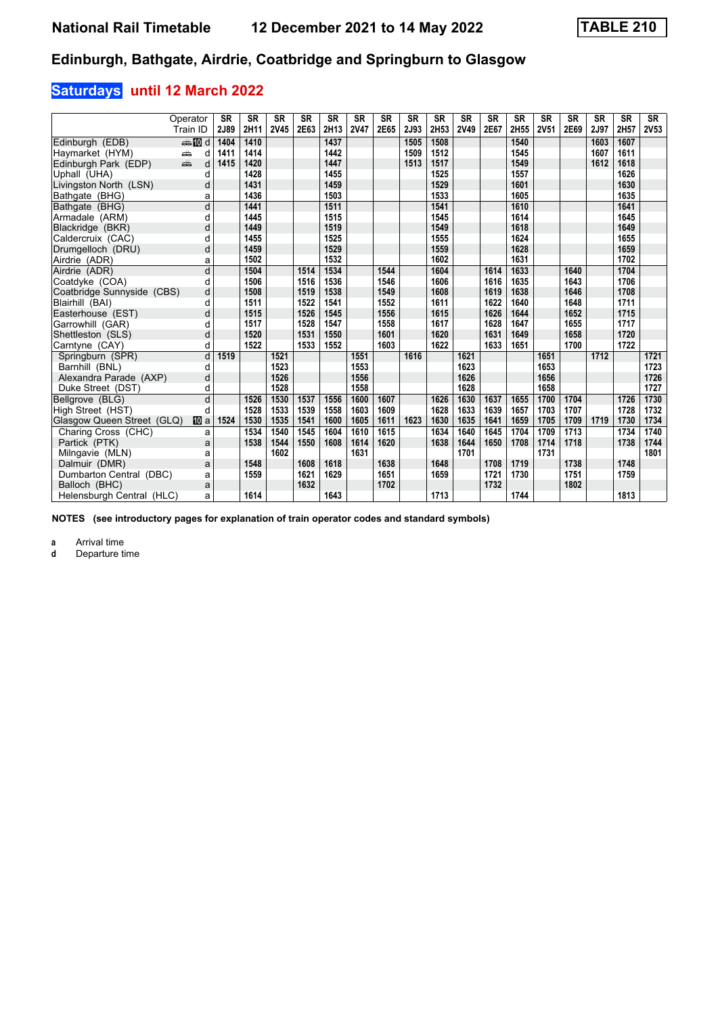# **Saturdays until 12 March 2022**

|                            | Operator       | <b>SR</b> | <b>SR</b> | <b>SR</b> | <b>SR</b> | <b>SR</b> | <b>SR</b>   | <b>SR</b> | <b>SR</b> | <b>SR</b> | <b>SR</b>   | <b>SR</b> | <b>SR</b> | <b>SR</b>   | <b>SR</b> | <b>SR</b> | <b>SR</b> | <b>SR</b> |
|----------------------------|----------------|-----------|-----------|-----------|-----------|-----------|-------------|-----------|-----------|-----------|-------------|-----------|-----------|-------------|-----------|-----------|-----------|-----------|
|                            | Train ID       | 2J89      | 2H11      | 2V45      | 2E63      | 2H13      | <b>2V47</b> | 2E65      | 2J93      | 2H53      | <b>2V49</b> | 2E67      | 2H55      | <b>2V51</b> | 2E69      | 2J97      | 2H57      | 2V53      |
| Edinburgh (EDB)            | <b>et 10</b> d | 1404      | 1410      |           |           | 1437      |             |           | 1505      | 1508      |             |           | 1540      |             |           | 1603      | 1607      |           |
| Haymarket (HYM)            | پیش<br>d       | 1411      | 1414      |           |           | 1442      |             |           | 1509      | 1512      |             |           | 1545      |             |           | 1607      | 1611      |           |
| Edinburgh Park (EDP)       | dù<br>d        | 1415      | 1420      |           |           | 1447      |             |           | 1513      | 1517      |             |           | 1549      |             |           | 1612      | 1618      |           |
| Uphall (UHA)               | d              |           | 1428      |           |           | 1455      |             |           |           | 1525      |             |           | 1557      |             |           |           | 1626      |           |
| Livingston North (LSN)     | d              |           | 1431      |           |           | 1459      |             |           |           | 1529      |             |           | 1601      |             |           |           | 1630      |           |
| Bathgate (BHG)             | а              |           | 1436      |           |           | 1503      |             |           |           | 1533      |             |           | 1605      |             |           |           | 1635      |           |
| Bathgate (BHG)             | d              |           | 1441      |           |           | 1511      |             |           |           | 1541      |             |           | 1610      |             |           |           | 1641      |           |
| Armadale (ARM)             | d              |           | 1445      |           |           | 1515      |             |           |           | 1545      |             |           | 1614      |             |           |           | 1645      |           |
| Blackridge (BKR)           | d              |           | 1449      |           |           | 1519      |             |           |           | 1549      |             |           | 1618      |             |           |           | 1649      |           |
| Caldercruix (CAC)          | d              |           | 1455      |           |           | 1525      |             |           |           | 1555      |             |           | 1624      |             |           |           | 1655      |           |
| Drumgelloch (DRU)          | d              |           | 1459      |           |           | 1529      |             |           |           | 1559      |             |           | 1628      |             |           |           | 1659      |           |
| Airdrie (ADR)              | a              |           | 1502      |           |           | 1532      |             |           |           | 1602      |             |           | 1631      |             |           |           | 1702      |           |
| Airdrie (ADR)              | d              |           | 1504      |           | 1514      | 1534      |             | 1544      |           | 1604      |             | 1614      | 1633      |             | 1640      |           | 1704      |           |
| Coatdyke (COA)             | d              |           | 1506      |           | 1516      | 1536      |             | 1546      |           | 1606      |             | 1616      | 1635      |             | 1643      |           | 1706      |           |
| Coatbridge Sunnyside (CBS) | d              |           | 1508      |           | 1519      | 1538      |             | 1549      |           | 1608      |             | 1619      | 1638      |             | 1646      |           | 1708      |           |
| Blairhill (BAI)            | d              |           | 1511      |           | 1522      | 1541      |             | 1552      |           | 1611      |             | 1622      | 1640      |             | 1648      |           | 1711      |           |
| Easterhouse (EST)          | d              |           | 1515      |           | 1526      | 1545      |             | 1556      |           | 1615      |             | 1626      | 1644      |             | 1652      |           | 1715      |           |
| Garrowhill (GAR)           | d              |           | 1517      |           | 1528      | 1547      |             | 1558      |           | 1617      |             | 1628      | 1647      |             | 1655      |           | 1717      |           |
| Shettleston (SLS)          | d              |           | 1520      |           | 1531      | 1550      |             | 1601      |           | 1620      |             | 1631      | 1649      |             | 1658      |           | 1720      |           |
| Carntyne (CAY)             | d              |           | 1522      |           | 1533      | 1552      |             | 1603      |           | 1622      |             | 1633      | 1651      |             | 1700      |           | 1722      |           |
| Springburn (SPR)           | d              | 1519      |           | 1521      |           |           | 1551        |           | 1616      |           | 1621        |           |           | 1651        |           | 1712      |           | 1721      |
| Barnhill (BNL)             | d              |           |           | 1523      |           |           | 1553        |           |           |           | 1623        |           |           | 1653        |           |           |           | 1723      |
| Alexandra Parade (AXP)     | d              |           |           | 1526      |           |           | 1556        |           |           |           | 1626        |           |           | 1656        |           |           |           | 1726      |
| Duke Street (DST)          | d              |           |           | 1528      |           |           | 1558        |           |           |           | 1628        |           |           | 1658        |           |           |           | 1727      |
| Bellarove (BLG)            | d              |           | 1526      | 1530      | 1537      | 1556      | 1600        | 1607      |           | 1626      | 1630        | 1637      | 1655      | 1700        | 1704      |           | 1726      | 1730      |
| High Street (HST)          | d              |           | 1528      | 1533      | 1539      | 1558      | 1603        | 1609      |           | 1628      | 1633        | 1639      | 1657      | 1703        | 1707      |           | 1728      | 1732      |
| Glasgow Queen Street (GLQ) | <b>ID</b> a    | 1524      | 1530      | 1535      | 1541      | 1600      | 1605        | 1611      | 1623      | 1630      | 1635        | 1641      | 1659      | 1705        | 1709      | 1719      | 1730      | 1734      |
| Charing Cross (CHC)        | a              |           | 1534      | 1540      | 1545      | 1604      | 1610        | 1615      |           | 1634      | 1640        | 1645      | 1704      | 1709        | 1713      |           | 1734      | 1740      |
| Partick (PTK)              | a              |           | 1538      | 1544      | 1550      | 1608      | 1614        | 1620      |           | 1638      | 1644        | 1650      | 1708      | 1714        | 1718      |           | 1738      | 1744      |
| Milngavie (MLN)            | a              |           |           | 1602      |           |           | 1631        |           |           |           | 1701        |           |           | 1731        |           |           |           | 1801      |
| Dalmuir (DMR)              | a              |           | 1548      |           | 1608      | 1618      |             | 1638      |           | 1648      |             | 1708      | 1719      |             | 1738      |           | 1748      |           |
| Dumbarton Central (DBC)    | a              |           | 1559      |           | 1621      | 1629      |             | 1651      |           | 1659      |             | 1721      | 1730      |             | 1751      |           | 1759      |           |
| Balloch (BHC)              | a              |           |           |           | 1632      |           |             | 1702      |           |           |             | 1732      |           |             | 1802      |           |           |           |
| Helensburgh Central (HLC)  | a              |           | 1614      |           |           | 1643      |             |           |           | 1713      |             |           | 1744      |             |           |           | 1813      |           |

**NOTES (see introductory pages for explanation of train operator codes and standard symbols)**

**a** Arrival time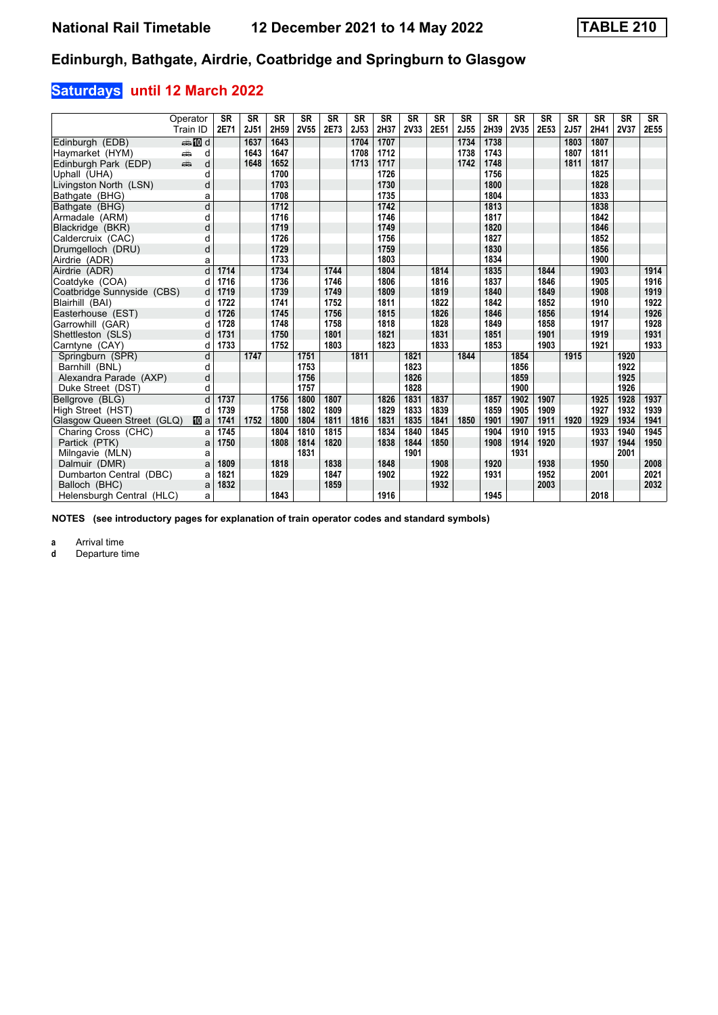# **Saturdays until 12 March 2022**

|                            | Operator<br>Train ID | <b>SR</b><br>2E71 | <b>SR</b><br>2J51 | <b>SR</b><br>2H59 | <b>SR</b><br>2V55 | <b>SR</b><br>2E73 | <b>SR</b><br>2J53 | <b>SR</b><br>2H37 | <b>SR</b><br>2V33 | <b>SR</b><br>2E51 | <b>SR</b><br>2J55 | <b>SR</b><br>2H39 | <b>SR</b><br>2V35 | <b>SR</b><br>2E53 | <b>SR</b><br>2J57 | <b>SR</b><br>2H41 | <b>SR</b><br><b>2V37</b> | <b>SR</b><br>2E55 |
|----------------------------|----------------------|-------------------|-------------------|-------------------|-------------------|-------------------|-------------------|-------------------|-------------------|-------------------|-------------------|-------------------|-------------------|-------------------|-------------------|-------------------|--------------------------|-------------------|
| Edinburgh (EDB)            | <b>et 10</b> d       |                   | 1637              | 1643              |                   |                   | 1704              | 1707              |                   |                   | 1734              | 1738              |                   |                   | 1803              | 1807              |                          |                   |
| Haymarket (HYM)            | d<br>پیش             |                   | 1643              | 1647              |                   |                   | 1708              | 1712              |                   |                   | 1738              | 1743              |                   |                   | 1807              | 1811              |                          |                   |
| Edinburgh Park (EDP)       | aîn.<br>d            |                   | 1648              | 1652              |                   |                   | 1713              | 1717              |                   |                   | 1742              | 1748              |                   |                   | 1811              | 1817              |                          |                   |
| Uphall (UHA)               | d                    |                   |                   | 1700              |                   |                   |                   | 1726              |                   |                   |                   | 1756              |                   |                   |                   | 1825              |                          |                   |
| Livingston North (LSN)     | d                    |                   |                   | 1703              |                   |                   |                   | 1730              |                   |                   |                   | 1800              |                   |                   |                   | 1828              |                          |                   |
| Bathgate (BHG)             | a                    |                   |                   | 1708              |                   |                   |                   | 1735              |                   |                   |                   | 1804              |                   |                   |                   | 1833              |                          |                   |
| Bathgate (BHG)             | d                    |                   |                   | 1712              |                   |                   |                   | 1742              |                   |                   |                   | 1813              |                   |                   |                   | 1838              |                          |                   |
| Armadale (ARM)             | d                    |                   |                   | 1716              |                   |                   |                   | 1746              |                   |                   |                   | 1817              |                   |                   |                   | 1842              |                          |                   |
| Blackridge (BKR)           | d                    |                   |                   | 1719              |                   |                   |                   | 1749              |                   |                   |                   | 1820              |                   |                   |                   | 1846              |                          |                   |
| Caldercruix (CAC)          | d                    |                   |                   | 1726              |                   |                   |                   | 1756              |                   |                   |                   | 1827              |                   |                   |                   | 1852              |                          |                   |
| Drumgelloch (DRU)          | d                    |                   |                   | 1729              |                   |                   |                   | 1759              |                   |                   |                   | 1830              |                   |                   |                   | 1856              |                          |                   |
| Airdrie (ADR)              | a                    |                   |                   | 1733              |                   |                   |                   | 1803              |                   |                   |                   | 1834              |                   |                   |                   | 1900              |                          |                   |
| Airdrie (ADR)              | d                    | 1714              |                   | 1734              |                   | 1744              |                   | 1804              |                   | 1814              |                   | 1835              |                   | 1844              |                   | 1903              |                          | 1914              |
| Coatdyke (COA)             | d                    | 1716              |                   | 1736              |                   | 1746              |                   | 1806              |                   | 1816              |                   | 1837              |                   | 1846              |                   | 1905              |                          | 1916              |
| Coatbridge Sunnyside (CBS) | d                    | 1719              |                   | 1739              |                   | 1749              |                   | 1809              |                   | 1819              |                   | 1840              |                   | 1849              |                   | 1908              |                          | 1919              |
| Blairhill (BAI)            | d                    | 1722              |                   | 1741              |                   | 1752              |                   | 1811              |                   | 1822              |                   | 1842              |                   | 1852              |                   | 1910              |                          | 1922              |
| Easterhouse (EST)          | d                    | 1726              |                   | 1745              |                   | 1756              |                   | 1815              |                   | 1826              |                   | 1846              |                   | 1856              |                   | 1914              |                          | 1926              |
| Garrowhill (GAR)           | d                    | 1728              |                   | 1748              |                   | 1758              |                   | 1818              |                   | 1828              |                   | 1849              |                   | 1858              |                   | 1917              |                          | 1928              |
| Shettleston (SLS)          | d                    | 1731              |                   | 1750              |                   | 1801              |                   | 1821              |                   | 1831              |                   | 1851              |                   | 1901              |                   | 1919              |                          | 1931              |
| Carntyne (CAY)             | d                    | 1733              |                   | 1752              |                   | 1803              |                   | 1823              |                   | 1833              |                   | 1853              |                   | 1903              |                   | 1921              |                          | 1933              |
| Springburn (SPR)           | d                    |                   | 1747              |                   | 1751              |                   | 1811              |                   | 1821              |                   | 1844              |                   | 1854              |                   | 1915              |                   | 1920                     |                   |
| Barnhill (BNL)             | d                    |                   |                   |                   | 1753              |                   |                   |                   | 1823              |                   |                   |                   | 1856              |                   |                   |                   | 1922                     |                   |
| Alexandra Parade (AXP)     | d                    |                   |                   |                   | 1756              |                   |                   |                   | 1826              |                   |                   |                   | 1859              |                   |                   |                   | 1925                     |                   |
| Duke Street (DST)          | d                    |                   |                   |                   | 1757              |                   |                   |                   | 1828              |                   |                   |                   | 1900              |                   |                   |                   | 1926                     |                   |
| Bellarove (BLG)            | d                    | 1737              |                   | 1756              | 1800              | 1807              |                   | 1826              | 1831              | 1837              |                   | 1857              | 1902              | 1907              |                   | 1925              | 1928                     | 1937              |
| High Street (HST)          | d                    | 1739              |                   | 1758              | 1802              | 1809              |                   | 1829              | 1833              | 1839              |                   | 1859              | 1905              | 1909              |                   | 1927              | 1932                     | 1939              |
| Glasgow Queen Street (GLQ) | 100 a                | 1741              | 1752              | 1800              | 1804              | 1811              | 1816              | 1831              | 1835              | 1841              | 1850              | 1901              | 1907              | 1911              | 1920              | 1929              | 1934                     | 1941              |
| Charing Cross (CHC)        | a                    | 1745              |                   | 1804              | 1810              | 1815              |                   | 1834              | 1840              | 1845              |                   | 1904              | 1910              | 1915              |                   | 1933              | 1940                     | 1945              |
| Partick (PTK)              | a                    | 1750              |                   | 1808              | 1814              | 1820              |                   | 1838              | 1844              | 1850              |                   | 1908              | 1914              | 1920              |                   | 1937              | 1944                     | 1950              |
| Milngavie (MLN)            | a                    |                   |                   |                   | 1831              |                   |                   |                   | 1901              |                   |                   |                   | 1931              |                   |                   |                   | 2001                     |                   |
| Dalmuir (DMR)              | a                    | 1809              |                   | 1818              |                   | 1838              |                   | 1848              |                   | 1908              |                   | 1920              |                   | 1938              |                   | 1950              |                          | 2008              |
| Dumbarton Central (DBC)    | a                    | 1821              |                   | 1829              |                   | 1847              |                   | 1902              |                   | 1922              |                   | 1931              |                   | 1952              |                   | 2001              |                          | 2021              |
| Balloch (BHC)              | a                    | 1832              |                   |                   |                   | 1859              |                   |                   |                   | 1932              |                   |                   |                   | 2003              |                   |                   |                          | 2032              |
| Helensburgh Central (HLC)  | a                    |                   |                   | 1843              |                   |                   |                   | 1916              |                   |                   |                   | 1945              |                   |                   |                   | 2018              |                          |                   |

**NOTES (see introductory pages for explanation of train operator codes and standard symbols)**

**a** Arrival time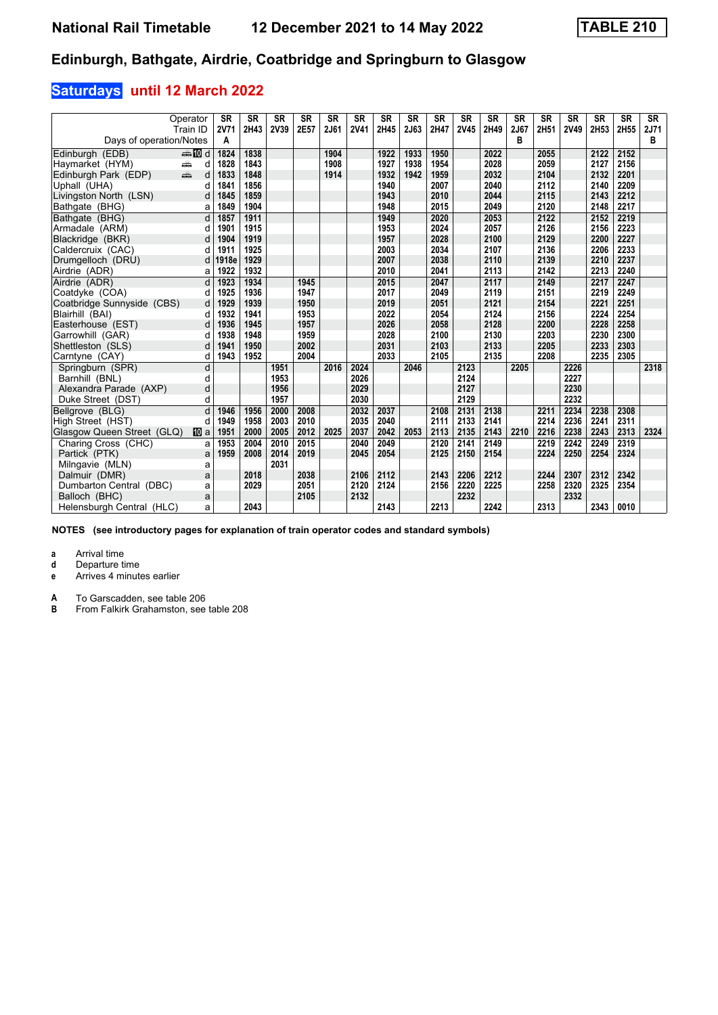### **Saturdays until 12 March 2022**

| Operator<br>Train ID              | <b>SR</b><br><b>2V71</b> | <b>SR</b><br>2H43 | <b>SR</b><br>2V39 | <b>SR</b><br>2E57 | <b>SR</b><br>2J61 | <b>SR</b><br><b>2V41</b> | <b>SR</b><br>2H45 | <b>SR</b><br>2J63 | <b>SR</b><br>2H47 | <b>SR</b><br>2V45 | <b>SR</b><br>2H49 | <b>SR</b><br>2J67 | <b>SR</b><br>2H51 | <b>SR</b><br><b>2V49</b> | <b>SR</b><br>2H53 | <b>SR</b><br>2H55 | <b>SR</b><br><b>2J71</b> |
|-----------------------------------|--------------------------|-------------------|-------------------|-------------------|-------------------|--------------------------|-------------------|-------------------|-------------------|-------------------|-------------------|-------------------|-------------------|--------------------------|-------------------|-------------------|--------------------------|
| Days of operation/Notes           | A                        |                   |                   |                   |                   |                          |                   |                   |                   |                   |                   | в                 |                   |                          |                   |                   | в                        |
| <b>⊯Md</b><br>Edinburgh (EDB)     | 1824                     | 1838              |                   |                   | 1904              |                          | 1922              | 1933              | 1950              |                   | 2022              |                   | 2055              |                          | 2122              | 2152              |                          |
| Haymarket (HYM)<br>d<br>پیش       | 1828                     | 1843              |                   |                   | 1908              |                          | 1927              | 1938              | 1954              |                   | 2028              |                   | 2059              |                          | 2127              | 2156              |                          |
| añ.<br>Edinburgh Park (EDP)<br>d  | 1833                     | 1848              |                   |                   | 1914              |                          | 1932              | 1942              | 1959              |                   | 2032              |                   | 2104              |                          | 2132              | 2201              |                          |
| Uphall (UHA)<br>d                 | 1841                     | 1856              |                   |                   |                   |                          | 1940              |                   | 2007              |                   | 2040              |                   | 2112              |                          | 2140              | 2209              |                          |
| Livingston North (LSN)<br>d       | 1845                     | 1859              |                   |                   |                   |                          | 1943              |                   | 2010              |                   | 2044              |                   | 2115              |                          | 2143              | 2212              |                          |
| Bathgate (BHG)<br>a               | 1849                     | 1904              |                   |                   |                   |                          | 1948              |                   | 2015              |                   | 2049              |                   | 2120              |                          | 2148              | 2217              |                          |
| d<br>Bathgate (BHG)               | 1857                     | 1911              |                   |                   |                   |                          | 1949              |                   | 2020              |                   | 2053              |                   | 2122              |                          | 2152              | 2219              |                          |
| Armadale (ARM)<br>d               | 1901                     | 1915              |                   |                   |                   |                          | 1953              |                   | 2024              |                   | 2057              |                   | 2126              |                          | 2156              | 2223              |                          |
| Blackridge (BKR)<br>d             | 1904                     | 1919              |                   |                   |                   |                          | 1957              |                   | 2028              |                   | 2100              |                   | 2129              |                          | 2200              | 2227              |                          |
| Caldercruix (CAC)<br>d            | 1911                     | 1925              |                   |                   |                   |                          | 2003              |                   | 2034              |                   | 2107              |                   | 2136              |                          | 2206              | 2233              |                          |
| Drumgelloch (DRU)<br>d            | 1918e                    | 1929              |                   |                   |                   |                          | 2007              |                   | 2038              |                   | 2110              |                   | 2139              |                          | 2210              | 2237              |                          |
| Airdrie (ADR)<br>a                | 1922                     | 1932              |                   |                   |                   |                          | 2010              |                   | 2041              |                   | 2113              |                   | 2142              |                          | 2213              | 2240              |                          |
| Airdrie (ADR)<br>d                | 1923                     | 1934              |                   | 1945              |                   |                          | 2015              |                   | 2047              |                   | 2117              |                   | 2149              |                          | 2217              | 2247              |                          |
| Coatdyke (COA)<br>d               | 1925                     | 1936              |                   | 1947              |                   |                          | 2017              |                   | 2049              |                   | 2119              |                   | 2151              |                          | 2219              | 2249              |                          |
| Coatbridge Sunnyside (CBS)<br>d   | 1929                     | 1939              |                   | 1950              |                   |                          | 2019              |                   | 2051              |                   | 2121              |                   | 2154              |                          | 2221              | 2251              |                          |
| Blairhill (BAI)<br>d              | 1932                     | 1941              |                   | 1953              |                   |                          | 2022              |                   | 2054              |                   | 2124              |                   | 2156              |                          | 2224              | 2254              |                          |
| Easterhouse (EST)<br>d            | 1936                     | 1945              |                   | 1957              |                   |                          | 2026              |                   | 2058              |                   | 2128              |                   | 2200              |                          | 2228              | 2258              |                          |
| Garrowhill (GAR)<br>d             | 1938                     | 1948              |                   | 1959              |                   |                          | 2028              |                   | 2100              |                   | 2130              |                   | 2203              |                          | 2230              | 2300              |                          |
| Shettleston (SLS)<br>d            | 1941                     | 1950              |                   | 2002              |                   |                          | 2031              |                   | 2103              |                   | 2133              |                   | 2205              |                          | 2233              | 2303              |                          |
| Carntyne (CAY)<br>d               | 1943                     | 1952              |                   | 2004              |                   |                          | 2033              |                   | 2105              |                   | 2135              |                   | 2208              |                          | 2235              | 2305              |                          |
| d<br>Springburn (SPR)             |                          |                   | 1951              |                   | 2016              | 2024                     |                   | 2046              |                   | 2123              |                   | 2205              |                   | 2226                     |                   |                   | 2318                     |
| Barnhill (BNL)<br>d               |                          |                   | 1953              |                   |                   | 2026                     |                   |                   |                   | 2124              |                   |                   |                   | 2227                     |                   |                   |                          |
| d<br>Alexandra Parade (AXP)       |                          |                   | 1956              |                   |                   | 2029                     |                   |                   |                   | 2127              |                   |                   |                   | 2230                     |                   |                   |                          |
| Duke Street (DST)<br>d            |                          |                   | 1957              |                   |                   | 2030                     |                   |                   |                   | 2129              |                   |                   |                   | 2232                     |                   |                   |                          |
| d<br>Bellarove (BLG)              | 1946                     | 1956              | 2000              | 2008              |                   | 2032                     | 2037              |                   | 2108              | 2131              | 2138              |                   | 2211              | 2234                     | 2238              | 2308              |                          |
| High Street (HST)<br>d            | 1949                     | 1958              | 2003              | 2010              |                   | 2035                     | 2040              |                   | 2111              | 2133              | 2141              |                   | 2214              | 2236                     | 2241              | 2311              |                          |
| Glasgow Queen Street (GLQ)<br>吅 a | 1951                     | 2000              | 2005              | 2012              | 2025              | 2037                     | 2042              | 2053              | 2113              | 2135              | 2143              | 2210              | 2216              | 2238                     | 2243              | 2313              | 2324                     |
| Charing Cross (CHC)<br>a          | 1953                     | 2004              | 2010              | 2015              |                   | 2040                     | 2049              |                   | 2120              | 2141              | 2149              |                   | 2219              | 2242                     | 2249              | 2319              |                          |
| Partick (PTK)<br>a                | 1959                     | 2008              | 2014              | 2019              |                   | 2045                     | 2054              |                   | 2125              | 2150              | 2154              |                   | 2224              | 2250                     | 2254              | 2324              |                          |
| Milngavie (MLN)<br>a              |                          |                   | 2031              |                   |                   |                          |                   |                   |                   |                   |                   |                   |                   |                          |                   |                   |                          |
| Dalmuir (DMR)<br>a                |                          | 2018              |                   | 2038              |                   | 2106                     | 2112              |                   | 2143              | 2206              | 2212              |                   | 2244              | 2307                     | 2312              | 2342              |                          |
| Dumbarton Central (DBC)<br>a      |                          | 2029              |                   | 2051              |                   | 2120                     | 2124              |                   | 2156              | 2220              | 2225              |                   | 2258              | 2320                     | 2325              | 2354              |                          |
| Balloch (BHC)<br>a                |                          |                   |                   | 2105              |                   | 2132                     |                   |                   |                   | 2232              |                   |                   |                   | 2332                     |                   |                   |                          |
| Helensburgh Central (HLC)<br>a    |                          | 2043              |                   |                   |                   |                          | 2143              |                   | 2213              |                   | 2242              |                   | 2313              |                          | 2343              | 0010              |                          |

**NOTES (see introductory pages for explanation of train operator codes and standard symbols)**

**a** Arrival time<br>**d** Departure t

**d** Departure time

**EXECUTE:** Arrives 4 minutes earlier

**A** To Garscadden, see table 206<br>**B** From Falkirk Grahamston, see

**B** From Falkirk Grahamston, see table 208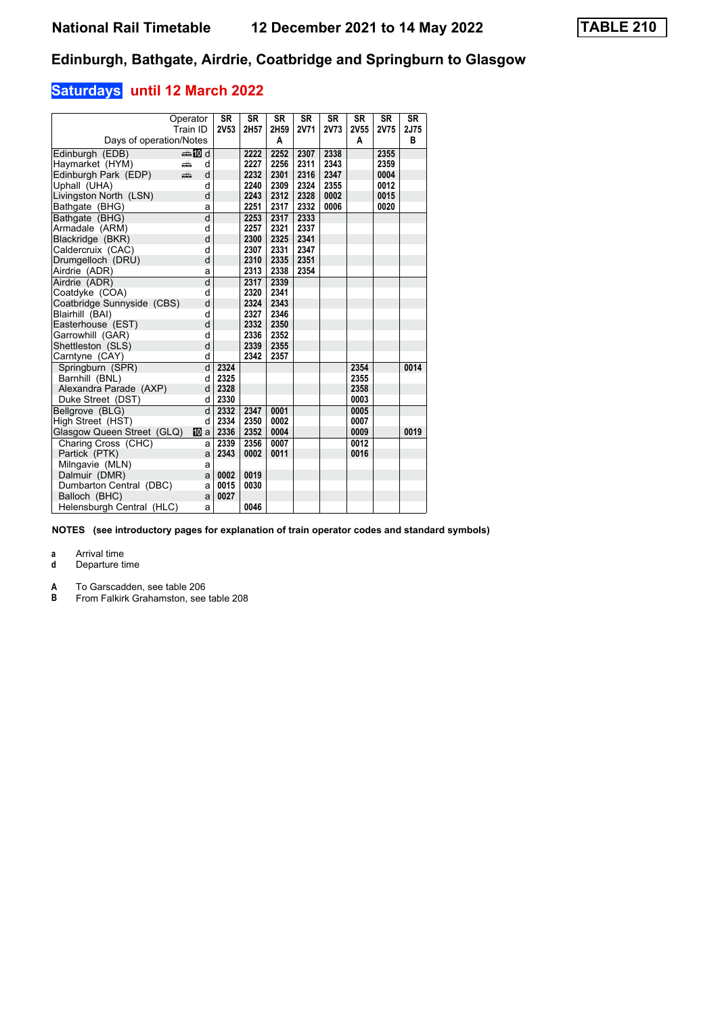### **Saturdays until 12 March 2022**

|                            | Operator<br>Train ID                                                                                                                                                                                                                | <b>SR</b><br><b>2V53</b> | <b>SR</b><br>2H57 | <b>SR</b><br>2H59 | <b>SR</b><br><b>2V71</b> | <b>SR</b><br>2V73 | <b>SR</b><br><b>2V55</b> | <b>SR</b><br><b>2V75</b> | <b>SR</b><br>2J75 |
|----------------------------|-------------------------------------------------------------------------------------------------------------------------------------------------------------------------------------------------------------------------------------|--------------------------|-------------------|-------------------|--------------------------|-------------------|--------------------------|--------------------------|-------------------|
| Days of operation/Notes    |                                                                                                                                                                                                                                     |                          |                   | A                 |                          |                   | A                        |                          | B                 |
| Edinburgh (EDB)            | dan <b>in</b> d                                                                                                                                                                                                                     |                          | 2222              | 2252              | 2307                     | 2338              |                          | 2355                     |                   |
| Haymarket (HYM)            | d<br>پېښ                                                                                                                                                                                                                            |                          | 2227              | 2256              | 2311                     | 2343              |                          | 2359                     |                   |
| Edinburgh Park (EDP)       | and and the second set of the set of the set of the set of the set of the set of the set of the set of the set of the set of the set of the set of the set of the set of the set of the set of the set of the set of the set o<br>d |                          | 2232              | 2301              | 2316                     | 2347              |                          | 0004                     |                   |
| Uphall (UHA)               | d                                                                                                                                                                                                                                   |                          | 2240              | 2309              | 2324                     | 2355              |                          | 0012                     |                   |
| Livingston North (LSN)     | d                                                                                                                                                                                                                                   |                          | 2243              | 2312              | 2328                     | 0002              |                          | 0015                     |                   |
| Bathgate (BHG)             | a                                                                                                                                                                                                                                   |                          | 2251              | 2317              | 2332                     | 0006              |                          | 0020                     |                   |
| Bathgate (BHG)             | d                                                                                                                                                                                                                                   |                          | 2253              | 2317              | 2333                     |                   |                          |                          |                   |
| Armadale (ARM)             | d                                                                                                                                                                                                                                   |                          | 2257              | 2321              | 2337                     |                   |                          |                          |                   |
| Blackridge (BKR)           | d                                                                                                                                                                                                                                   |                          | 2300              | 2325              | 2341                     |                   |                          |                          |                   |
| Caldercruix (CAC)          | d                                                                                                                                                                                                                                   |                          | 2307              | 2331              | 2347                     |                   |                          |                          |                   |
| Drumgelloch (DRU)          | d                                                                                                                                                                                                                                   |                          | 2310              | 2335              | 2351                     |                   |                          |                          |                   |
| Airdrie (ADR)              | a                                                                                                                                                                                                                                   |                          | 2313              | 2338              | 2354                     |                   |                          |                          |                   |
| Airdrie (ADR)              | $\overline{\mathsf{d}}$                                                                                                                                                                                                             |                          | 2317              | 2339              |                          |                   |                          |                          |                   |
| Coatdyke (COA)             | d                                                                                                                                                                                                                                   |                          | 2320              | 2341              |                          |                   |                          |                          |                   |
| Coatbridge Sunnyside (CBS) | d                                                                                                                                                                                                                                   |                          | 2324              | 2343              |                          |                   |                          |                          |                   |
| Blairhill (BAI)            | d                                                                                                                                                                                                                                   |                          | 2327              | 2346              |                          |                   |                          |                          |                   |
| Easterhouse (EST)          | d                                                                                                                                                                                                                                   |                          | 2332              | 2350              |                          |                   |                          |                          |                   |
| Garrowhill (GAR)           | d                                                                                                                                                                                                                                   |                          | 2336              | 2352              |                          |                   |                          |                          |                   |
| Shettleston (SLS)          | d                                                                                                                                                                                                                                   |                          | 2339              | 2355              |                          |                   |                          |                          |                   |
| Carntyne (CAY)             | d                                                                                                                                                                                                                                   |                          | 2342              | 2357              |                          |                   |                          |                          |                   |
| Springburn (SPR)           | $\overline{d}$                                                                                                                                                                                                                      | 2324                     |                   |                   |                          |                   | 2354                     |                          | 0014              |
| Barnhill (BNL)             | d                                                                                                                                                                                                                                   | 2325                     |                   |                   |                          |                   | 2355                     |                          |                   |
| Alexandra Parade (AXP)     | d                                                                                                                                                                                                                                   | 2328                     |                   |                   |                          |                   | 2358                     |                          |                   |
| Duke Street (DST)          | d                                                                                                                                                                                                                                   | 2330                     |                   |                   |                          |                   | 0003                     |                          |                   |
| Bellarove (BLG)            | d                                                                                                                                                                                                                                   | 2332                     | 2347              | 0001              |                          |                   | 0005                     |                          |                   |
| High Street (HST)          | d                                                                                                                                                                                                                                   | 2334                     | 2350              | 0002              |                          |                   | 0007                     |                          |                   |
| Glasgow Queen Street (GLQ) | <b>ID</b> al                                                                                                                                                                                                                        | 2336                     | 2352              | 0004              |                          |                   | 0009                     |                          | 0019              |
| Charing Cross (CHC)        | a                                                                                                                                                                                                                                   | 2339                     | 2356              | 0007              |                          |                   | 0012                     |                          |                   |
| Partick (PTK)              | a                                                                                                                                                                                                                                   | 2343                     | 0002              | 0011              |                          |                   | 0016                     |                          |                   |
| Milngavie (MLN)            | a                                                                                                                                                                                                                                   |                          |                   |                   |                          |                   |                          |                          |                   |
| Dalmuir (DMR)              | a                                                                                                                                                                                                                                   | 0002                     | 0019              |                   |                          |                   |                          |                          |                   |
| Dumbarton Central (DBC)    | a                                                                                                                                                                                                                                   | 0015                     | 0030              |                   |                          |                   |                          |                          |                   |
| Balloch (BHC)              | a                                                                                                                                                                                                                                   | 0027                     |                   |                   |                          |                   |                          |                          |                   |
| Helensburgh Central (HLC)  | a                                                                                                                                                                                                                                   |                          | 0046              |                   |                          |                   |                          |                          |                   |

**NOTES (see introductory pages for explanation of train operator codes and standard symbols)**

**a** Arrival time<br>**d** Departure t

**d** Departure time

 $\lambda$ **A** To Garscadden, see table 206<br>**B** From Falkirk Grahamston, see

**B** From Falkirk Grahamston, see table 208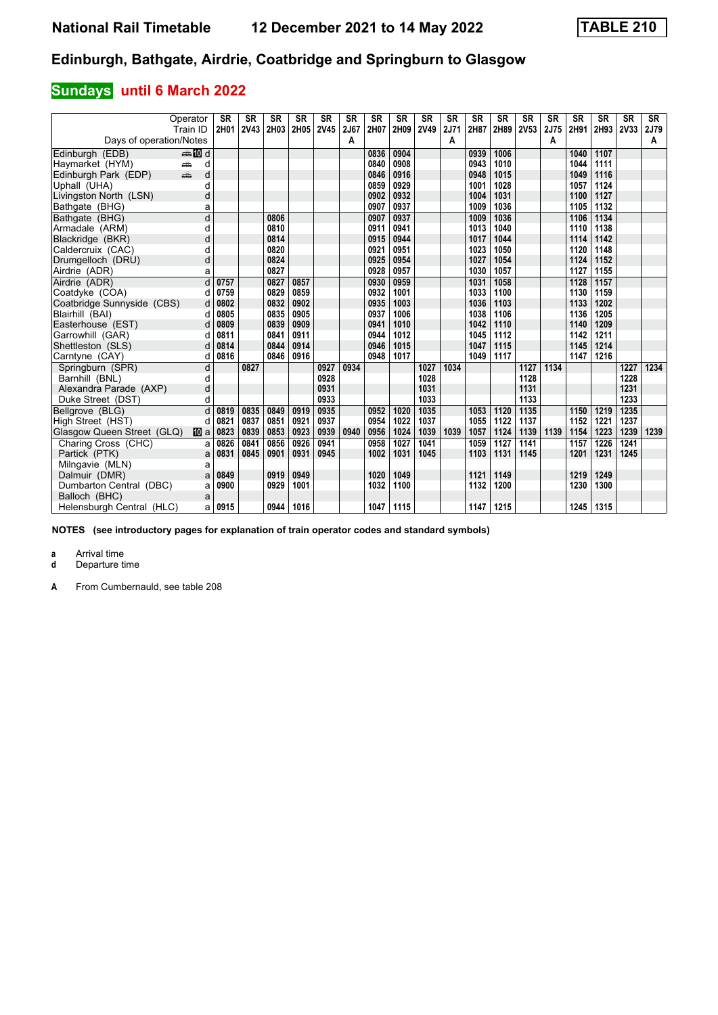### **Sundays until 6 March 2022**

| Operator<br>Train ID                | <b>SR</b><br>2H01 | <b>SR</b><br><b>2V43</b> | <b>SR</b><br>2H03 | <b>SR</b><br>2H05 | <b>SR</b><br>2V45 | <b>SR</b><br>2J67 | <b>SR</b><br>2H07 | <b>SR</b><br>2H09 | <b>SR</b><br><b>2V49</b> | <b>SR</b><br>2J71 | <b>SR</b><br>2H87 | <b>SR</b><br>2H89 | <b>SR</b><br><b>2V53</b> | <b>SR</b><br>2J75 | <b>SR</b><br>2H91 | <b>SR</b><br>2H93 | <b>SR</b><br><b>2V33</b> | <b>SR</b><br>2J79 |
|-------------------------------------|-------------------|--------------------------|-------------------|-------------------|-------------------|-------------------|-------------------|-------------------|--------------------------|-------------------|-------------------|-------------------|--------------------------|-------------------|-------------------|-------------------|--------------------------|-------------------|
| Days of operation/Notes             |                   |                          |                   |                   |                   | A                 |                   |                   |                          | A                 |                   |                   |                          | Α                 |                   |                   |                          | A                 |
| Edinburgh (EDB)<br><b>⊯Md</b>       |                   |                          |                   |                   |                   |                   | 0836              | 0904              |                          |                   | 0939              | 1006              |                          |                   | 1040              | 1107              |                          |                   |
| Haymarket (HYM)<br>d<br>پیش         |                   |                          |                   |                   |                   |                   | 0840              | 0908              |                          |                   | 0943              | 1010              |                          |                   | 1044              | 1111              |                          |                   |
| پيش<br>Edinburgh Park (EDP)<br>d    |                   |                          |                   |                   |                   |                   | 0846              | 0916              |                          |                   | 0948              | 1015              |                          |                   | 1049              | 1116              |                          |                   |
| Uphall (UHA)<br>d                   |                   |                          |                   |                   |                   |                   | 0859              | 0929              |                          |                   | 1001              | 1028              |                          |                   | 1057              | 1124              |                          |                   |
| Livingston North (LSN)<br>d         |                   |                          |                   |                   |                   |                   | 0902              | 0932              |                          |                   | 1004              | 1031              |                          |                   | 1100              | 1127              |                          |                   |
| Bathgate (BHG)<br>a                 |                   |                          |                   |                   |                   |                   | 0907              | 0937              |                          |                   | 1009              | 1036              |                          |                   | 1105              | 1132              |                          |                   |
| d<br>Bathgate (BHG)                 |                   |                          | 0806              |                   |                   |                   | 0907              | 0937              |                          |                   | 1009              | 1036              |                          |                   | 1106              | 1134              |                          |                   |
| Armadale (ARM)<br>d                 |                   |                          | 0810              |                   |                   |                   | 0911              | 0941              |                          |                   | 1013              | 1040              |                          |                   | 1110              | 1138              |                          |                   |
| Blackridge (BKR)<br>d               |                   |                          | 0814              |                   |                   |                   | 0915              | 0944              |                          |                   | 1017              | 1044              |                          |                   | 1114              | 1142              |                          |                   |
| Caldercruix (CAC)<br>d              |                   |                          | 0820              |                   |                   |                   | 0921              | 0951              |                          |                   | 1023              | 1050              |                          |                   | 1120              | 1148              |                          |                   |
| Drumgelloch (DRU)<br>d              |                   |                          | 0824              |                   |                   |                   | 0925              | 0954              |                          |                   | 1027              | 1054              |                          |                   | 1124              | 1152              |                          |                   |
| Airdrie (ADR)<br>a                  |                   |                          | 0827              |                   |                   |                   | 0928              | 0957              |                          |                   | 1030              | 1057              |                          |                   | 1127              | 1155              |                          |                   |
| d<br>Airdrie (ADR)                  | 0757              |                          | 0827              | 0857              |                   |                   | 0930              | 0959              |                          |                   | 1031              | 1058              |                          |                   | 1128              | 1157              |                          |                   |
| Coatdyke (COA)<br>d                 | 0759              |                          | 0829              | 0859              |                   |                   | 0932              | 1001              |                          |                   | 1033              | 1100              |                          |                   | 1130              | 1159              |                          |                   |
| Coatbridge Sunnyside (CBS)<br>d     | 0802              |                          | 0832              | 0902              |                   |                   | 0935              | 1003              |                          |                   | 1036              | 1103              |                          |                   | 1133              | 1202              |                          |                   |
| Blairhill (BAI)<br>d                | 0805              |                          | 0835              | 0905              |                   |                   | 0937              | 1006              |                          |                   | 1038              | 1106              |                          |                   | 1136              | 1205              |                          |                   |
| Easterhouse (EST)<br>d              | 0809              |                          | 0839              | 0909              |                   |                   | 0941              | 1010              |                          |                   | 1042              | 1110              |                          |                   | 1140              | 1209              |                          |                   |
| Garrowhill (GAR)<br>d               | 0811              |                          | 0841              | 0911              |                   |                   | 0944              | 1012              |                          |                   | 1045              | 1112              |                          |                   | 1142              | 1211              |                          |                   |
| Shettleston (SLS)<br>d              | 0814              |                          | 0844              | 0914              |                   |                   | 0946              | 1015              |                          |                   | 1047              | 1115              |                          |                   | 1145              | 1214              |                          |                   |
| Carntyne (CAY)<br>d                 | 0816              |                          | 0846              | 0916              |                   |                   | 0948              | 1017              |                          |                   | 1049              | 1117              |                          |                   | 1147              | 1216              |                          |                   |
| d<br>Springburn (SPR)               |                   | 0827                     |                   |                   | 0927              | 0934              |                   |                   | 1027                     | 1034              |                   |                   | 1127                     | 1134              |                   |                   | 1227                     | 1234              |
| Barnhill (BNL)<br>d                 |                   |                          |                   |                   | 0928              |                   |                   |                   | 1028                     |                   |                   |                   | 1128                     |                   |                   |                   | 1228                     |                   |
| Alexandra Parade (AXP)<br>d         |                   |                          |                   |                   | 0931              |                   |                   |                   | 1031                     |                   |                   |                   | 1131                     |                   |                   |                   | 1231                     |                   |
| Duke Street (DST)<br>d              |                   |                          |                   |                   | 0933              |                   |                   |                   | 1033                     |                   |                   |                   | 1133                     |                   |                   |                   | 1233                     |                   |
| Bellarove (BLG)<br>d                | 0819              | 0835                     | 0849              | 0919              | 0935              |                   | 0952              | 1020              | 1035                     |                   | 1053              | 1120              | 1135                     |                   | 1150              | 1219              | 1235                     |                   |
| High Street (HST)<br>d              | 0821              | 0837                     | 0851              | 0921              | 0937              |                   | 0954              | 1022              | 1037                     |                   | 1055              | 1122              | 1137                     |                   | 1152              | 1221              | 1237                     |                   |
| Glasgow Queen Street (GLQ)<br>100 a | 0823              | 0839                     | 0853              | 0923              | 0939              | 0940              | 0956              | 1024              | 1039                     | 1039              | 1057              | 1124              | 1139                     | 1139              | 1154              | 1223              | 1239                     | 1239              |
| Charing Cross (CHC)<br>a            | 0826              | 0841                     | 0856              | 0926              | 0941              |                   | 0958              | 1027              | 1041                     |                   | 1059              | 1127              | 1141                     |                   | 1157              | 1226              | 1241                     |                   |
| Partick (PTK)<br>a                  | 0831              | 0845                     | 0901              | 0931              | 0945              |                   | 1002              | 1031              | 1045                     |                   | 1103              | 1131              | 1145                     |                   | 1201              | 1231              | 1245                     |                   |
| Milngavie (MLN)<br>a                |                   |                          |                   |                   |                   |                   |                   |                   |                          |                   |                   |                   |                          |                   |                   |                   |                          |                   |
| Dalmuir (DMR)<br>a                  | 0849              |                          | 0919              | 0949              |                   |                   | 1020              | 1049              |                          |                   | 1121              | 1149              |                          |                   | 1219              | 1249              |                          |                   |
| Dumbarton Central (DBC)<br>a        | 0900              |                          | 0929              | 1001              |                   |                   | 1032              | 1100              |                          |                   | 1132              | 1200              |                          |                   | 1230              | 1300              |                          |                   |
| Balloch (BHC)<br>a                  |                   |                          |                   |                   |                   |                   |                   |                   |                          |                   |                   |                   |                          |                   |                   |                   |                          |                   |
| Helensburgh Central (HLC)<br>a      | 0915              |                          | 0944              | 1016              |                   |                   | 1047              | 1115              |                          |                   | 1147              | 1215              |                          |                   | 1245              | 1315              |                          |                   |

**NOTES (see introductory pages for explanation of train operator codes and standard symbols)**

**a** Arrival time<br>**d** Departure t

**d** Departure time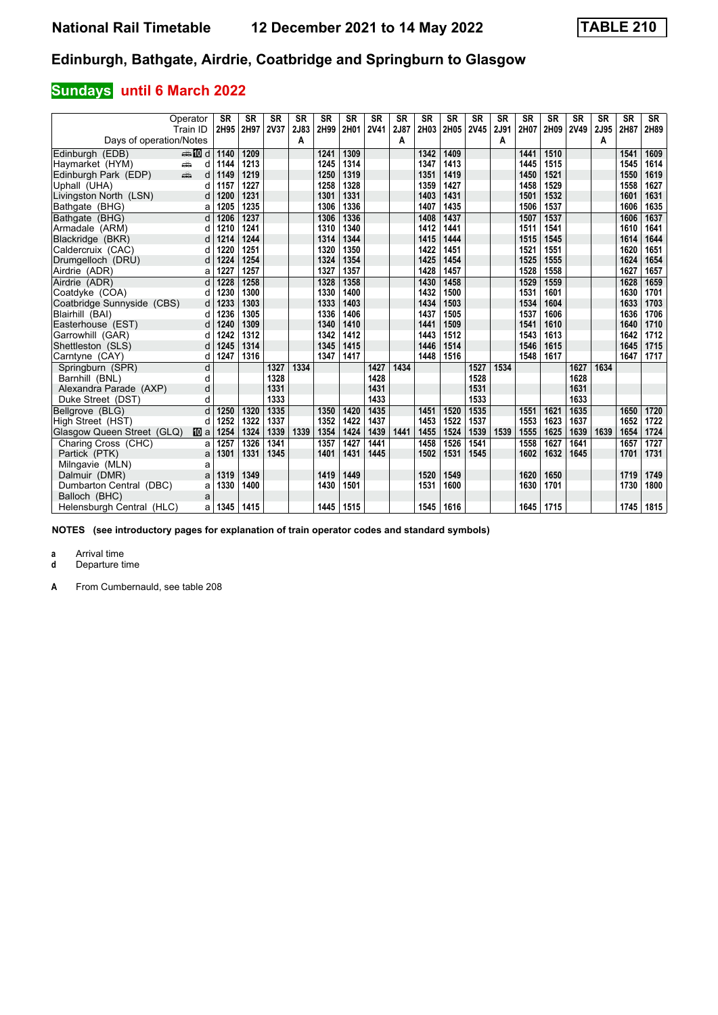## **Sundays until 6 March 2022**

|                            | Operator<br>Train ID      | <b>SR</b><br>2H95 | <b>SR</b><br>2H97 | <b>SR</b><br>2V37 | <b>SR</b><br>2J83 | <b>SR</b><br>2H99 | <b>SR</b><br>2H01 | <b>SR</b><br><b>2V41</b> | <b>SR</b><br>2J87 | <b>SR</b><br>2H03 | <b>SR</b><br>2H05 | <b>SR</b><br><b>2V45</b> | <b>SR</b><br>2J91 | <b>SR</b><br>2H07 | <b>SR</b><br>2H09 | <b>SR</b><br><b>2V49</b> | <b>SR</b><br>2J95 | <b>SR</b><br>2H87 | <b>SR</b><br>2H89 |
|----------------------------|---------------------------|-------------------|-------------------|-------------------|-------------------|-------------------|-------------------|--------------------------|-------------------|-------------------|-------------------|--------------------------|-------------------|-------------------|-------------------|--------------------------|-------------------|-------------------|-------------------|
| Days of operation/Notes    |                           |                   |                   |                   | A                 |                   |                   |                          | A                 |                   |                   |                          | A                 |                   |                   |                          | A                 |                   |                   |
| Edinburgh (EDB)            | dan <b>i</b> ndid         | 1140              | 1209              |                   |                   | 1241              | 1309              |                          |                   | 1342              | 1409              |                          |                   | 1441              | 1510              |                          |                   | 1541              | 1609              |
| Haymarket (HYM)            | d<br>پیش                  | 1144              | 1213              |                   |                   | 1245              | 1314              |                          |                   | 1347              | 1413              |                          |                   | 1445              | 1515              |                          |                   | 1545              | 1614              |
| Edinburgh Park (EDP)       | $\frac{1}{\sqrt{2}}$<br>d | 1149              | 1219              |                   |                   | 1250              | 1319              |                          |                   | 1351              | 1419              |                          |                   | 1450              | 1521              |                          |                   | 1550              | 1619              |
| Uphall (UHA)               | d                         | 1157              | 1227              |                   |                   | 1258              | 1328              |                          |                   | 1359              | 1427              |                          |                   | 1458              | 1529              |                          |                   | 1558              | 1627              |
| Livingston North (LSN)     | d                         | 1200              | 1231              |                   |                   | 1301              | 1331              |                          |                   | 1403              | 1431              |                          |                   | 1501              | 1532              |                          |                   | 1601              | 1631              |
| Bathgate (BHG)             | a                         | 1205              | 1235              |                   |                   | 1306              | 1336              |                          |                   | 1407              | 1435              |                          |                   | 1506              | 1537              |                          |                   | 1606              | 1635              |
| Bathgate (BHG)             | d                         | 1206              | 1237              |                   |                   | 1306              | 1336              |                          |                   | 1408              | 1437              |                          |                   | 1507              | 1537              |                          |                   | 1606              | 1637              |
| Armadale (ARM)             | d                         | 1210              | 1241              |                   |                   | 1310              | 1340              |                          |                   | 1412              | 1441              |                          |                   | 1511              | 1541              |                          |                   | 1610              | 1641              |
| Blackridge (BKR)           | d                         | 1214              | 1244              |                   |                   | 1314              | 1344              |                          |                   | 1415              | 1444              |                          |                   | 1515              | 1545              |                          |                   | 1614              | 1644              |
| Caldercruix (CAC)          | d                         | 1220              | 1251              |                   |                   | 1320              | 1350              |                          |                   | 1422              | 1451              |                          |                   | 1521              | 1551              |                          |                   | 1620              | 1651              |
| Drumgelloch (DRU)          | d                         | 1224              | 1254              |                   |                   | 1324              | 1354              |                          |                   | 1425              | 1454              |                          |                   | 1525              | 1555              |                          |                   | 1624              | 1654              |
| Airdrie (ADR)              | a                         | 1227              | 1257              |                   |                   | 1327              | 1357              |                          |                   | 1428              | 1457              |                          |                   | 1528              | 1558              |                          |                   | 1627              | 1657              |
| Airdrie (ADR)              | d                         | 1228              | 1258              |                   |                   | 1328              | 1358              |                          |                   | 1430              | 1458              |                          |                   | 1529              | 1559              |                          |                   | 1628              | 1659              |
| Coatdyke (COA)             | d                         | 1230              | 1300              |                   |                   | 1330              | 1400              |                          |                   | 1432              | 1500              |                          |                   | 1531              | 1601              |                          |                   | 1630              | 1701              |
| Coatbridge Sunnyside (CBS) | d                         | 1233              | 1303              |                   |                   | 1333              | 1403              |                          |                   | 1434              | 1503              |                          |                   | 1534              | 1604              |                          |                   | 1633              | 1703              |
| Blairhill (BAI)            | d                         | 1236              | 1305              |                   |                   | 1336              | 1406              |                          |                   | 1437              | 1505              |                          |                   | 1537              | 1606              |                          |                   | 1636              | 1706              |
| Easterhouse (EST)          | d                         | 1240              | 1309              |                   |                   | 1340              | 1410              |                          |                   | 1441              | 1509              |                          |                   | 1541              | 1610              |                          |                   | 1640              | 1710              |
| Garrowhill (GAR)           | d                         | 1242              | 1312              |                   |                   | 1342              | 1412              |                          |                   | 1443              | 1512              |                          |                   | 1543              | 1613              |                          |                   | 1642              | 1712              |
| Shettleston (SLS)          | d                         | 1245              | 1314              |                   |                   | 1345              | 1415              |                          |                   | 1446              | 1514              |                          |                   | 1546              | 1615              |                          |                   | 1645              | 1715              |
| Carntyne (CAY)             | d                         | 1247              | 1316              |                   |                   | 1347              | 1417              |                          |                   | 1448              | 1516              |                          |                   | 1548              | 1617              |                          |                   | 1647              | 1717              |
| Springburn (SPR)           | d                         |                   |                   | 1327              | 1334              |                   |                   | 1427                     | 1434              |                   |                   | 1527                     | 1534              |                   |                   | 1627                     | 1634              |                   |                   |
| Barnhill (BNL)             | d                         |                   |                   | 1328              |                   |                   |                   | 1428                     |                   |                   |                   | 1528                     |                   |                   |                   | 1628                     |                   |                   |                   |
| Alexandra Parade (AXP)     | d                         |                   |                   | 1331              |                   |                   |                   | 1431                     |                   |                   |                   | 1531                     |                   |                   |                   | 1631                     |                   |                   |                   |
| Duke Street (DST)          | d                         |                   |                   | 1333              |                   |                   |                   | 1433                     |                   |                   |                   | 1533                     |                   |                   |                   | 1633                     |                   |                   |                   |
| Bellarove (BLG)            | d                         | 1250              | 1320              | 1335              |                   | 1350              | 1420              | 1435                     |                   | 1451              | 1520              | 1535                     |                   | 1551              | 1621              | 1635                     |                   | 1650              | 1720              |
| High Street (HST)          | d                         | 1252              | 1322              | 1337              |                   | 1352              | 1422              | 1437                     |                   | 1453              | 1522              | 1537                     |                   | 1553              | 1623              | 1637                     |                   | 1652              | 1722              |
| Glasgow Queen Street (GLQ) | 100 a                     | 1254              | 1324              | 1339              | 1339              | 1354              | 1424              | 1439                     | 1441              | 1455              | 1524              | 1539                     | 1539              | 1555              | 1625              | 1639                     | 1639              | 1654              | 1724              |
| Charing Cross (CHC)        | a                         | 1257              | 1326              | 1341              |                   | 1357              | 1427              | 1441                     |                   | 1458              | 1526              | 1541                     |                   | 1558              | 1627              | 1641                     |                   | 1657              | 1727              |
| Partick (PTK)              | a                         | 1301              | 1331              | 1345              |                   | 1401              | 1431              | 1445                     |                   | 1502              | 1531              | 1545                     |                   | 1602              | 1632              | 1645                     |                   | 1701              | 1731              |
| Milngavie (MLN)            | a                         |                   |                   |                   |                   |                   |                   |                          |                   |                   |                   |                          |                   |                   |                   |                          |                   |                   |                   |
| Dalmuir (DMR)              | a                         | 1319              | 1349              |                   |                   | 1419              | 1449              |                          |                   | 1520              | 1549              |                          |                   | 1620              | 1650              |                          |                   | 1719              | 1749              |
| Dumbarton Central (DBC)    | a                         | 1330              | 1400              |                   |                   | 1430              | 1501              |                          |                   | 1531              | 1600              |                          |                   | 1630              | 1701              |                          |                   | 1730              | 1800              |
| Balloch (BHC)              | a                         |                   |                   |                   |                   |                   |                   |                          |                   |                   |                   |                          |                   |                   |                   |                          |                   |                   |                   |
| Helensburgh Central (HLC)  | a۱                        | 1345              | 1415              |                   |                   | 1445              | 1515              |                          |                   | 1545              | 1616              |                          |                   | 1645              | 1715              |                          |                   | 1745              | 1815              |

**NOTES (see introductory pages for explanation of train operator codes and standard symbols)**

**a** Arrival time<br>**d** Departure t

**d** Departure time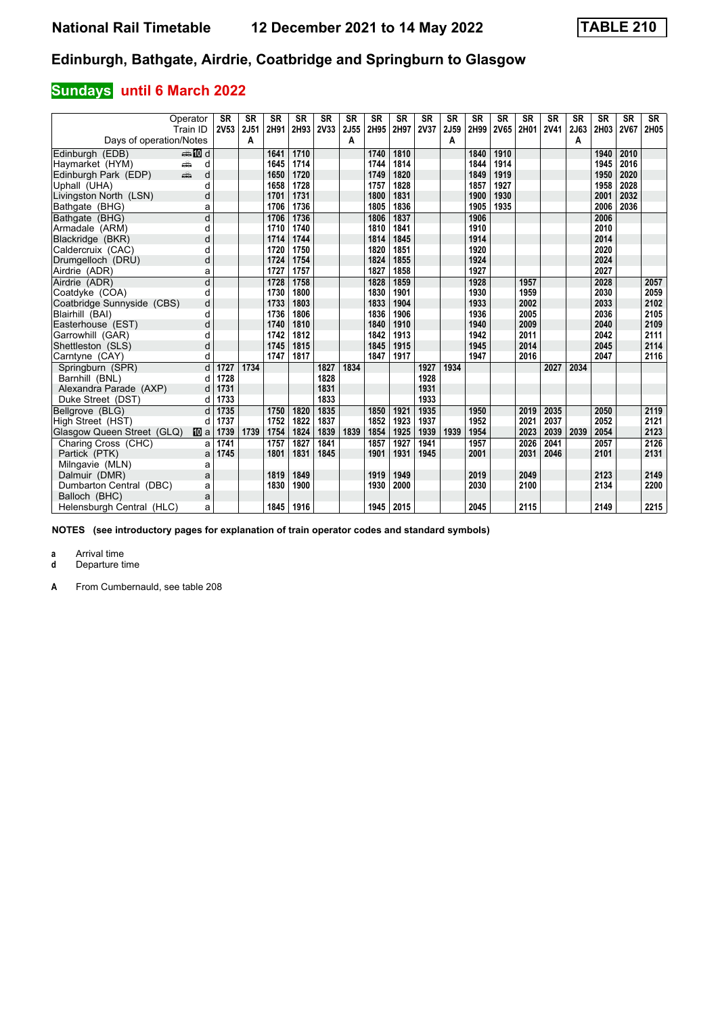### **Sundays until 6 March 2022**

|                            | Operator<br>Train ID | <b>SR</b><br>2V53 | <b>SR</b><br>2J51 | <b>SR</b><br>2H91 | <b>SR</b><br>2H93 | <b>SR</b><br>2V33 | <b>SR</b><br>2J55 | <b>SR</b><br>2H95 | <b>SR</b><br>2H97 | <b>SR</b><br>2V37 | <b>SR</b><br>2J59 | <b>SR</b><br>2H99 | <b>SR</b><br><b>2V65</b> | <b>SR</b><br>2H01 | <b>SR</b><br><b>2V41</b> | <b>SR</b><br>2J63 | <b>SR</b><br>2H03 | <b>SR</b><br><b>2V67</b> | SR<br>2H05 |
|----------------------------|----------------------|-------------------|-------------------|-------------------|-------------------|-------------------|-------------------|-------------------|-------------------|-------------------|-------------------|-------------------|--------------------------|-------------------|--------------------------|-------------------|-------------------|--------------------------|------------|
| Days of operation/Notes    |                      |                   | A                 |                   |                   |                   | Α                 |                   |                   |                   | A                 |                   |                          |                   |                          | Α                 |                   |                          |            |
| Edinburgh (EDB)            | dan <b>in</b> d      |                   |                   | 1641              | 1710              |                   |                   | 1740              | 1810              |                   |                   | 1840              | 1910                     |                   |                          |                   | 1940              | 2010                     |            |
| Haymarket (HYM)            | d<br>پیش             |                   |                   | 1645              | 1714              |                   |                   | 1744              | 1814              |                   |                   | 1844              | 1914                     |                   |                          |                   | 1945              | 2016                     |            |
| Edinburgh Park (EDP)       | پيش<br>d             |                   |                   | 1650              | 1720              |                   |                   | 1749              | 1820              |                   |                   | 1849              | 1919                     |                   |                          |                   | 1950              | 2020                     |            |
| Uphall (UHA)               | d                    |                   |                   | 1658              | 1728              |                   |                   | 1757              | 1828              |                   |                   | 1857              | 1927                     |                   |                          |                   | 1958              | 2028                     |            |
| Livingston North (LSN)     | d                    |                   |                   | 1701              | 1731              |                   |                   | 1800              | 1831              |                   |                   | 1900              | 1930                     |                   |                          |                   | 2001              | 2032                     |            |
| Bathgate (BHG)             | a                    |                   |                   | 1706              | 1736              |                   |                   | 1805              | 1836              |                   |                   | 1905              | 1935                     |                   |                          |                   | 2006              | 2036                     |            |
| Bathgate (BHG)             | d                    |                   |                   | 1706              | 1736              |                   |                   | 1806              | 1837              |                   |                   | 1906              |                          |                   |                          |                   | 2006              |                          |            |
| Armadale (ARM)             | d                    |                   |                   | 1710              | 1740              |                   |                   | 1810              | 1841              |                   |                   | 1910              |                          |                   |                          |                   | 2010              |                          |            |
| Blackridge (BKR)           | d                    |                   |                   | 1714              | 1744              |                   |                   | 1814              | 1845              |                   |                   | 1914              |                          |                   |                          |                   | 2014              |                          |            |
| Caldercruix (CAC)          | d                    |                   |                   | 1720              | 1750              |                   |                   | 1820              | 1851              |                   |                   | 1920              |                          |                   |                          |                   | 2020              |                          |            |
| Drumgelloch (DRU)          | d                    |                   |                   | 1724              | 1754              |                   |                   | 1824              | 1855              |                   |                   | 1924              |                          |                   |                          |                   | 2024              |                          |            |
| Airdrie (ADR)              | a                    |                   |                   | 1727              | 1757              |                   |                   | 1827              | 1858              |                   |                   | 1927              |                          |                   |                          |                   | 2027              |                          |            |
| Airdrie (ADR)              | d                    |                   |                   | 1728              | 1758              |                   |                   | 1828              | 1859              |                   |                   | 1928              |                          | 1957              |                          |                   | 2028              |                          | 2057       |
| Coatdyke (COA)             | d                    |                   |                   | 1730              | 1800              |                   |                   | 1830              | 1901              |                   |                   | 1930              |                          | 1959              |                          |                   | 2030              |                          | 2059       |
| Coatbridge Sunnyside (CBS) | d                    |                   |                   | 1733              | 1803              |                   |                   | 1833              | 1904              |                   |                   | 1933              |                          | 2002              |                          |                   | 2033              |                          | 2102       |
| Blairhill (BAI)            | d                    |                   |                   | 1736              | 1806              |                   |                   | 1836              | 1906              |                   |                   | 1936              |                          | 2005              |                          |                   | 2036              |                          | 2105       |
| Easterhouse (EST)          | d                    |                   |                   | 1740              | 1810              |                   |                   | 1840              | 1910              |                   |                   | 1940              |                          | 2009              |                          |                   | 2040              |                          | 2109       |
| Garrowhill (GAR)           | d                    |                   |                   | 1742              | 1812              |                   |                   | 1842              | 1913              |                   |                   | 1942              |                          | 2011              |                          |                   | 2042              |                          | 2111       |
| Shettleston (SLS)          | d                    |                   |                   | 1745              | 1815              |                   |                   | 1845              | 1915              |                   |                   | 1945              |                          | 2014              |                          |                   | 2045              |                          | 2114       |
| Carntyne (CAY)             | d                    |                   |                   | 1747              | 1817              |                   |                   | 1847              | 1917              |                   |                   | 1947              |                          | 2016              |                          |                   | 2047              |                          | 2116       |
| Springburn (SPR)           | d                    | 1727              | 1734              |                   |                   | 1827              | 1834              |                   |                   | 1927              | 1934              |                   |                          |                   | 2027                     | 2034              |                   |                          |            |
| Barnhill (BNL)             | d                    | 1728              |                   |                   |                   | 1828              |                   |                   |                   | 1928              |                   |                   |                          |                   |                          |                   |                   |                          |            |
| Alexandra Parade (AXP)     | d                    | 1731              |                   |                   |                   | 1831              |                   |                   |                   | 1931              |                   |                   |                          |                   |                          |                   |                   |                          |            |
| Duke Street (DST)          | d                    | 1733              |                   |                   |                   | 1833              |                   |                   |                   | 1933              |                   |                   |                          |                   |                          |                   |                   |                          |            |
| Bellarove (BLG)            | d                    | 1735              |                   | 1750              | 1820              | 1835              |                   | 1850              | 1921              | 1935              |                   | 1950              |                          | 2019              | 2035                     |                   | 2050              |                          | 2119       |
| High Street (HST)          | d                    | 1737              |                   | 1752              | 1822              | 1837              |                   | 1852              | 1923              | 1937              |                   | 1952              |                          | 2021              | 2037                     |                   | 2052              |                          | 2121       |
| Glasgow Queen Street (GLQ) | <b>il0</b> a         | 1739              | 1739              | 1754              | 1824              | 1839              | 1839              | 1854              | 1925              | 1939              | 1939              | 1954              |                          | 2023              | 2039                     | 2039              | 2054              |                          | 2123       |
| Charing Cross (CHC)        | a                    | 1741              |                   | 1757              | 1827              | 1841              |                   | 1857              | 1927              | 1941              |                   | 1957              |                          | 2026              | 2041                     |                   | 2057              |                          | 2126       |
| Partick (PTK)              | a                    | 1745              |                   | 1801              | 1831              | 1845              |                   | 1901              | 1931              | 1945              |                   | 2001              |                          | 2031              | 2046                     |                   | 2101              |                          | 2131       |
| Milngavie (MLN)            | a                    |                   |                   |                   |                   |                   |                   |                   |                   |                   |                   |                   |                          |                   |                          |                   |                   |                          |            |
| Dalmuir (DMR)              | a                    |                   |                   | 1819              | 1849              |                   |                   | 1919              | 1949              |                   |                   | 2019              |                          | 2049              |                          |                   | 2123              |                          | 2149       |
| Dumbarton Central (DBC)    | a                    |                   |                   | 1830              | 1900              |                   |                   | 1930              | 2000              |                   |                   | 2030              |                          | 2100              |                          |                   | 2134              |                          | 2200       |
| Balloch (BHC)              | a                    |                   |                   |                   |                   |                   |                   |                   |                   |                   |                   |                   |                          |                   |                          |                   |                   |                          |            |
| Helensburgh Central (HLC)  | a                    |                   |                   | 1845              | 1916              |                   |                   | 1945              | 2015              |                   |                   | 2045              |                          | 2115              |                          |                   | 2149              |                          | 2215       |

**NOTES (see introductory pages for explanation of train operator codes and standard symbols)**

**a** Arrival time<br>**d** Departure t

**d** Departure time